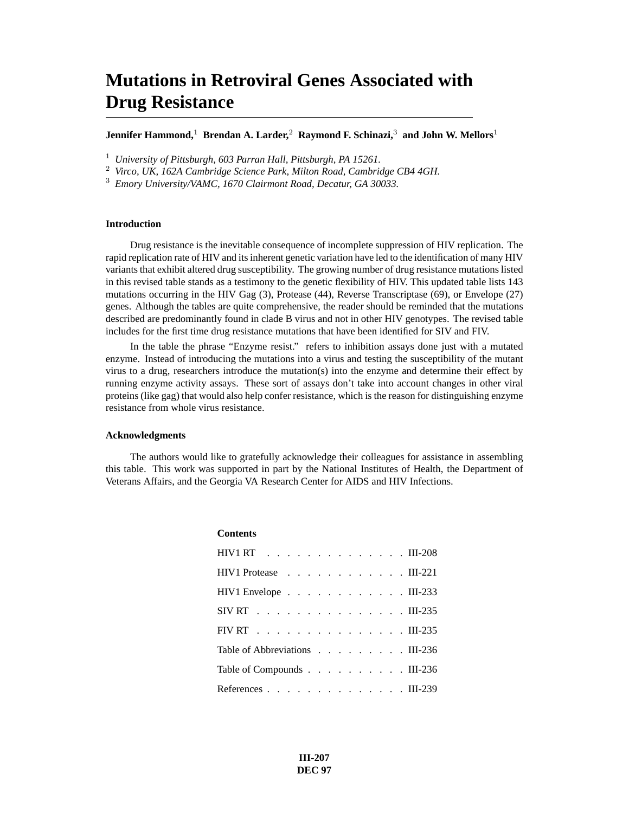### **Mutations in Retroviral Genes Associated with Drug Resistance**

**Jennifer Hammond,**<sup>1</sup> **Brendan A. Larder,**<sup>2</sup> **Raymond F. Schinazi,**<sup>3</sup> **and John W. Mellors**<sup>1</sup>

<sup>1</sup> *University of Pittsburgh, 603 Parran Hall, Pittsburgh, PA 15261.*

**Contents**

<sup>2</sup> *Virco, UK, 162A Cambridge Science Park, Milton Road, Cambridge CB4 4GH.*

<sup>3</sup> *Emory University/VAMC, 1670 Clairmont Road, Decatur, GA 30033.*

#### **Introduction**

Drug resistance is the inevitable consequence of incomplete suppression of HIV replication. The rapid replication rate of HIV and its inherent genetic variation have led to the identification of many HIV variants that exhibit altered drug susceptibility. The growing number of drug resistance mutations listed in this revised table stands as a testimony to the genetic flexibility of HIV. This updated table lists 143 mutations occurring in the HIV Gag (3), Protease (44), Reverse Transcriptase (69), or Envelope (27) genes. Although the tables are quite comprehensive, the reader should be reminded that the mutations described are predominantly found in clade B virus and not in other HIV genotypes. The revised table includes for the first time drug resistance mutations that have been identified for SIV and FIV.

In the table the phrase "Enzyme resist." refers to inhibition assays done just with a mutated enzyme. Instead of introducing the mutations into a virus and testing the susceptibility of the mutant virus to a drug, researchers introduce the mutation(s) into the enzyme and determine their effect by running enzyme activity assays. These sort of assays don't take into account changes in other viral proteins (like gag) that would also help confer resistance, which is the reason for distinguishing enzyme resistance from whole virus resistance.

#### **Acknowledgments**

The authors would like to gratefully acknowledge their colleagues for assistance in assembling this table. This work was supported in part by the National Institutes of Health, the Department of Veterans Affairs, and the Georgia VA Research Center for AIDS and HIV Infections.

| <b>Coments</b>                                                     |  |
|--------------------------------------------------------------------|--|
| HIV1 RT III-208                                                    |  |
| HIV1 Protease III-221                                              |  |
| HIV1 Envelope $\ldots$ $\ldots$ $\ldots$ $\ldots$ $\ldots$ III-233 |  |
| SIV RT III-235                                                     |  |
| FIV RT III-235                                                     |  |
| Table of Abbreviations III-236                                     |  |
| Table of Compounds III-236                                         |  |
| References III-239                                                 |  |

**III-207 DEC 97**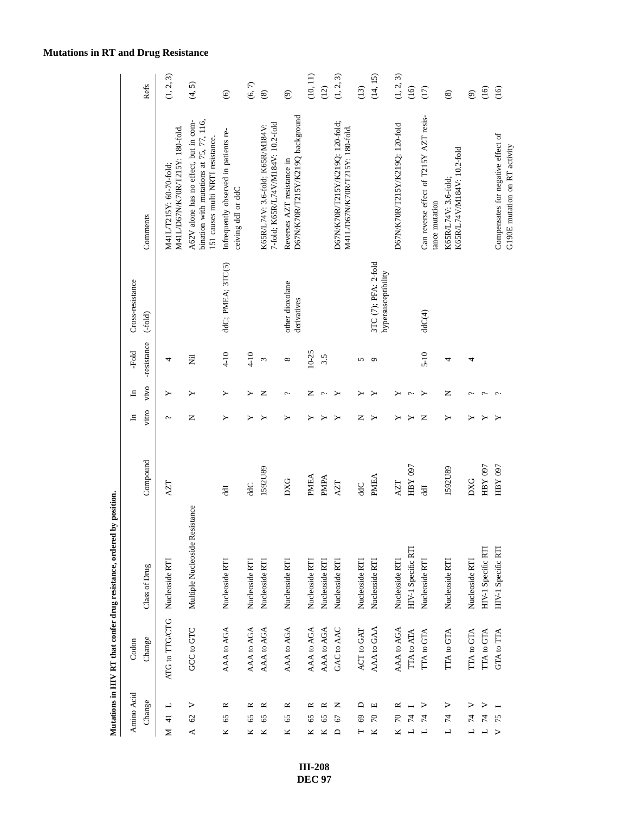### **Mutations in RT and Drug Resistance**

| Amino Acid                          | Codon                         |                                |             | $\Xi$ | $\Xi$                 | -Fold        | Cross-resistance                            |                                                                                                                      |                          |
|-------------------------------------|-------------------------------|--------------------------------|-------------|-------|-----------------------|--------------|---------------------------------------------|----------------------------------------------------------------------------------------------------------------------|--------------------------|
| Change                              | Change                        | Class of Drug                  | Compound    | vitro | vivo                  | -resistance  | $(-fold)$                                   | Comments                                                                                                             | Refs                     |
| ᆜ<br>M 41                           | ATG to TTG/CTG Nucleoside RTI |                                | ZТ          | c.    | ≻                     | 4            |                                             | M41L/D67N/K70R/T215Y: 180-fold.<br>M41L/T215Y: 60-70-fold:                                                           | (1, 2, 3)                |
| $\triangleright$<br>62<br>∢         | GCC to GTC                    | Multiple Nucleoside Resistance |             | z     | ≻                     | 艺            |                                             | bination with mutations at 75, 77, 116,<br>A62V alone has no effect, but in com-<br>51 causes multi NRTI resistance. | (4, 5)                   |
| ≃<br>65<br>K                        | AAA to AGA                    | Nucleoside RTI                 | 뒿           | ≻     | ≻                     | $4-10$       | ddC; PMEA; 3TC(5)                           | Infrequently observed in patients re-<br>ceiving ddI or ddC                                                          | $\odot$                  |
| ≃<br>65<br>ĸ                        | AAA to AGA                    | Nucleoside RTI                 | dC          |       | ≻                     | $4 - 10$     |                                             |                                                                                                                      | (6, 7)                   |
| ≃<br>65<br>Κ                        | AAA to AGA                    | Nucleoside RTI                 | 1592U89     |       | z                     | $\epsilon$   |                                             | 7-fold; K65R/L74V/M184V: 10.2-fold<br>K65R/L74V: 3.6-fold; K65R/M184V:                                               | $\circledast$            |
| ≃<br>65<br>Κ                        | AAA to AGA                    | Nucleoside RTI                 | <b>DXG</b>  | ≻     | $\sim$                | ${}^{\circ}$ | other dioxolane<br>derivatives              | D67N/K70R/T215Y/K219Q background<br>Reverses AZT resistance in                                                       | $\widehat{\mathfrak{S}}$ |
| 65<br>ĸ                             | AAA to AGA                    | Nucleoside RTI                 | PMEA        | ≻     | z                     | $10 - 25$    |                                             |                                                                                                                      | (10, 11)                 |
| ≃<br>65<br>K                        | AAA to AGA                    | Nucleoside RTI                 | PMPA        |       | $\hat{\phantom{a}}$ . | 3.5          |                                             |                                                                                                                      | (12)                     |
| z<br>67<br>$\triangle$              | GAC to AAC                    | Nucleoside RTI                 | AZT         | ≻     | ≻                     |              |                                             | D67N/K70R/T215Y/K219Q: 120-fold;<br>M41L/D67N/K70R/T215Y: 180-fold.                                                  | (1, 2, 3)                |
| $\mathsf{D}$<br>69                  | ACT to GAT                    | Nucleoside RTI                 | ddC         | z     |                       | 5            |                                             |                                                                                                                      | (13)                     |
| Щ<br>70<br>K                        | AAA to GAA                    | Nucleoside RTI                 | <b>PMEA</b> | ≻     |                       | ٥            | 3TC (7); PFA: 2-fold<br>hypersusceptibility |                                                                                                                      | (14, 15)                 |
| ≃                                   | AAA to AGA                    | Nucleoside RTI                 | AZT         |       |                       |              |                                             | D67N/K70R/T215Y/K219Q: 120-fold                                                                                      | (1, 2, 3)                |
|                                     | TTA to ATA                    | HIV-1 Specific RTI             | HBY 097     |       | ¢                     |              |                                             |                                                                                                                      | (16)                     |
| ⋗<br>74                             | <b>TTA to GTA</b>             | Nucleoside RTI                 | Ę           | z     | ≻                     | $5 - 10$     | ddC(4)                                      | Can reverse effect of T215Y AZT resis-<br>tance mutation                                                             | (17)                     |
| ><br>74<br>$\overline{\phantom{0}}$ | <b>TTA to GTA</b>             | Nucleoside RTI                 | 1592U89     | ≻     | z                     | 4            |                                             | K65R/L74V/M184V: 10.2-fold<br>K65R/L74V: 3.6-fold;                                                                   | $\circledast$            |
|                                     | <b>TTA to GTA</b>             | Nucleoside RTI                 | <b>DXG</b>  | ≻     | c.                    | 4            |                                             |                                                                                                                      | $\widehat{\mathfrak{S}}$ |
| ⋗<br>74                             | <b>ITA to GTA</b>             | HIV-1 Specific RTI             | FOR XEH     |       | $\sim$                |              |                                             |                                                                                                                      | (16)                     |
| 75<br>$\overline{\phantom{0}}$      | <b>GTA to TTA</b>             | HIV-1 Specific RTI             | FBY 097     |       | Ċ                     |              |                                             | Compensates for negative effect of<br>G190E mutation on RT activity                                                  | (16)                     |

Mutations in HIV RT that confer drug resistance, ordered by position. **Mutations in HIV RT that confer drug resistance, ordered by position.**

> **III-208 DEC 97**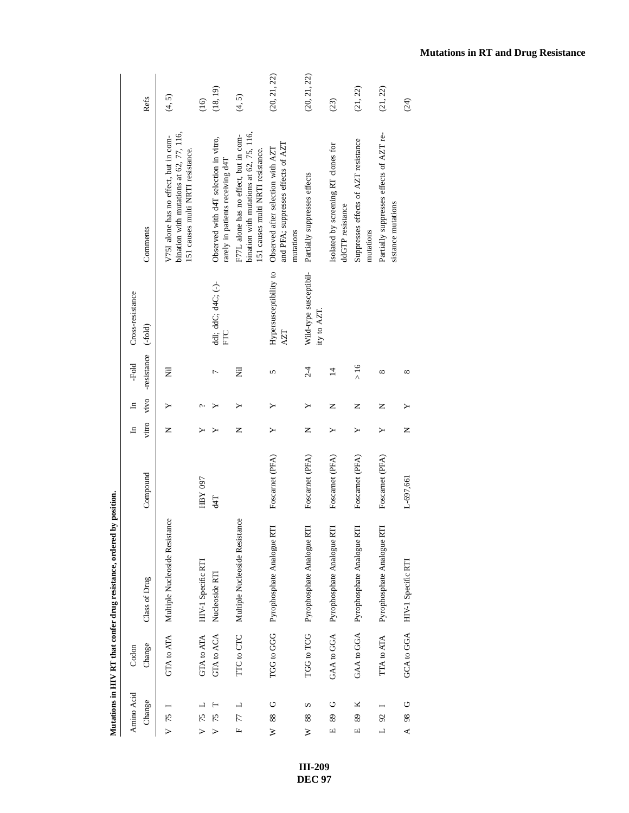|                                            |            | manufactured to the country of the company of the contract of the contract of the contract of the contract of the contract of the contract of the contract of the contract of the contract of the contract of the contract of | in Post form    |       |              |                |                                       |                                                                                                                          |              |
|--------------------------------------------|------------|-------------------------------------------------------------------------------------------------------------------------------------------------------------------------------------------------------------------------------|-----------------|-------|--------------|----------------|---------------------------------------|--------------------------------------------------------------------------------------------------------------------------|--------------|
| Amino Acid                                 | Codon      |                                                                                                                                                                                                                               |                 | ョ     | $\mathbf{H}$ | -Fold          | Cross-resistance                      |                                                                                                                          |              |
| Change                                     | Change     | Class of Drug                                                                                                                                                                                                                 | Compound        | vitro | vivo         | -resistance    | $(-fold)$                             | Comments                                                                                                                 | Refs         |
| $V$ 75                                     | GTA to ATA | Multiple Nucleoside Resistance                                                                                                                                                                                                |                 | z     |              | E              |                                       | bination with mutations at 62, 77, 116,<br>V751 alone has no effect, but in com-<br>151 causes multi NRTI resistance.    | (4, 5)       |
| 75                                         | GTA to ATA | HIV-1 Specific RTI                                                                                                                                                                                                            | HBY 097         | ⋗     | ¢            |                |                                       |                                                                                                                          | (16)         |
| 75<br>$\triangleright$                     | GTA to ACA | Nucleoside RTI                                                                                                                                                                                                                | 41              |       |              | $\overline{ }$ | ddI; ddC; d4C; (-)-<br>EC             | Observed with d4T selection in vitro,<br>rarely in patients receiving d4T                                                | (18, 19)     |
| F 77 L                                     | TTC to CTC | Multiple Nucleoside Resistance                                                                                                                                                                                                |                 | Z     | ≻            | E              |                                       | bination with mutations at $62$ , 75, 116,<br>F77L alone has no effect, but in com-<br>151 causes multi NRTI resistance. | (4, 5)       |
| ŋ<br>88<br>≽                               |            | E<br>TGG to GGG Pyrophosphate Analogue I                                                                                                                                                                                      | Foscarnet (PFA) | ≻     |              | 5              | Hypersusceptibility to<br>AZT         | and PFA; suppresses effects of AZT<br>Observed after selection with AZT<br>mutations                                     | (20, 21, 22) |
| n<br>88<br>≽                               | TGG to TCG | Pyrophosphate Analogue RTI                                                                                                                                                                                                    | Foscarnet (PFA) | Z     | Υ            | $2-4$          | Wild-type susceptibil-<br>ity to AZT. | Partially suppresses effects                                                                                             | (20, 21, 22) |
| O<br>89<br>$\Box$                          | GAA to GGA | Pyrophosphate Analogue RTI                                                                                                                                                                                                    | Foscarnet (PFA) | ≻     | Z            | $\overline{1}$ |                                       | Isolated by screening RT clones for<br>ddGTP resistance                                                                  | (23)         |
| ×<br>89<br>$\Box$                          | GAA to GGA | Pyrophosphate Analogue RTI                                                                                                                                                                                                    | Foscarnet (PFA) | ≻     | Z            | >16            |                                       | Suppresses effects of AZT resistance<br>mutations                                                                        | (21, 22)     |
| $\mathfrak{D}$<br>$\overline{\phantom{0}}$ | TTA to ATA | E<br>Pyrophosphate Analogue I                                                                                                                                                                                                 | Foscarnet (PFA) | Y     | Z            | $\infty$       |                                       | Partially suppresses effects of AZT re-<br>sistance mutations                                                            | (21, 22)     |
| U<br>98<br>≺                               | GCA to GGA | HIV-1 Specific RTI                                                                                                                                                                                                            | L-697,661       | Z     |              | $^{\circ}$     |                                       |                                                                                                                          | (24)         |
|                                            |            |                                                                                                                                                                                                                               |                 |       |              |                |                                       |                                                                                                                          |              |

**III-209 DEC 97**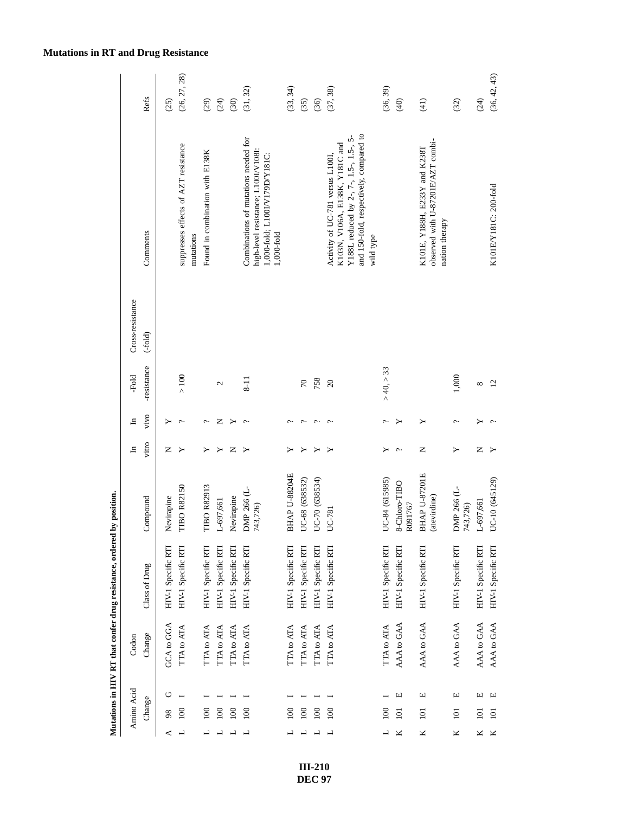|                  | Refs          | (25)               | (26, 27, 28)                                      | (29)                            | $(24)$             | (30)               | (31, 32)                                                                                                                       | (33, 34)           | (35)               | (36)               | (37, 38)                                                                                                                                                              | (36, 39)           | $\widehat{q}$            | (41)                                                                                 | (32)                    | (24)               |
|------------------|---------------|--------------------|---------------------------------------------------|---------------------------------|--------------------|--------------------|--------------------------------------------------------------------------------------------------------------------------------|--------------------|--------------------|--------------------|-----------------------------------------------------------------------------------------------------------------------------------------------------------------------|--------------------|--------------------------|--------------------------------------------------------------------------------------|-------------------------|--------------------|
|                  | Comments      |                    | suppresses effects of AZT resistance<br>mutations | Found in combination with E138K |                    |                    | Combinations of mutations needed for<br>high-level resistance; L100I/V108I:<br>1,000-fold; L100I/V179D/Y181C:<br>$1,000$ -fold |                    |                    |                    | and 150-fold, respectively, compared to<br>Y188L reduced by 2-, 7-, 1.5-, 1.5-, 5-<br>K103N, V106A, E138K, Y181C and<br>Activity of UC-781 versus L100I,<br>wild type |                    |                          | observed with U-87201E/AZT combi-<br>K101E, Y188H, E233Y and K238T<br>nation therapy |                         |                    |
| Cross-resistance | $(-fold)$     |                    |                                                   |                                 |                    |                    |                                                                                                                                |                    |                    |                    |                                                                                                                                                                       |                    |                          |                                                                                      |                         |                    |
| -Fold            | -resistance   |                    | > 100                                             |                                 | 2                  |                    | $8-11$                                                                                                                         |                    | $\sqrt{2}$         | 758                | $\Omega$                                                                                                                                                              | >40, >33           |                          |                                                                                      | 1,000                   | $\infty$           |
| E,               | vivo          | ≻                  | ç.                                                | ç.                              | Z                  | Y                  | $\sim$                                                                                                                         | ᠭ                  | ç.                 | $\mathord{\sim}$   | $\mathord{\sim}$                                                                                                                                                      | پ                  | ≻                        | Y                                                                                    | c.                      |                    |
| $\mathbf{H}$     | vitro         | z                  |                                                   |                                 |                    | z                  |                                                                                                                                |                    |                    |                    |                                                                                                                                                                       | ≻                  | $\sim$                   | Z                                                                                    | ≻                       | z                  |
|                  | Compound      | Nevirapine         | <b>TIBO R82150</b>                                | <b>TIBO R82913</b>              | L-697,661          | Nevirapine         | DMP 266 (L-<br>743,726)                                                                                                        | BHAP U-88204E      | UC-68 (638532)     | UC-70 (638534)     | UC-781                                                                                                                                                                | UC-84 (615985)     | 8-Chloro-TIBO<br>R091767 | <b>BHAP U-87201E</b><br>(atevirdine)                                                 | DMP 266 (L-<br>743,726) | L-697,661          |
|                  | Class of Drug | HIV-1 Specific RTI | HIV-1 Specific RTI                                | HIV-1 Specific RTI              | HIV-1 Specific RTI | HIV-1 Specific RTI | HIV-1 Specific RTI                                                                                                             | HIV-1 Specific RTI | HIV-1 Specific RTI | HIV-1 Specific RTI | HIV-1 Specific RTI                                                                                                                                                    | HIV-1 Specific RTI | HIV-1 Specific RTI       | HIV-1 Specific RTI                                                                   | HIV-1 Specific RTI      | HIV-1 Specific RTI |
| Codon            | Change        | GCA to GGA         | TTA to ATA                                        | TTA to ATA                      | TTA to ATA         | ITA to ATA         | <b>TTA</b> to ATA                                                                                                              | ITA to ATA         | TTA to ATA         | TTA to ATA         | TTA to ATA                                                                                                                                                            | TTA to ATA         | AAA to GAA               | AAA to GAA                                                                           | AAA to GAA              | AAA to GAA         |
|                  |               | ن                  |                                                   |                                 |                    |                    |                                                                                                                                |                    |                    |                    |                                                                                                                                                                       |                    | Щ                        | $\Xi$                                                                                | Щ                       | 凹                  |
| Amino Acid       | Change        | 98                 | $\overline{100}$                                  | 100                             | 100                | 100                | 100                                                                                                                            | 100                | 100                | 100                | 100                                                                                                                                                                   | 100                | 101                      | 101                                                                                  | 101                     | 101                |
|                  |               | ⋖                  |                                                   |                                 |                    |                    |                                                                                                                                |                    |                    |                    |                                                                                                                                                                       |                    |                          | K                                                                                    | K                       | Κ                  |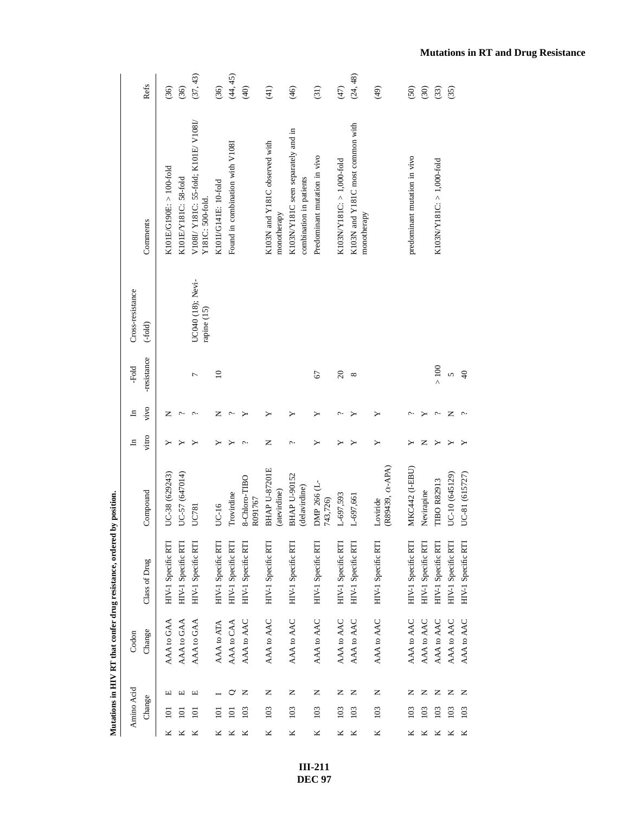|   |            |   |            | Mutations in HIV RT that confer drug resistance, ordered | by position.                         |                       |       |                 |                                  |                                                              |               |
|---|------------|---|------------|----------------------------------------------------------|--------------------------------------|-----------------------|-------|-----------------|----------------------------------|--------------------------------------------------------------|---------------|
|   | Amino Acid |   | Codon      |                                                          |                                      | $\Xi$                 | $\Xi$ | -Fold           | Cross-resistance                 |                                                              |               |
|   | Change     |   | Change     | Class of Drug                                            | Compound                             | vitro                 | vivo  | -resistance     | $(-fold)$                        | Comments                                                     | Refs          |
| ⊻ | $\Xi$      | щ | AAA to GAA | HIV-1 Specific RTI                                       | UC-38 (629243)                       |                       | z     |                 |                                  | K101E/G190E: > 100-fold                                      | (36)          |
|   | $\Xi$      | ш | AAA to GAA | HIV-1 Specific RTI                                       | UC-57 (647014)                       |                       | ¢     |                 |                                  | K101E/Y181C: 58-fold                                         | (36)          |
| ⊻ | 101        | щ | AAA to GAA | HIV-1 Specific RTI                                       | UC781                                |                       | c.    | Γ               | UC040 (18); Nevi-<br>rapine (15) | V108I/Y181C: 55-fold; K101E/V108I/<br>Y181C: 500-fold.       | (37, 43)      |
|   | $\Xi$      |   | AAA to ATA | HIV-1 Specific RTI                                       | UC-16                                |                       | z     | $\overline{10}$ |                                  | K101I/G141E: 10-fold                                         | (36)          |
|   | Ξ          | ℺ | AAA to CAA | HIV-1 Specific RTI                                       | Trovirdine                           |                       |       |                 |                                  | Found in combination with V1081                              | (44, 45)      |
|   | 103        | z | AAA to AAC | HIV-1 Specific RTI                                       | 8-Chloro-TIBO<br>R091767             | $\tilde{\phantom{0}}$ |       |                 |                                  |                                                              | (40)          |
| × | 103        | z | AAA to AAC | HIV-1 Specific RTI                                       | <b>BHAP U-87201E</b><br>(atevirdine) | z                     | ≻     |                 |                                  | K103N and Y181C observed with<br>monotherapy                 | (41)          |
| Κ | 103        | z | AAA to AAC | HIV-1 Specific RTI                                       | <b>BHAP U-90152</b><br>(delavirdine) | ç.                    | ≻     |                 |                                  | K103NY181C seen separately and in<br>combination in patients | $\frac{6}{4}$ |
| × | 103        | z | AAA to AAC | HIV-1 Specific RTI                                       | DMP 266 (L-<br>743,726)              | ≻                     | ≻     | 67              |                                  | Predominant mutation in vivo                                 | (31)          |
| ⊻ | 103        | z | AAA to AAC | HIV-1 Specific RTI                                       | L-697,593                            |                       | c     | $\Omega$        |                                  | K103N/Y181C: > 1,000-fold                                    | (47)          |
| ⊻ | 103        | z | AAA to AAC | HIV-1 Specific RTI                                       | L-697,661                            |                       |       | ${}^{\circ}$    |                                  | K103N and Y181C most common with<br>monotherapy              | (24, 48)      |
| K | 103        | Z | AAA to AAC | HIV-1 Specific RTI                                       | (R89439, $\alpha$ -APA)<br>Loviride  | ≻                     |       |                 |                                  |                                                              | (49)          |
|   | 103        | z | AAA to AAC | HIV-1 Specific RTI                                       | MKC442 (I-EBU)                       |                       |       |                 |                                  | predominant mutation in vivo                                 | (50)          |
|   | 103        | z | AAA to AAC | HIV-1 Specific RTI                                       | Nevirapine                           | z                     |       |                 |                                  |                                                              | (30)          |
|   | 103        | z | AAA to AAC | HIV-1 Specific RTI                                       | <b>TIBO R82913</b>                   |                       | ¢     | $>100$          |                                  | K103NY181C: > 1,000-fold                                     | (33)          |
| ⊻ | 103        | z | AAA to AAC | HIV-1 Specific RTI                                       | UC-10 (645129)                       |                       | z     | 5               |                                  |                                                              | (35)          |
| × | 103        | z | AAA to AAC | HIV-1 Specific RTI                                       | UC-81 (615727)                       |                       | ç.    | $\Theta$        |                                  |                                                              |               |

**Mutations in RT and Drug Resistance**

**III-211 DEC 97**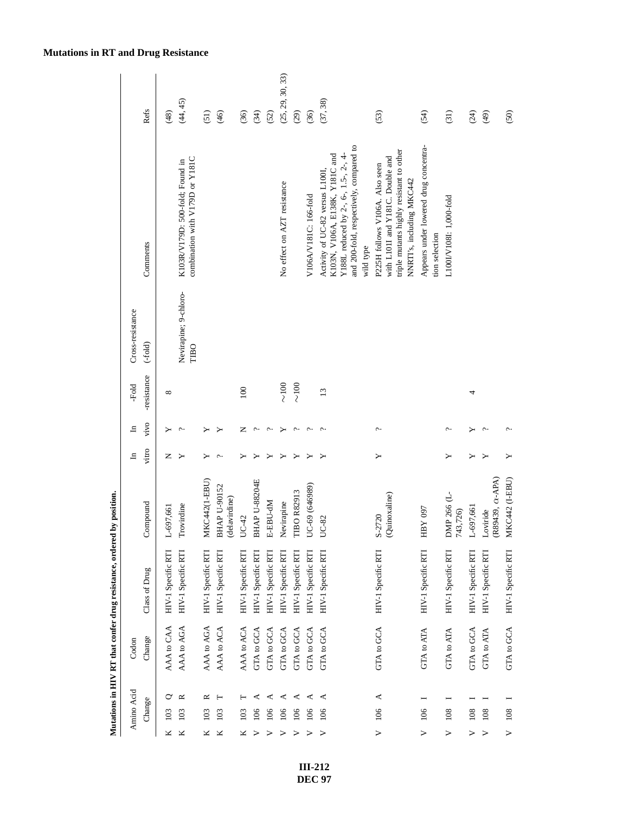|                  |            |   |                   | Mutations in HIV RT that confer drug resistance, ordered by position. |                                     |        |                       |                 |                               |                                                                                                                                                                    |                  |
|------------------|------------|---|-------------------|-----------------------------------------------------------------------|-------------------------------------|--------|-----------------------|-----------------|-------------------------------|--------------------------------------------------------------------------------------------------------------------------------------------------------------------|------------------|
|                  | Amino Acid |   | Codon             |                                                                       |                                     | 크      | ᆷ                     | -Fold           | Cross-resistance              |                                                                                                                                                                    |                  |
|                  | Change     |   | Change            | Class of Drug                                                         | Compound                            | vitro  | vivo                  | -resistance     | $(-fold)$                     | Comments                                                                                                                                                           | Refs             |
| ×                | 103        | ◡ | AAA to CAA        | HIV-1 Specific RTI                                                    | L-697,661                           | z      | ≻                     | $\infty$        |                               |                                                                                                                                                                    | (48)             |
| ×                | 103        | ≃ | AAA to AGA        | HIV-1 Specific RTI                                                    | Trovirdine                          | ≻      | ᠭ                     |                 | Nevirapine; 9-chloro-<br>TIBO | combination with V179D or Y181C<br>K103R/V179D: 500-fold; Found in                                                                                                 | (44, 45)         |
| ×                | 103        | ≃ | AAA to AGA        | HIV-1 Specific RTI                                                    | <b>MKC442(1-EBU)</b>                | ≻      |                       |                 |                               |                                                                                                                                                                    | (51)             |
| ×                | 103        | Н | AAA to ACA        | HIV-1 Specific RTI                                                    | BHAP U-90152<br>(delavirdine)       | $\sim$ |                       |                 |                               |                                                                                                                                                                    | (46)             |
|                  | 103        | ⊢ | AAA to ACA        | HIV-1 Specific RTI                                                    | $UC-42$                             | ≻      | z                     | 100             |                               |                                                                                                                                                                    | (36)             |
| ⋗                | 106        | ⋖ | GTA to GCA        | HIV-1 Specific RTI                                                    | BHAP U-88204E                       |        | c.                    |                 |                               |                                                                                                                                                                    | (34)             |
| >                | 106        | ⋖ | GTA to GCA        | HIV-1 Specific RTI                                                    | E-EBU-dM                            |        | ᠭ                     |                 |                               |                                                                                                                                                                    | (52)             |
| ⋗                | 106        | ⋖ | GTA to GCA        | HIV-1 Specific RTI                                                    | Nevirapine                          |        |                       | $\frac{8}{100}$ |                               | No effect on AZT resistance                                                                                                                                        | (25, 29, 30, 33) |
|                  | 106        | ⋖ | GTA to GCA        | HIV-1 Specific RTI                                                    | <b>TIBO R82913</b>                  |        |                       | $\sim$ 100      |                               |                                                                                                                                                                    | (29)             |
| ⋗                | 106        | ⋖ | GTA to GCA        | HIV-1 Specific RTI                                                    | UC-69 (646989)                      | ≻      | $\tilde{\phantom{0}}$ |                 |                               | V106A/V181C: 166-fold                                                                                                                                              | (36)             |
| $\triangleright$ | 106        | ⋖ | GTA to GCA        | HIV-1 Specific RTI                                                    | UC-82                               |        | $\tilde{\phantom{0}}$ | $\overline{13}$ |                               | and 200-fold, respectively, compared to<br>Y188L reduced by 2-, 6-, 1.5-, 2-, 4-<br>K103N, V106A, E138K, Y181C and<br>Activity of UC-82 versus L100I,<br>wild type | (37, 38)         |
| $\triangleright$ | 106        | ≺ | GTA to GCA        | HIV-1 Specific RTI                                                    | (Quinoxaline)<br>$S-2720$           | ≻      | ç.                    |                 |                               | triple mutants highly resistant to other<br>with L101I and Y181C. Double and<br>P225H follows V106A. Also seen<br>NNRTI's, including MKC442                        | (53)             |
| >                | 106        |   | GTA to ATA        | HIV-1 Specific RTI                                                    | Y097<br>Ê                           |        |                       |                 |                               | Appears under lowered drug concentra-<br>tion selection                                                                                                            | (54)             |
| >                | 108        |   | GTA to ATA        | HIV-1 Specific RTI                                                    | DMP 266 (L-<br>743,726)             | ≻      | c.                    |                 |                               | L100LV1081: 1,000-fold                                                                                                                                             | (31)             |
| >                | 108        |   | <b>GTA to GCA</b> | HIV-1 Specific RTI                                                    | L-697,661                           |        |                       | 4               |                               |                                                                                                                                                                    | (24)             |
| $\geq$           | 108        |   | GTA to ATA        | HIV-1 Specific RTI                                                    | (R89439, $\alpha$ -APA)<br>Loviride |        | $\tilde{\phantom{a}}$ |                 |                               |                                                                                                                                                                    | (49)             |
| $\geq$           | 108        |   | GTA to GCA        | HIV-1 Specific RTI                                                    | MKC442 (I-EBU)                      | ≻      |                       |                 |                               |                                                                                                                                                                    | (50)             |

**III-212 DEC 97**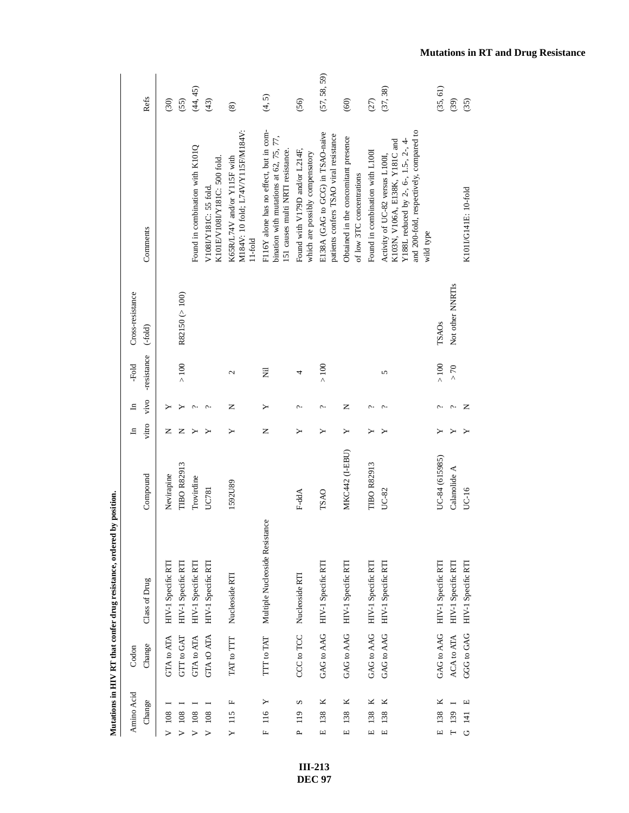| Amino Acid                       | Codon             |                                |                    | $\mathbf{H}$ | $\mathbf{H}$ | -Fold       | Cross-resistance |                                                                                                                                                                   |               |
|----------------------------------|-------------------|--------------------------------|--------------------|--------------|--------------|-------------|------------------|-------------------------------------------------------------------------------------------------------------------------------------------------------------------|---------------|
| Change                           | Change            | Class of Drug                  | Compound           | vitro        | vivo         | -resistance | $(-fold)$        | Comments                                                                                                                                                          | Refs          |
| $V$ 108                          | GTA to ATA        | HIV-1 Specific RTI             | Nevirapine         | z            |              |             |                  |                                                                                                                                                                   | (30)          |
| $V$ 108                          | GTT to GAT        | HIV-1 Specific RTI             | <b>TIBO R82913</b> | z            |              | >100        | R82150 (> 100)   |                                                                                                                                                                   | (55)          |
| $V$ 108                          | GTA to ATA        | HIV-1 Specific RTI             | Trovirdine         | ≻            | ¢            |             |                  | Found in combination with K101Q                                                                                                                                   | (44, 45)      |
| 108                              | <b>GTA tO ATA</b> | HIV-1 Specific RTI             | UC781              | ≻            | ç.           |             |                  | K101E/V108I/Y181C: 500 fold.<br>V108IY181C: 55 fold                                                                                                               | (43)          |
| Щ<br>115<br>Υ                    | TAT to TTT        | Nucleoside RTI                 | 1592U89            | ≻            | z            | 2           |                  | M184V: 10 fold; L74V/Y115F/M184V:<br>K65R/L74V and/or Y115F with<br>$11-fold$                                                                                     | $\circledast$ |
| Щ                                | TTT to TAT        | Multiple Nucleoside Resistance |                    | z            | ≻            | Ē           |                  | F116Y alone has no effect, but in com-<br>bination with mutations at 62, 75, 77,<br>151 causes multi NRTI resistance.                                             | (4, 5)        |
| S<br>119<br>$\mathbf{r}$         | CCC to TCC        | Nucleoside RTI                 | F-ddA              | ≻            | ç.           | 4           |                  | Found with V179D and/or L214F,<br>which are possibly compensatory                                                                                                 | (56)          |
| ×<br>138<br>Щ                    | GAG to AAG        | HIV-1 Specific RTI             | <b>TSAO</b>        | ≻            | ç.           | $\geq 100$  |                  | E138A (GAG to GCG) in TSAO-naive<br>patients confers TSAO viral resistance                                                                                        | (57, 58, 59)  |
| ×<br>138<br>$\Xi$                | GAG to AAG        | HIV-1 Specific RTI             | MKC442 (I-EBU)     | ≻            | z            |             |                  | Obtained in the concomitant presence<br>of low 3TC concentrations                                                                                                 | (60)          |
| ×<br>138<br>Щ                    | GAG to AAG        | HIV-1 Specific RTI             | TIBO R82913        | ≻            | ç.           |             |                  | Found in combination with L100I                                                                                                                                   | (27)          |
| ×<br>138<br>$\boxed{\mathbf{L}}$ | GAG to AAG        | HIV-1 Specific RTI             | UC-82              | ≻            | ç.           | 5           |                  | and 200-fold, respectively, compared to<br>Y188L reduced by 2-, 6-, 1.5-, 2-, 4-<br>K103N, V106A, E138K, Y181C and<br>Activity of UC-82 versus L100I<br>wild type | (37, 38)      |
| ×<br>138<br>$\Box$               | GAG to AAG        | HIV-1 Specific RTI             | UC-84 (615985)     |              | ç.           | $>100$      | TSAOs            |                                                                                                                                                                   | (35, 61)      |
| 139                              | ACA to ATA        | HIV-1 Specific RTI             | Calanolide A       |              | c.,          | $> 70$      | Not other NNRTIs |                                                                                                                                                                   | (39)          |
| щ<br>$\overline{141}$<br>G       | GGG to GAG        | HIV-1 Specific RTI             | UC-16              |              | z            |             |                  | K101I/G141E: 10-fold                                                                                                                                              | (35)          |

> **III-213 DEC 97**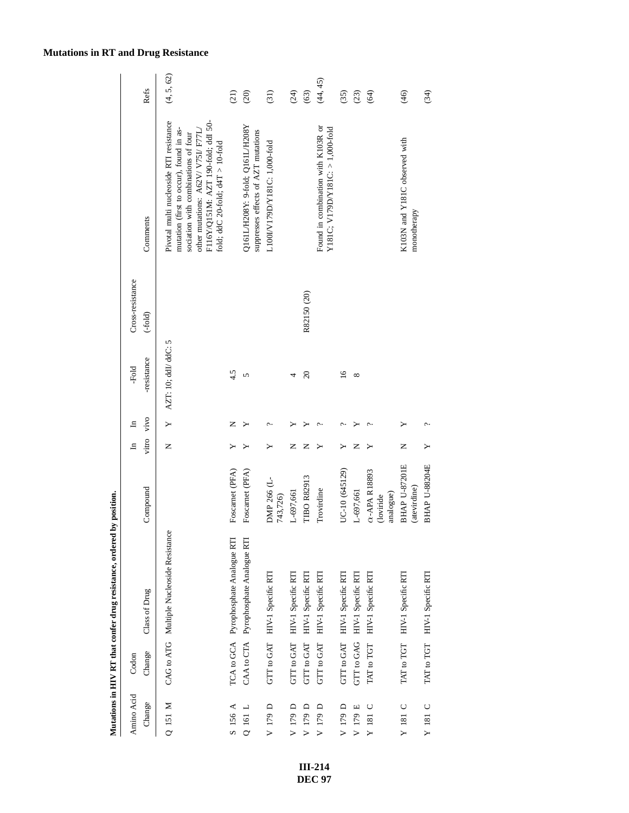| Amino Acid<br>Change | Change<br>Codon | Class of Drug                             | Compound                                       | vitro<br>$\mathbf{H}$ | vivo<br>$\mathbf{H}$ | -resistance<br>-Fold | Cross-resistance<br>$(-fold)$ | Comments                                                                                                                                                                                                                                     | Refs              |
|----------------------|-----------------|-------------------------------------------|------------------------------------------------|-----------------------|----------------------|----------------------|-------------------------------|----------------------------------------------------------------------------------------------------------------------------------------------------------------------------------------------------------------------------------------------|-------------------|
| Q 151 M              |                 | CAG to ATG Multiple Nucleoside Resistance |                                                | Z                     | Υ                    | AZT: 10; ddL/ ddC: 5 |                               | Pivotal multi nucleoside RTI resistance<br>F116Y/Q151M: AZT 190-fold; ddI 50-<br>mutation (first to occur), found in as-<br>other mutations: A62V/ V75I/ F77L,<br>sociation with combinations of four<br>fold; ddC 20-fold; d4T > $10$ -fold | (4, 5, 62)        |
| S 156 A              |                 | TCA to GCA Pyrophosphate Analogue RTI     | Foscarnet (PFA)                                |                       | z                    | 4.5                  |                               |                                                                                                                                                                                                                                              | (21)              |
| Q 161 L              |                 | CAA to CTA Pyrophosphate Analogue RTI     | Foscarnet (PFA)                                |                       |                      | 5                    |                               | Q161L/H208Y: 9-fold; Q161L/H208Y<br>suppresses effects of AZT mutations                                                                                                                                                                      | (20)              |
| V 179 D              |                 | GTT to GAT HIV-1 Specific RTI             | DMP 266 (L-<br>743,726)                        | ≻                     | ب                    |                      |                               | L100I/V179D/Y181C: 1,000-fold                                                                                                                                                                                                                | $\left(31\right)$ |
| V 179 D              |                 | GTT to GAT HIV-1 Specific RTI             | L-697,661                                      | Z                     |                      |                      |                               |                                                                                                                                                                                                                                              | (24)              |
| V 179 D              | GTT to GAT      | HIV-1 Specific RTI                        | <b>TIBO R82913</b>                             | Z                     |                      | $\infty$             | R82150 (20)                   |                                                                                                                                                                                                                                              | (63)              |
| V 179 D              | GTT to GAT      | HIV-1 Specific RTI                        | Trovirdine                                     |                       |                      |                      |                               | Found in combination with K103R or<br>Y181C; V179D/Y181C: > 1,000-fold                                                                                                                                                                       | (44, 45)          |
| V 179 D              |                 | GTT to GAT HIV-1 Specific RTI             | UC-10 (645129)                                 | ≻                     |                      | $\overline{16}$      |                               |                                                                                                                                                                                                                                              | (35)              |
| V 179 E              | GTT to GAG      | HIV-1 Specific RTI                        | L-697,661                                      | Z                     | ≻                    | ${}^{\circ}$         |                               |                                                                                                                                                                                                                                              | (23)              |
| U<br>$\Upsilon$ 181  | TAT to TGT      | HIV-1 Specific RTI                        | $\alpha$ -APA R18893<br>analogue)<br>(loviride | ≻                     |                      |                      |                               |                                                                                                                                                                                                                                              | (64)              |
| Y 181 C              | TAT to TGT      | HIV-1 Specific RTI                        | <b>BHAP U-87201E</b><br>(atevirdine)           | Z                     | ≻                    |                      |                               | K103N and Y181C observed with<br>monotherapy                                                                                                                                                                                                 | (46)              |
| Y 181 C              | TAT to TGT      | HIV-1 Specific RTI                        | <b>BHAP U-88204E</b>                           | ≻                     | ب                    |                      |                               |                                                                                                                                                                                                                                              | (34)              |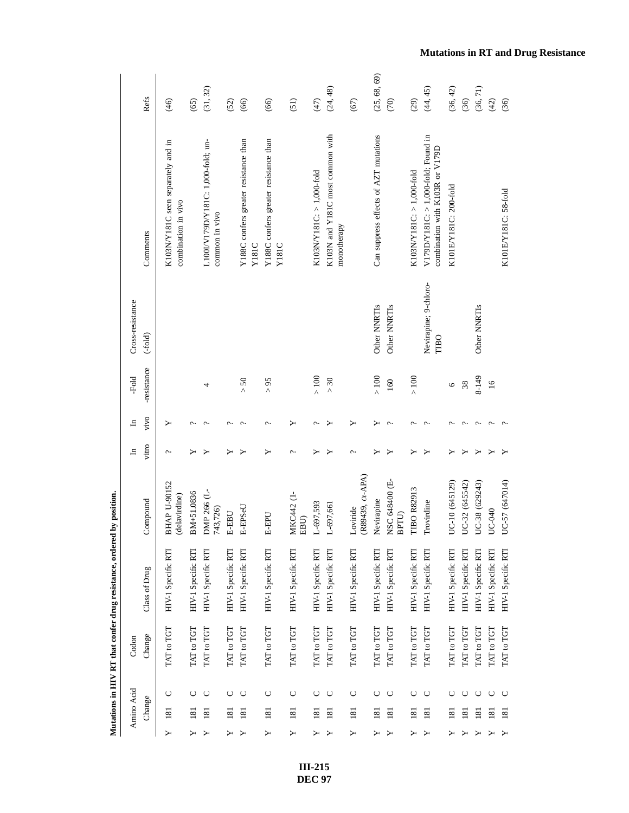|   | Amino Acid       |        | Codon      |                    |                                      | $\mathbf{H}$ | $\mathbf{H}$ | -Fold           | Cross-resistance              |                                                                        |                 |
|---|------------------|--------|------------|--------------------|--------------------------------------|--------------|--------------|-----------------|-------------------------------|------------------------------------------------------------------------|-----------------|
|   | Change           |        | Change     | Class of Drug      | Compound                             | vitro        | vivo         | -resistance     | $(-fold)$                     | Comments                                                               | Refs            |
| ≻ | 181              | $\cup$ | TAT to TGT | HIV-1 Specific RTI | <b>BHAP U-90152</b><br>(delavirdine) | ç.           | ≻            |                 |                               | K103N/Y181C seen separately and in<br>combination in vivo              | (46)            |
|   | 181              | U      | TAT to TGT | HIV-1 Specific RTI | BM+51.0836                           |              | c            |                 |                               |                                                                        | (65)            |
|   | $\overline{18}$  | O      | TAT to TGT | HIV-1 Specific RTI | DMP 266 (L-<br>743,726)              |              | c            | 4               |                               | L100I/V179D/Y181C: 1,000-fold; un-<br>common in vivo                   | (31, 32)        |
|   | 181              | $\cup$ | TAT to TGT | HIV-1 Specific RTI | <b>E-EBU</b>                         |              | c            |                 |                               |                                                                        | (52)            |
|   | 181              | U      | TAT to TGT | HIV-1 Specific RTI | E-EPSeU                              |              | ċ            | > 50            |                               | Y188C confers greater resistance than<br>Y181C                         | (66)            |
| ≻ | 181              | ပ      | TAT to TGT | HIV-1 Specific RTI | <b>E-EPU</b>                         |              | $\sim$       | $56<$           |                               | Y188C confers greater resistance than<br>Y181C                         | (66)            |
| ≻ | 181              | O      | TAT to TGT | HIV-1 Specific RTI | MKC442 (1-<br>EBU)                   | ç.           | ≻            |                 |                               |                                                                        | (51)            |
|   | 181              | O      | TAT to TGT | HIV-1 Specific RTI | L-697,593                            |              |              | $>100$          |                               | K103NY181C: > 1,000-fold                                               | (47)            |
|   | 181              | $\cup$ | TAT to TGT | HIV-1 Specific RTI | $L-697,661$                          |              |              | $>30$           |                               | K103N and Y181C most common with<br>monotherapy                        | (24, 48)        |
| ≻ | 181              | ပ      | TAT to TGT | HIV-1 Specific RTI | (R89439, $\alpha$ -APA)<br>Loviride  | ç.           | ≻            |                 |                               |                                                                        | (67)            |
|   | $\overline{181}$ | $\cup$ | TAT to TGT | HIV-1 Specific RTI | Nevirapine                           |              |              | $>100$          | Other NNRTIs                  | Can suppress effects of AZT mutations                                  | (25, 68, 69)    |
|   | 181              | $\cup$ | TAT to TGT | HIV-1 Specific RTI | NSC 648400 (E-<br>BPTU)              |              |              | 160             | Other NNRTIs                  |                                                                        | $\widetilde{C}$ |
|   | $\overline{181}$ | O      | TAT to TGT | HIV-1 Specific RTI | <b>TBO R82913</b>                    |              | c            | $>100$          |                               | K103N/Y181C: > 1,000-fold                                              | (29)            |
|   | $\overline{18}$  | ပ      | TAT to TGT | HIV-1 Specific RTI | Trovirdine                           |              | c            |                 | Nevirapine; 9-chloro-<br>TIBO | V179D/Y181C: > 1,000-fold; Found in<br>combination with K103R or V179D | (44, 45)        |
|   | $\overline{181}$ | U      | TAT to TGT | HIV-1 Specific RTI | $C-10(645129)$                       |              |              | 6               |                               | K101E/Y181C: 200-fold                                                  | (36, 42)        |
|   | $\overline{181}$ | U      | TAT to TGT | HIV-1 Specific RTI | IC-32 (645542)<br>⊃                  |              |              | $38\,$          |                               |                                                                        | (36)            |
|   | $\overline{181}$ | $\cup$ | TAT to TGT | HIV-1 Specific RTI | UC-38 (629243)                       |              | c            | 8-149           | Other NNRTIs                  |                                                                        | (36, 71)        |
|   | $\overline{181}$ | $\cup$ | TAT to TGT | HIV-1 Specific RTI | <b>IC-040</b>                        |              | ç.           | $\overline{16}$ |                               |                                                                        | (42)            |
|   | $\overline{181}$ | $\cup$ | TAT to TGT | HIV-1 Specific RTI | $C-57(647014)$                       |              |              |                 |                               | K101E/Y181C: 58-fold                                                   | (36)            |

> **III-215 DEC 97**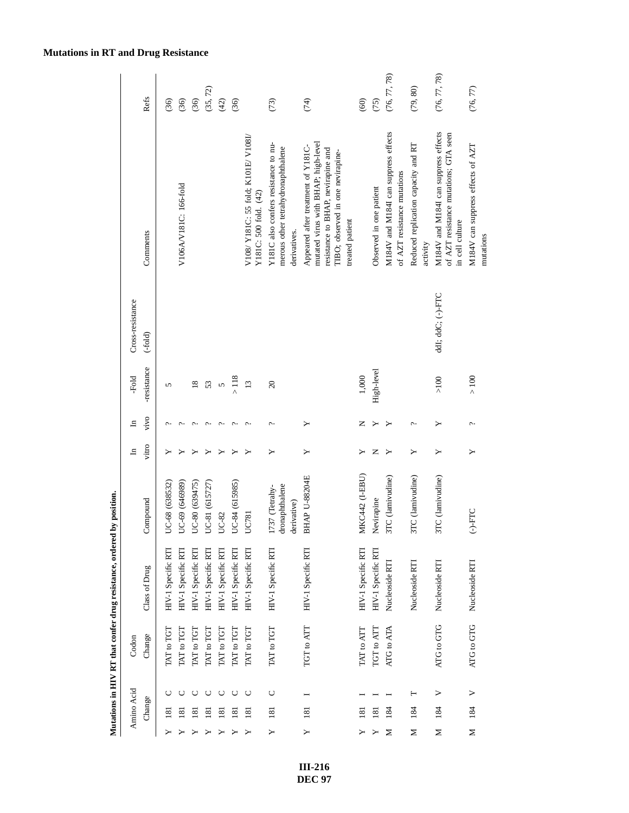|   |                  |                  |            | Mutations in HIV RT that confer drug resistance, ordered | by position.                                    |       |              |                 |                   |                                                                                                                                                                         |              |
|---|------------------|------------------|------------|----------------------------------------------------------|-------------------------------------------------|-------|--------------|-----------------|-------------------|-------------------------------------------------------------------------------------------------------------------------------------------------------------------------|--------------|
|   | Amino Acid       |                  | Codon      |                                                          |                                                 | ᆷ     | ᆷ            | -Fold           | Cross-resistance  |                                                                                                                                                                         |              |
|   | Change           |                  | Change     | Class of Drug                                            | Compound                                        | vitro | vivo         | -resistance     | $(-fold)$         | Comments                                                                                                                                                                | Refs         |
|   | $\overline{18}$  |                  | TAT to TGT | HIV-1 Specific RTI                                       | UC-68 (638532)                                  |       |              | 5               |                   |                                                                                                                                                                         | (36)         |
|   | $\overline{18}$  |                  | TAT to TGT | HIV-1 Specific RTI                                       | UC-69 (646989)                                  |       | ¢            |                 |                   | V106A/V181C: 166-fold                                                                                                                                                   | (36)         |
|   | $\overline{181}$ |                  | TAT to TGT | HIV-1 Specific RTI                                       | UC-80 (639475)                                  | ≻     | ç.           | $\overline{18}$ |                   |                                                                                                                                                                         | (36)         |
|   | $\overline{181}$ | Õ                | TAT to TGT | HIV-1 Specific RTI                                       | UC-81 (615727)                                  |       | Ċ            | 53              |                   |                                                                                                                                                                         | (35, 72)     |
|   | $\overline{8}$   | $\cup$           | TAT to TGT | HIV-1 Specific RTI                                       | UC-82                                           |       | $\sim$       | 5               |                   |                                                                                                                                                                         | (42)         |
|   | $\overline{18}$  | O                | TAT to TGT | HIV-1 Specific RTI                                       | UC-84 (615985)                                  |       | $\sim$       | $>118$          |                   |                                                                                                                                                                         | (36)         |
|   | $\overline{181}$ | $\cup$           | TAT to TGT | HIV-1 Specific RTI                                       | UC781                                           |       | $\sim$       | 13              |                   | V108/Y181C: 55 fold; K101E/V108I/<br>Y181C: 500 fold. (42)                                                                                                              |              |
| ≻ | 181              | $\cup$           | TAT to TGT | HIV-1 Specific RTI                                       | dronaphthalene<br>1737 (Tetrahy-<br>derivative) | ≻     | $\mathbb{C}$ | $\overline{c}$  |                   | Y181C also confers resistance to nu-<br>merous other tetrahydronaphthalene<br>derivatives.                                                                              | (73)         |
|   | <u>181</u>       |                  | TGT to ATT | HIV-1 Specific RTI                                       | <b>BHAP U-88204E</b>                            | ≻     | ≻            |                 |                   | mutated virus with BHAP; high-level<br>Appeared after treatment of Y181C-<br>resistance to BHAP, nevirapine and<br>TIBO; observed in one nevirapine-<br>treated patient | (74)         |
|   | 181              |                  | TAT to ATT | HIV-1 Specific RTI                                       | MKC442 (I-EBU)                                  | ≻     | Z            | 1,000           |                   |                                                                                                                                                                         | (60)         |
|   | $\overline{181}$ |                  | TGT to ATT | HIV-1 Specific RTI                                       | Nevirapine                                      | z     |              | High-level      |                   | Observed in one patient                                                                                                                                                 | (75)         |
| ⋝ | 184              |                  | ATG to ATA | Nucleoside RTI                                           | 3TC (lamivudine)                                | ≻     |              |                 |                   | M184V and M184I can suppress effects<br>of AZT resistance mutations                                                                                                     | (76, 77, 78) |
| Σ | 184              | Н                |            | Nucleoside RTI                                           | 3TC (lamivudine)                                | ≻     | c.           |                 |                   | Reduced replication capacity and RT<br>activity                                                                                                                         | (79, 80)     |
| Z | 184              | >                | ATG to GTG | Nucleoside RTI                                           | 3TC (lamivudine)                                | ≻     | ≻            | $>100$          | ddl; ddC; (-)-FTC | M184V and M184I can suppress effects<br>of AZT resistance mutations; GTA seen<br>in cell culture                                                                        | (76, 77, 78) |
| Σ | 184              | $\triangleright$ | ATG to GTG | Nucleoside RTI                                           | $(-)$ -FTC                                      | ≻     | ç.           | $>100$          |                   | M184V can suppress effects of AZT<br>mutations                                                                                                                          | (76, 77)     |

### **Mutations in RT and Drug Resistance**

**III-216 DEC 97**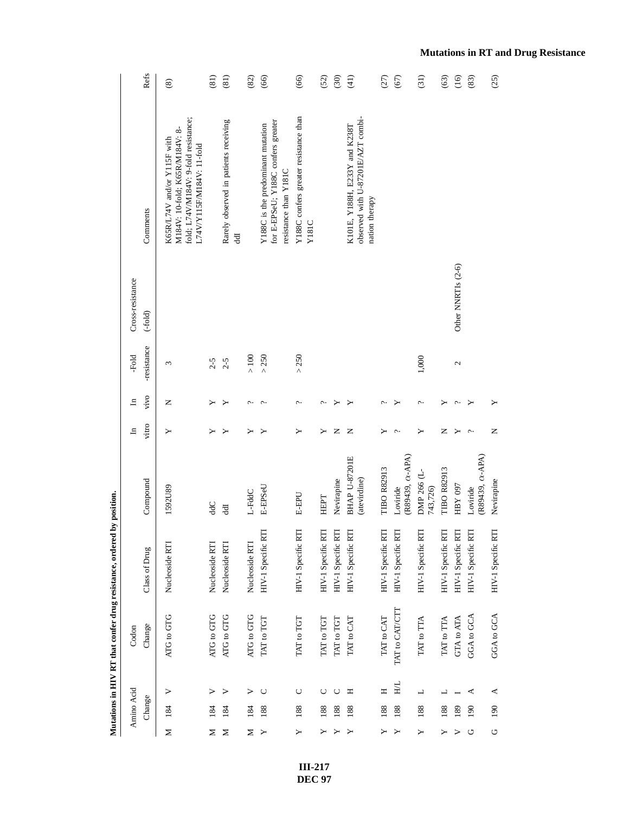|   |            |        |                | Mutations in HIV RT that confer drug resistance, ordered by position. |                                      |        |        |             |                    |                                                                                                                                    |                        |
|---|------------|--------|----------------|-----------------------------------------------------------------------|--------------------------------------|--------|--------|-------------|--------------------|------------------------------------------------------------------------------------------------------------------------------------|------------------------|
|   | Amino Acid |        | Codon          |                                                                       |                                      | 크      | 크      | -Fold       | Cross-resistance   |                                                                                                                                    |                        |
|   | Change     |        | Change         | Class of Drug                                                         | Compound                             | vitro  | vivo   | -resistance | $(-fold)$          | Comments                                                                                                                           | Refs                   |
| Σ | 184        | >      | ATG to GTG     | Nucleoside RTI                                                        | 1592U89                              | ≻      | z      | 3           |                    | fold; L74V/M184V: 9-fold resistance;<br>M184V: 10-fold; K65R/M184V: 8-<br>K65R/L74V and/or Y115F with<br>L74V/Y115F/M184V: 11-fold | $\circledast$          |
| ≍ | 184        | ⋗      | ATG to GTG     | Nucleoside RTI                                                        | ddC                                  |        |        | $2 - 5$     |                    |                                                                                                                                    | $\overline{3}$         |
| Σ | 184        | ⋗      | ATG to GTG     | Nucleoside RTI                                                        | Ę                                    |        |        | $2 - 5$     |                    | Rarely observed in patients receiving<br>ਰੂ                                                                                        | (81)                   |
| Z | 184        | >      | ATG to GTG     | Nucleoside RTI                                                        | L-FddC                               |        | ç.     | $>100$      |                    |                                                                                                                                    | (82)                   |
| ≻ | 188        | C      | TAT to TGT     | HIV-1 Specific RTI                                                    | E-EPSeU                              |        | $\sim$ | $>250$      |                    | for E-EPSeU; Y188C confers greater<br>Y188C is the predominant mutation<br>resistance than Y181C                                   | (66)                   |
| ≻ | 188        | $\cup$ | TAT to TGT     | HIV-1 Specific RTI                                                    | <b>E-EPU</b>                         | ≻      | ç.     | > 250       |                    | Y188C confers greater resistance than<br>Y181C                                                                                     | (66)                   |
|   | 188        | $\cup$ | TAT to TGT     | HIV-1 Specific RTI                                                    | HEPT                                 |        | ç.     |             |                    |                                                                                                                                    | (52)                   |
|   | 188        | $\cup$ | TAT to TGT     | HIV-1 Specific RTI                                                    | Nevirapine                           | Z      | ≻      |             |                    |                                                                                                                                    | (30)                   |
|   | 188        | Ξ      | TAT to CAT     | HIV-1 Specific RTI                                                    | <b>BHAP U-87201E</b><br>(atevirdine) | z      | ≻      |             |                    | observed with U-87201E/AZT combi-<br>K101E, Y188H, E233Y and K238T<br>nation therapy                                               | $\frac{1}{2}$          |
| ≻ | 188        | Η      | TAT to CAT     | HIV-1 Specific RTI                                                    | <b>TIBO R82913</b>                   |        | ç.     |             |                    |                                                                                                                                    | (27)                   |
| ≻ | 188        | HL     | TAT to CAT/CTT | HIV-1 Specific RTI                                                    | (R89439, $\alpha$ -APA)<br>Loviride  | ç.     | ≻      |             |                    |                                                                                                                                    | (67)                   |
| Υ | 188        | ᆜ      | TAT to TTA     | HIV-1 Specific RTI                                                    | DMP 266 (L-<br>743,726)              | ≻      | ç.     | 1,000       |                    |                                                                                                                                    | (31)                   |
|   | 188        | ┙      | TAT to TTA     | HIV-1 Specific RTI                                                    | <b>TIBO R82913</b>                   | z      | ≻      |             |                    |                                                                                                                                    | $\widehat{\mathbb{S}}$ |
| ⋗ | 189        |        | GTA to ATA     | HIV-1 Specific RTI                                                    | HBY 097                              | ≻      | پ      | 2           | Other NNRTIs (2-6) |                                                                                                                                    | (16)                   |
| O | 190        | ⋖      | GGA to GCA     | HIV-1 Specific RTI                                                    | $(R89439, \alpha$ -APA)<br>Loviride  | $\sim$ | ≻      |             |                    |                                                                                                                                    | (83)                   |
| O | 190        | ⋖      | GGA to GCA     | HIV-1 Specific RTI                                                    | Nevirapine                           | Z      | ≻      |             |                    |                                                                                                                                    | (25)                   |

**Mutations in RT and Drug Resistance**

**III-217 DEC 97**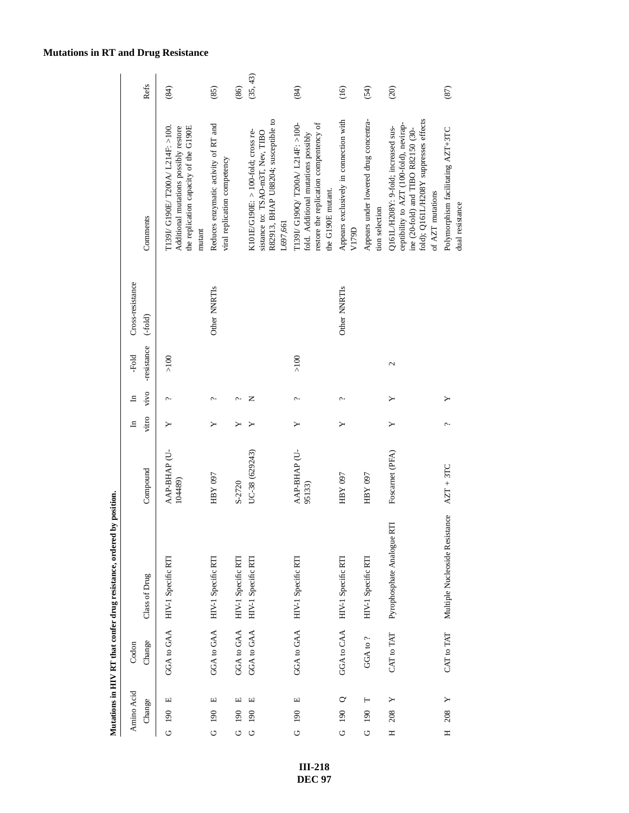|   | Amino Acid<br>Change | Change<br>Codon | Class of Drug                  | Compound                | vitro<br>$\mathbf{H}$ | vivo<br>$\Xi$ | -resistance<br>-Fold | Cross-resistance<br>$(-fold)$ | Comments                                                                                                                                                                          | Refs     |
|---|----------------------|-----------------|--------------------------------|-------------------------|-----------------------|---------------|----------------------|-------------------------------|-----------------------------------------------------------------------------------------------------------------------------------------------------------------------------------|----------|
| O | $\Box$<br>190        |                 | GGA to GAA HIV-1 Specific RTI  | AAP-BHAP (U-<br>104489) |                       | c.            | >100                 |                               | T139I/ G190E/ T200A/ L214F: >100.<br>the replication capacity of the G190E<br>Additional mutations possibly restore<br>mutant                                                     | (84)     |
| O | $\Box$<br>190        |                 | GGA to GAA HIV-1 Specific RTI  | HBY 097                 |                       | ç.            |                      | Other NNRTI <sub>s</sub>      | Reduces enzymatic activity of RT and<br>viral replication competency                                                                                                              | (85)     |
| U | Щ<br>190             | GGA to GAA      | HIV-1 Specific RTI             | S-2720                  | ≻                     | Ċ             |                      |                               |                                                                                                                                                                                   | (86)     |
| U | Щ<br>190             | GGA to GAA      | HIV-1 Specific RTI             | UC-38 (629243)          |                       | z             |                      |                               | R82913, BHAP U88204; susceptible to<br>K101E/G190E: > 100-fold; cross re-<br>sistance to: TSAO-m3T, Nev, TIBO<br>L697,661                                                         | (35, 43) |
| U | $\Box$<br>190        |                 | GGA to GAA HIV-1 Specific RTI  | AAP-BHAP (U-<br>95133)  | ≻                     | c.            | $>100$               |                               | restore the replication compentency of<br>T139I/ G190O/ T200A/ L214F: >100-<br>fold. Additional mutations possibly<br>the G190E mutant.                                           | (84)     |
|   | G 190 Q              |                 | GGA to CAA HIV-1 Specific RTI  | HBY 097                 | ≻                     | ç.            |                      | Other NNRTIs                  | Appears exclusively in connection with<br>V179D                                                                                                                                   | (16)     |
| O | Н<br>190             | GGA to?         | HIV-1 Specific RTI             | HBY 097                 |                       |               |                      |                               | Appears under lowered drug concentra-<br>tion selection                                                                                                                           | (54)     |
| Ξ | 208                  | CAT to TAT      | Pyrophosphate Analogue RTI     | Foscarnet (PFA)         |                       |               | 2                    |                               | fold); Q161L/H208Y suppresses effects<br>ceptibility to AZT (100-fold), nevirap-<br>Q161L/H208Y: 9-fold; increased sus-<br>ine (20-fold) and TIBO R82150 (30-<br>of AZT mutations | (20)     |
| Ξ | 208                  | CAT to TAT      | Multiple Nucleoside Resistance | $AZT + 3TC$             | ç.,                   |               |                      |                               | Polymorphism facilitating AZT+3TC<br>dual resistance                                                                                                                              | (87)     |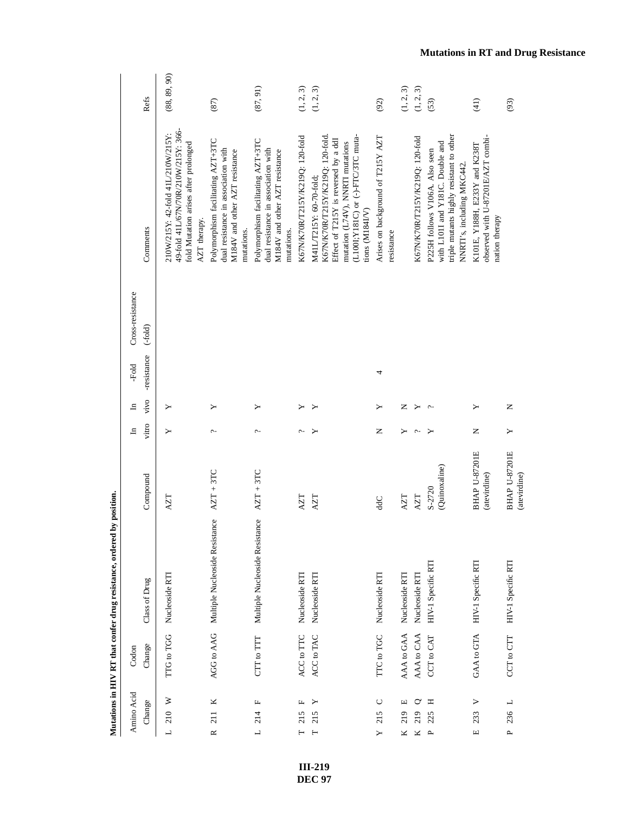| Amino Acid                    | Codon      |                                |                                      | $\mathbf{H}$ | 크    | -Fold       | Cross-resistance |                                                                                                                                                                                                 |              |
|-------------------------------|------------|--------------------------------|--------------------------------------|--------------|------|-------------|------------------|-------------------------------------------------------------------------------------------------------------------------------------------------------------------------------------------------|--------------|
| Change                        | Change     | Class of Drug                  | Compound                             | vitro        | vivo | -resistance | $(-fold)$        | Comments                                                                                                                                                                                        | Refs         |
| $L$ 210 W                     | TTG to TGG | Nucleoside RTI                 | <b>NZT</b>                           | ≻            | ≻    |             |                  | 49-fold 41L/67N/70R/210W/215Y: 366-<br>210W/215Y: 42-fold 41L/210W/215Y:<br>fold Mutation arises after prolonged<br>AZT therapy.                                                                | (88, 89, 90) |
| K<br>211<br>$\approx$         | AGG to AAG | Multiple Nucleoside Resistance | $AZT + 3TC$                          | $\sim$       | ≻    |             |                  | Polymorphism facilitating AZT+3TC<br>dual resistance in association with<br>M184V and other AZT resistance<br>mutations.                                                                        | (87)         |
| щ<br>214<br>$\overline{a}$    | CTT to TTT | Multiple Nucleoside Resistance | $AZT + 3TC$                          | ç.           | ≻    |             |                  | Polymorphism facilitating AZT+3TC<br>dual resistance in association with<br>M184V and other AZT resistance<br>mutations.                                                                        | (87, 91)     |
| Щ<br>215<br>⊢                 | ACC to TTC | Nucleoside RTI                 | XZT                                  | c.           |      |             |                  | K67N/K70R/T215Y/K219Q: 120-fold                                                                                                                                                                 | (1, 2, 3)    |
| ≻<br>215<br>$\vdash$          | ACC to TAC | Nucleoside RTI                 | <b>AZT</b>                           |              |      |             |                  | (L100I;Y181C) or (-)-FTC/3TC muta-<br>K67N/K70R/T215Y/K219Q: 120-fold<br>Effect of T215Y is reversed by a ddI<br>mutation (L74V), NNRTI mutations<br>M41L/T215Y: 60-70-fold;<br>tions (M184I/V) | (1, 2, 3)    |
| $\cup$<br>215<br>$\mathsf{Y}$ | TTC to TGC | Nucleoside RTI                 | <b>JPP</b>                           | Z            | ≻    | 4           |                  | Arises on background of T215Y AZT<br>resistance                                                                                                                                                 | (92)         |
| щ<br>219<br>Κ                 | AAA to GAA | Nucleoside RTI                 | AZT                                  | ≻            | z    |             |                  |                                                                                                                                                                                                 | (1, 2, 3)    |
| ℺<br>219<br>Κ                 | AAA to CAA | Nucleoside RTI                 | <b>AZT</b>                           | ¢            | ≻    |             |                  | K67N/K70R/T215Y/K219Q: 120-fold                                                                                                                                                                 | (1, 2, 3)    |
| Ξ<br>225<br>$\mathbf{a}$      | CCT to CAT | HIV-1 Specific RTI             | (Quinoxaline)<br>S-2720              |              |      |             |                  | triple mutants highly resistant to other<br>with L101I and Y181C. Double and<br>P225H follows V106A. Also seen<br>NNRTI's, including MKC442.                                                    | (53)         |
| ><br>233<br>$\Box$            | GAA to GTA | HIV-1 Specific RTI             | <b>BHAP U-87201E</b><br>(atevirdine) | Z            | ≻    |             |                  | observed with U-87201E/AZT combi-<br>K101E, Y188H, E233Y and K238T<br>nation therapy                                                                                                            | (41)         |
| P 236 L                       | CCT to CTT | HIV-1 Specific RTI             | <b>BHAP U-87201E</b><br>(atevirdine) | ≻            | Z    |             |                  |                                                                                                                                                                                                 | (93)         |

> **III-219 DEC 97**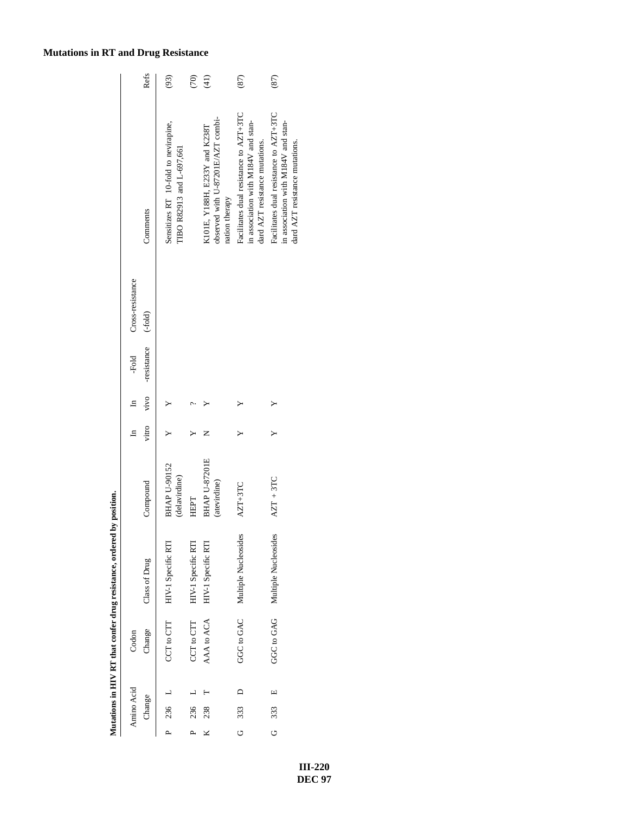|                  | Refs          | (93)                                                              | $\widehat{\mathcal{C}}$ | (41)                                                                                 | (87)                                                                                                            | $\left(8\right)$                                                                                                |
|------------------|---------------|-------------------------------------------------------------------|-------------------------|--------------------------------------------------------------------------------------|-----------------------------------------------------------------------------------------------------------------|-----------------------------------------------------------------------------------------------------------------|
|                  | Comments      | Sensitizes RT 10-fold to nevirapine,<br>TIBO R82913 and L-697,661 |                         | observed with U-87201E/AZT combi-<br>K101E, Y188H, E233Y and K238T<br>nation therapy | Facilitates dual resistance to AZT+3TC<br>in association with M184V and stan-<br>dard AZT resistance mutations. | Facilitates dual resistance to AZT+3TC<br>in association with M184V and stan-<br>dard AZT resistance mutations. |
| Cross-resistance | $(-fold)$     |                                                                   |                         |                                                                                      |                                                                                                                 |                                                                                                                 |
| -Fold            | -resistance   |                                                                   |                         |                                                                                      |                                                                                                                 |                                                                                                                 |
| $\Xi$            | vivo          |                                                                   |                         |                                                                                      |                                                                                                                 |                                                                                                                 |
| ᆷ                | vitro         |                                                                   |                         |                                                                                      |                                                                                                                 |                                                                                                                 |
|                  | Compound      | <b>BHAP U-90152</b><br>(delavirdine)                              | HEPT                    | <b>BHAP U-87201E</b><br>(atevirdine)                                                 | AZT+3TC                                                                                                         | $AZT + 3TC$                                                                                                     |
|                  | Class of Drug | CCT to CTT HIV-1 Specific RTI                                     | HIV-1 Specific RTI      | HIV-1 Specific RTI                                                                   | GGC to GAC Multiple Nucleosides                                                                                 | GGC to GAG Multiple Nucleosides                                                                                 |
| Codon            | Change        |                                                                   | CCT to CTT              | AAA to ACA                                                                           |                                                                                                                 |                                                                                                                 |
|                  |               |                                                                   |                         |                                                                                      | $\overline{\phantom{0}}$                                                                                        | щ                                                                                                               |
| Amino Acid       | Change        | $236$ L                                                           | 236                     | 238                                                                                  | 333                                                                                                             | 333                                                                                                             |
|                  |               |                                                                   |                         |                                                                                      | ن                                                                                                               | O                                                                                                               |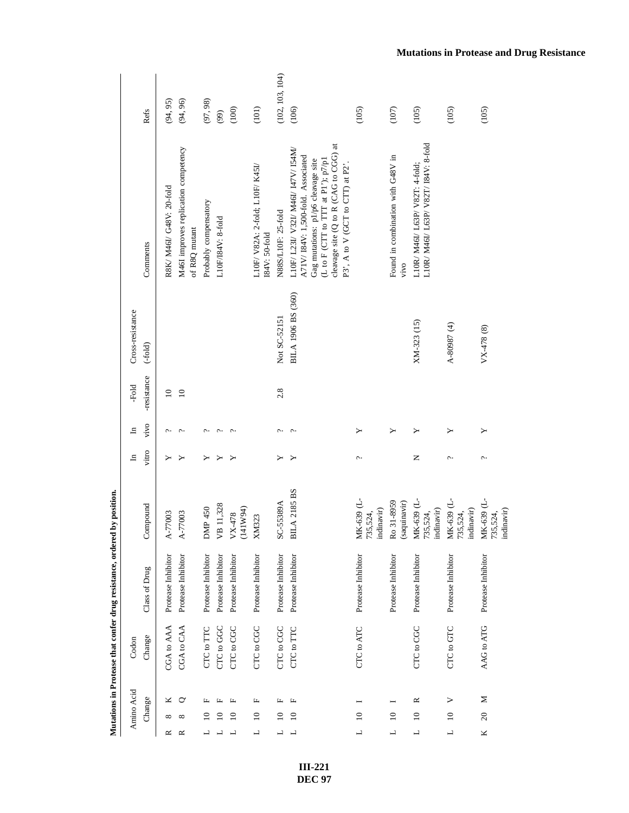|                  | Refs          | (94, 95)                 | (94, 96)                                              | (97, 98)              | (99)               | (100)              | (101)                                            | (102, 103, 104)     | (106)                                                                                                                                                                                                                              | (105)                                | (107)                                     | (105)                                                               | (105)                                | (105)                                |
|------------------|---------------|--------------------------|-------------------------------------------------------|-----------------------|--------------------|--------------------|--------------------------------------------------|---------------------|------------------------------------------------------------------------------------------------------------------------------------------------------------------------------------------------------------------------------------|--------------------------------------|-------------------------------------------|---------------------------------------------------------------------|--------------------------------------|--------------------------------------|
|                  | Comments      | R8K/ M46I/ G48V: 20-fold | M46I improves replication competency<br>of R8Q mutant | Probably compensatory | L10F/I84V: 8-fold  |                    | L10F/ V82A: 2-fold; L10F/ K45I/<br>I84V: 50-fold | N88S/L10F: 25-fold  | cleavage site (Q to R (CAG to CGG) at<br>L10F/ L23I/ V32I/ M46I/ 147V/ I54M/<br>A71V/I84V: 1,500-fold. Associated<br>Gag mutations: p1/p6 cleavage site<br>(L to F (CTT to TTT at P1'); $p7/p1$<br>P3', A to V (GCT to CTT) at P2' |                                      | Found in combination with G48V in<br>vivo | L10R/M46L/L63P/V82T/I84V: 8-fold<br>L10R/ M46I/ L63P/ V82T: 4-fold; |                                      |                                      |
| Cross-resistance | $(-fold)$     |                          |                                                       |                       |                    |                    |                                                  | Not SC-52151        | BILA 1906 BS (360)                                                                                                                                                                                                                 |                                      |                                           | XM-323 (15)                                                         | A-80987 (4)                          | VX-478 (8)                           |
| -Fold            | -resistance   | $\overline{10}$          | $\overline{10}$                                       |                       |                    |                    |                                                  | 2.8                 |                                                                                                                                                                                                                                    |                                      |                                           |                                                                     |                                      |                                      |
| ュ                | vivo          | ᠭ                        | $\hat{\phantom{a}}$                                   | c.                    | $\sim$             | $\sim$             |                                                  | $\sim$              | $\sim$                                                                                                                                                                                                                             | ≻                                    | ≻                                         |                                                                     | Υ                                    | ≻                                    |
| $\mathbf{H}$     | vitro         | ≻                        | ≻                                                     | ≻                     | ≻                  | ≻                  |                                                  | ≻                   | ≻                                                                                                                                                                                                                                  | $\sim$                               |                                           | z                                                                   | c.                                   | c.                                   |
|                  | Compound      | A-77003                  | A-77003                                               | DMP 450               | VB 11,328          | (141W94)<br>VX-478 | XM323                                            | SC-55389A           | <b>BILA 2185 BS</b>                                                                                                                                                                                                                | MK-639 (L-<br>735,524,<br>indinavir) | Ro 31-8959<br>(saquinavir)                | MK-639 (L-<br>indinavir)<br>735,524,                                | MK-639 (L-<br>735,524,<br>indinavir) | MK-639 (L-<br>735,524,<br>indinavir) |
|                  | Class of Drug | Protease Inhibitor       | Protease Inhibitor                                    | Protease Inhibitor    | Protease Inhibitor | Protease Inhibitor | Protease Inhibitor                               | Protease Inhibitor  | Protease Inhibitor                                                                                                                                                                                                                 | Protease Inhibitor                   | Protease Inhibitor                        | Protease Inhibitor                                                  | Protease Inhibitor                   | Protease Inhibitor                   |
| Codon            | Change        | CGA to AAA               | CGA to CAA                                            | CTC to TTC            | CTC to GGC         | CTC to CGC         | CTC to CGC                                       | CTC to CGC          | CTC to TTC                                                                                                                                                                                                                         | CTC to ATC                           |                                           | CTC to CGC                                                          | CTC to GTC                           | AAG to ATG                           |
| Amino Acid       | Change        | ×<br>∞<br>≃              | $\circ$<br>≃                                          |                       |                    | щ<br>$\approx$     | щ<br>$\approx$<br>┙                              | щ<br>$\approx$<br>┙ | щ<br>$\overline{10}$<br>┙                                                                                                                                                                                                          | $\overline{10}$<br>$\overline{a}$    | $\approx$<br>$\overline{\phantom{0}}$     | $\approx$<br>$\overline{10}$<br>ᆜ                                   | ><br>$\overline{10}$<br>┙            | $\geq$<br>20<br>K                    |

> **III-221 DEC 97**

### **Mutations in Protease and Drug Resistance**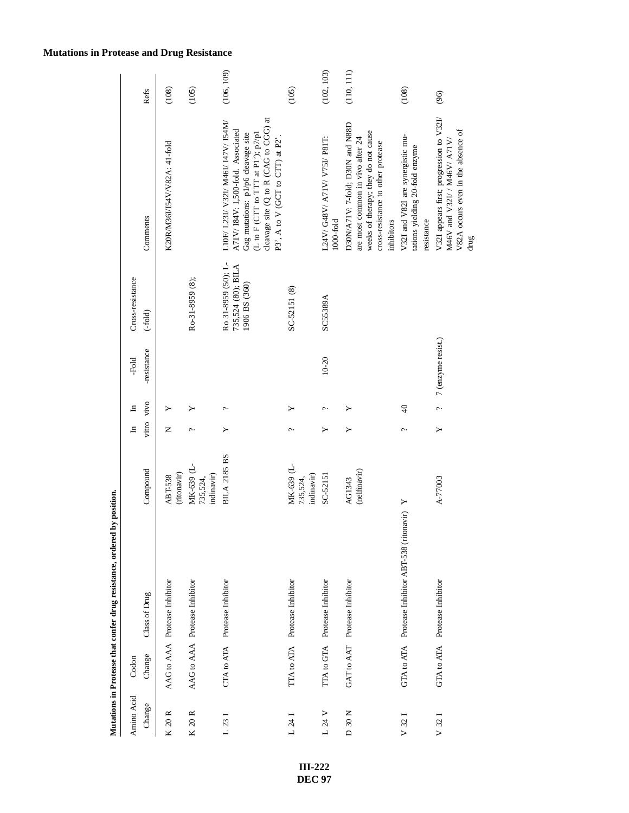| Amino Acid       | Codon  |                                                     |                                      | $\mathbf{H}$ | $\mathbf{H}$    | -Fold              | Cross-resistance                                           |                                                                                                                                                                                                                                     |            |
|------------------|--------|-----------------------------------------------------|--------------------------------------|--------------|-----------------|--------------------|------------------------------------------------------------|-------------------------------------------------------------------------------------------------------------------------------------------------------------------------------------------------------------------------------------|------------|
| Change           | Change | Class of Drug                                       | Compound                             | vitro vivo   |                 | -resistance        | $(-fold)$                                                  | Comments                                                                                                                                                                                                                            | Refs       |
| K 20 R           |        | AAG to AAA Protease Inhibitor                       | (ritonavir)<br><b>ABT-538</b>        | Z            |                 |                    |                                                            | K20R/M36I/I54V/V82A: 41-fold                                                                                                                                                                                                        | (108)      |
| K 20 R           |        | AAG to AAA Protease Inhibitor                       | MK-639 (L-<br>indinavir)<br>735,524, | c.           |                 |                    | Ro-31-8959 (8);                                            |                                                                                                                                                                                                                                     | (105)      |
| L231             |        | CTA to ATA Protease Inhibitor                       | <b>BILA 2185 BS</b>                  | ≻            | ç.              |                    | Ro 31-8959 (50); L-<br>735,524 (80); BILA<br>1906 BS (360) | cleavage site (Q to R (CAG to CGG) at<br>L10F/ L23I/ V32I/ M46I/ I47V/ I54M/<br>A71V/I84V: 1,500-fold. Associated<br>(L to F (CTT to TTT at P1'); $p7/p1$<br>Gag mutations: p1/p6 cleavage site<br>P3', A to V (GCT to CTT) at P2'. | (106, 109) |
| L24I             |        | TTA to ATA Protease Inhibitor                       | MK-639 (L-<br>indinavir)<br>735,524, | ç.,          |                 |                    | SC-52151 (8)                                               |                                                                                                                                                                                                                                     | (105)      |
| L 24 V           |        | TTA to GTA Protease Inhibitor                       | SC-52151                             | ≻            | c.              | $10 - 20$          | SC55389A                                                   | L24V/G48V/A71V/V75I/P81T:<br>$1000-fold$                                                                                                                                                                                            | (102, 103) |
| D 30 N           |        | GAT to AAT Protease Inhibitor                       | (nelfinavir)<br>AG1343               | ≻            |                 |                    |                                                            | D30N/A71V: 7-fold; D30N and N88D<br>weeks of therapy; they do not cause<br>are most common in vivo after 24<br>cross-resistance to other protease<br>inhibitors                                                                     | (110, 111) |
| V <sub>321</sub> |        | GTA to ATA Protease Inhibitor ABT-538 (ritonavir) Y |                                      | c.           | $\overline{40}$ |                    |                                                            | V32I and V82I are synergistic mu-<br>tations yielding 20-fold enzyme<br>resistance                                                                                                                                                  | (108)      |
| $V$ 32           |        | GTA to ATA Protease Inhibitor                       | A-77003                              | ≻            | ç.              | 7 (enzyme resist.) |                                                            | V321 appears first; progression to V32I/<br>V82A occurs even in the absence of<br>M46V and V32I/ / M46V/ A71V/<br>drug                                                                                                              | (96)       |

**Mutations in Protease and Drug Resistance**

**III-222 DEC 97**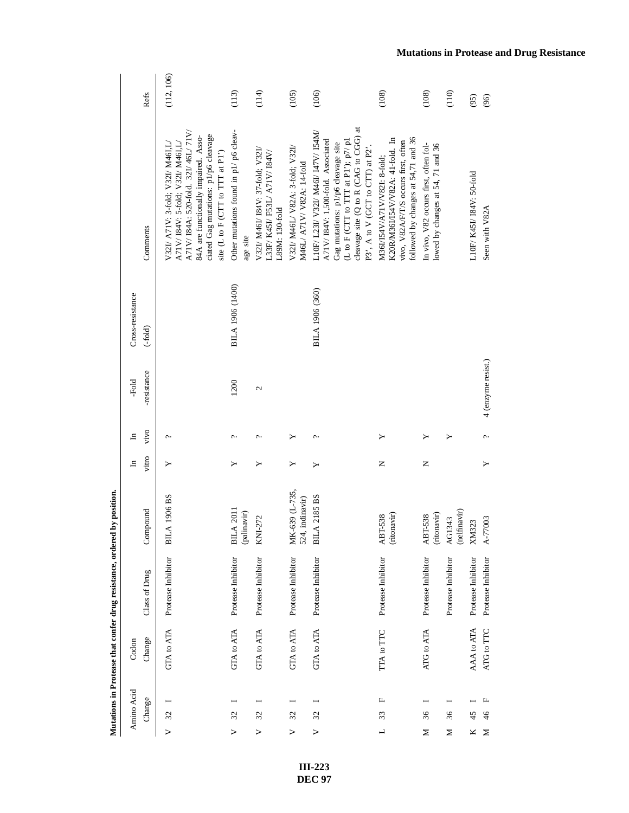| Amino Acid                         | Codon      |                    |                                   | $\Xi$    | $\Xi$ | -Fold              | Cross-resistance |                                                                                                                                                                                                                                     |            |
|------------------------------------|------------|--------------------|-----------------------------------|----------|-------|--------------------|------------------|-------------------------------------------------------------------------------------------------------------------------------------------------------------------------------------------------------------------------------------|------------|
| Change                             | Change     | Class of Drug      | Compound                          | vitro    | vivo  | -resistance        | $(-fold)$        | Comments                                                                                                                                                                                                                            | Refs       |
| $V$ 32                             | GTA to ATA | Protease Inhibitor | <b>A 1906 BS</b><br>$_{\rm BH}$   | ≻        | c.    |                    |                  | A71V/I84A: 520-fold. 32I/46L/71V/<br>ciated Gag mutations: p1/p6 cleavage<br>84A are functionally impaired. Asso-<br>A71V/I84V: 5-fold; V32I/M46I,L/<br>V32I/ A71V: 3-fold; V32I/ M46I,L/<br>site (L to F (CTT to TTT at P1')       | (112, 106) |
| $\mathfrak{L}$<br>>                | GTA to ATA | Protease Inhibitor | $A$ 2011<br>(palinavir)<br>БI     | ≻        | ç.    | 1200               | BILA 1906 (1400) | Other mutations found in p1/ p6 cleav-<br>age site                                                                                                                                                                                  | (113)      |
| $\mathfrak{L}$<br>$\geq$           | GTA to ATA | Protease Inhibitor | KNI-272                           | ≻        | c.    | 2                  |                  | V32I/ M46I/ I84V: 37-fold; V32I/<br>L33F/ K45I/ F53L/ A71V/184V/<br>L89M: 130-fold                                                                                                                                                  | (114)      |
| $\mathcal{Z}$<br>$\geq$            | GTA to ATA | Protease Inhibitor | MK-639 (L-735,<br>524, indinavir) | ≻        |       |                    |                  | V32I/ M46L/ V82A: 3-fold; V32I/<br>M46L/ A71V/ V82A: 14-fold                                                                                                                                                                        | (105)      |
| $\mathfrak{L}$<br>$\triangleright$ | GTA to ATA | Protease Inhibitor | A 2185 BS<br>БI                   | ≻        | c.    |                    | BILA 1906 (360)  | cleavage site (Q to R (CAG to CGG) at<br>L10F/ L23I/ V32I/ M46I/ I47V/ I54M/<br>A71V/I84V: 1,500-fold. Associated<br>(L to F (CTT to TTT at P1'); $p7/p1$<br>Gag mutations: p1/p6 cleavage site<br>P3', A to V (GCT to CTT) at P2'. | (106)      |
| щ<br>33<br>$\overline{a}$          | TTA to TTC | Protease Inhibitor | (ritonavir)<br>ABT-538            | Z        | ≻     |                    |                  | followed by changes at 54,71 and 36<br>K20RM36I/I54V/V82A: 41-fold. In<br>vivo, V82A/F/T/S occurs first, often<br>M36I/I54V/A71V/V82I: 8-fold;                                                                                      | (108)      |
| 36<br>Σ                            | ATG to ATA | Protease Inhibitor | (ritonavir)<br><b>ABT-538</b>     | $\simeq$ |       |                    |                  | In vivo, V82 occurs first, often fol-<br>lowed by changes at 54, 71 and 36                                                                                                                                                          | (108)      |
| 36<br>Σ                            |            | Protease Inhibitor | (nelfinavir)<br>AG1343            |          | ≻     |                    |                  |                                                                                                                                                                                                                                     | (110)      |
| 45<br>Κ                            | AAA to ATA | Protease Inhibitor | XM323                             |          |       |                    |                  | L10F/ K45I/ I84V: 50-fold                                                                                                                                                                                                           | (95)       |
| щ<br>$\frac{4}{6}$<br>Σ            | ATG to TTC | Protease Inhibitor | A-77003                           |          | ç.    | 4 (enzyme resist.) |                  | Seen with V82A                                                                                                                                                                                                                      | (96)       |

> **III-223 DEC 97**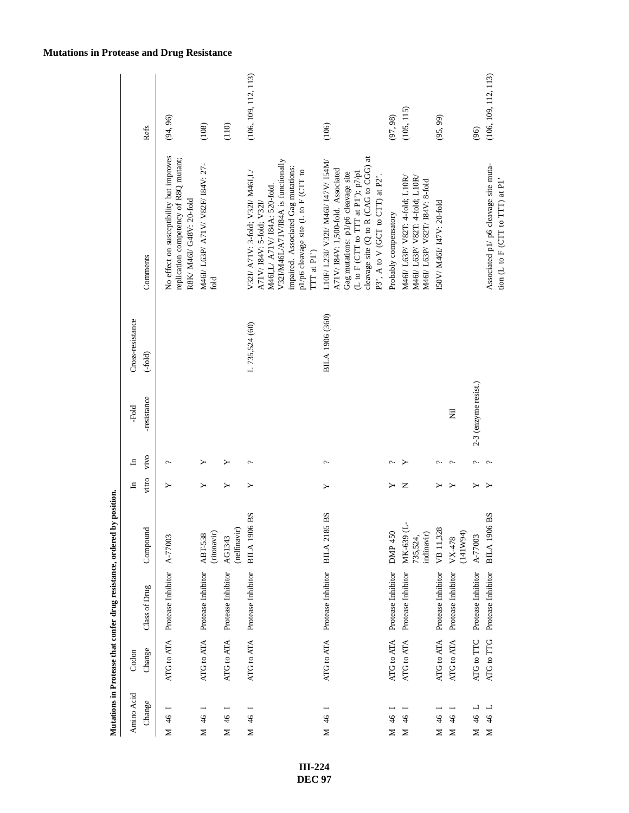|                               |            |                               | Mutations in Protease that confer drug resistance, ordered by position. |              |       |                      |                  |                                                                                                                                                                                                                                     |                      |
|-------------------------------|------------|-------------------------------|-------------------------------------------------------------------------|--------------|-------|----------------------|------------------|-------------------------------------------------------------------------------------------------------------------------------------------------------------------------------------------------------------------------------------|----------------------|
| Amino Acid                    | Codon      |                               |                                                                         | $\mathbf{H}$ | $\Xi$ | -Fold                | Cross-resistance |                                                                                                                                                                                                                                     |                      |
| Change                        | Change     | Class of Drug                 | nd<br>Compou                                                            | vitro        | vivo  | -resistance          | $(-fold)$        | Comments                                                                                                                                                                                                                            | Refs                 |
| $\frac{4}{6}$<br>⊠            | ATG to ATA | Protease Inhibitor            | A-77003                                                                 |              |       |                      |                  | No effect on susceptibility but improves<br>replication competency of R8Q mutant;<br>R8K/ M46I/ G48V: 20-fold                                                                                                                       | (94, 96)             |
| $\frac{46}{5}$<br>Σ           | ATG to ATA | Protease Inhibitor            | (ritonavir)<br>ABT-538                                                  | ≻            |       |                      |                  | M46I/ L63P/ A71V/ V82F/ I84V: 27-<br>fold                                                                                                                                                                                           | (108)                |
| $\frac{4}{6}$<br>Z            |            | ATG to ATA Protease Inhibitor | (nelfinavir)<br>AG1343                                                  | ≻            |       |                      |                  |                                                                                                                                                                                                                                     | (110)                |
| $\frac{4}{6}$<br>Σ            | ATG to ATA | Protease Inhibitor            | <b>BILA 1906 BS</b>                                                     | ≻            | پ     |                      | L 735,524 (60)   | V32I/M46L/A71V/I84A is functionally<br>impaired. Associated Gag mutations:<br>p1/p6 cleavage site (L to F (CTT to<br>V32I/ A71V: 3-fold: V32I/ M46I.L/<br>M46I,L/ A71V/ I84A: 520-fold.<br>A71V/I84V: 5-fold; V32I/<br>TTT at P1')  | (106, 109, 112, 113) |
| $\frac{4}{6}$<br>⊠            | ATG to ATA | Protease Inhibitor            | 85 BS<br>BILA <sub>21</sub>                                             | ≻            | ç.    |                      | BILA 1906 (360)  | cleavage site (Q to R (CAG to CGG) at<br>L10F/ L23I/ V32I/ M46I/ 147V/ I54M/<br>A71V/I84V: 1,500-fold. Associated<br>Gag mutations: p1/p6 cleavage site<br>(L to F (CTT to TTT at P1'); $p7/p1$<br>P3', A to V (GCT to CTT) at P2'. | (106)                |
| $\frac{4}{6}$<br>≿            | ATG to ATA | Protease Inhibitor            | DMP 450                                                                 |              |       |                      |                  | Probably compensatory                                                                                                                                                                                                               | (97, 98)             |
| $\frac{4}{6}$<br>Σ            | ATG to ATA | Protease Inhibitor            | MK-639 (L-<br>indinavir)<br>735,524,                                    | z            |       |                      |                  | M46I/ L63P/ V82T: 4-fold; L10R/<br>M46I/ L63P/ V82T: 4-fold; L10R/<br>M46I/ L63P/ V82T/ I84V: 8-fold                                                                                                                                | (105, 115)           |
| $\frac{4}{6}$<br>Z            | ATG to ATA | Protease Inhibitor            | VB 11,328                                                               |              |       |                      |                  | ISOV/ M46I/ I47V: 20-fold                                                                                                                                                                                                           | (95, 99)             |
| $\frac{4}{6}$<br>Σ            | ATG to ATA | Protease Inhibitor            | VX-478<br>(141W94)                                                      |              |       | Ē                    |                  |                                                                                                                                                                                                                                     |                      |
| ᆜ<br>$\frac{46}{5}$<br>$\geq$ | ATG to TTC | Protease Inhibitor            | A-77003                                                                 |              |       | 2-3 (enzyme resist.) |                  |                                                                                                                                                                                                                                     | (96)                 |
| $\frac{4}{6}$<br>$\geq$       | ATG to TTG | Protease Inhibitor            | <b>BILA 1906 BS</b>                                                     |              |       |                      |                  | Associated p1/ p6 cleavage site muta-<br>tion $(L$ to $F$ (CTT to TTT) at P1'                                                                                                                                                       | (106, 109, 112, 113) |

### **Mutations in Protease and Drug Resistance**

**III-224 DEC 97**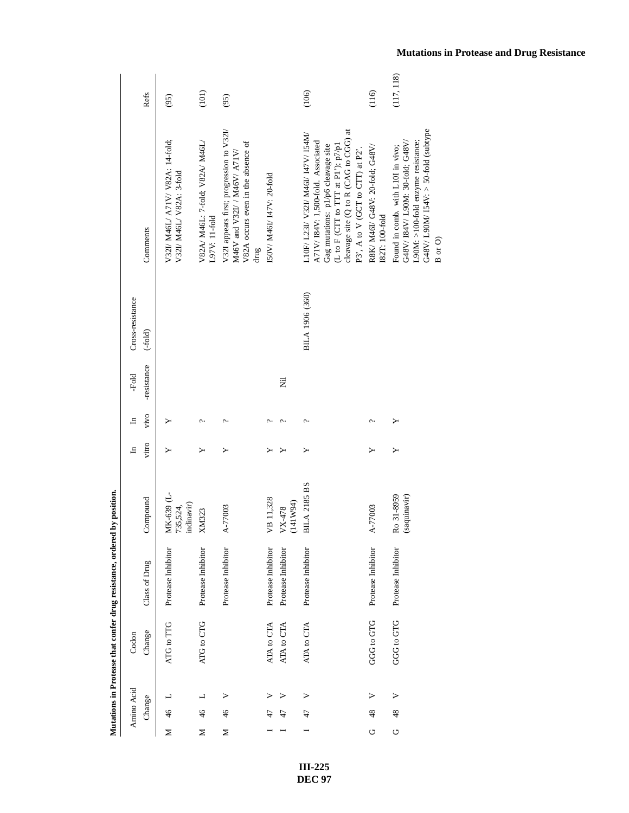|                  | Refs          | (95)                                                         | (101)                                            | (95)                                                                                                                   |                           |                      | (106)                                                                                                                                                                                                                               | (116)                                             | (117, 118)                                                                                                                                                 |
|------------------|---------------|--------------------------------------------------------------|--------------------------------------------------|------------------------------------------------------------------------------------------------------------------------|---------------------------|----------------------|-------------------------------------------------------------------------------------------------------------------------------------------------------------------------------------------------------------------------------------|---------------------------------------------------|------------------------------------------------------------------------------------------------------------------------------------------------------------|
|                  | Comments      | V32I/ M46L/ A71V/ V82A: 14-fold;<br>V32I/ M46L/ V82A: 3-fold | V82A/ M46L: 7-fold; V82A/ M46L/<br>L97V: 11-fold | V321 appears first; progression to V32I/<br>V82A occurs even in the absence of<br>M46V and V32I/ / M46V/ A71V/<br>drug | I50V/ M46I/ I47V: 20-fold |                      | cleavage site (Q to R (CAG to CGG) at<br>L10F/ L23I/ V32I/ M46I/ I47V/ I54M/<br>A71V/I84V: 1,500-fold. Associated<br>(L to F (CTT to TTT at P1'); $p7/p1$<br>Gag mutations: p1/p6 cleavage site<br>P3', A to V (GCT to CTT) at P2'. | R8K/ M46I/ G48V: 20-fold; G48V/<br>I82T: 100-fold | G48V/L90M/I54V: > 50-fold (subtype<br>L90M: >100-fold enzyme resistance;<br>G48V/I84V/L90M: 30-fold; G48V/<br>Found in comb. with L10I in vivo;<br>B or O) |
| Cross-resistance | $(-fold)$     |                                                              |                                                  |                                                                                                                        |                           |                      | BILA 1906 (360)                                                                                                                                                                                                                     |                                                   |                                                                                                                                                            |
| -Fold            | -resistance   |                                                              |                                                  |                                                                                                                        |                           | Ξ                    |                                                                                                                                                                                                                                     |                                                   |                                                                                                                                                            |
| ᄇ                | vivo          |                                                              | c.                                               | Ċ                                                                                                                      | ¢                         | c.                   | ç.                                                                                                                                                                                                                                  | ç.                                                |                                                                                                                                                            |
| $\mathbf{H}$     | vitro         |                                                              |                                                  |                                                                                                                        |                           |                      |                                                                                                                                                                                                                                     |                                                   |                                                                                                                                                            |
|                  | Compound      | MK-639 (L-<br>indinavir)<br>735,524,                         | XM323                                            | A-77003                                                                                                                | VB 11,328                 | (141W94)<br>$VX-478$ | <b>BILA 2185 BS</b>                                                                                                                                                                                                                 | A-77003                                           | Ro 31-8959<br>(saquinavir)                                                                                                                                 |
|                  | Class of Drug | Protease Inhibitor                                           | Protease Inhibitor                               | Protease Inhibitor                                                                                                     | Protease Inhibitor        | Protease Inhibitor   | Protease Inhibitor                                                                                                                                                                                                                  | Protease Inhibitor                                | Protease Inhibitor                                                                                                                                         |
| Codon            | Change        | ATG to TTG                                                   | ATG to CTG                                       |                                                                                                                        | ATA to CTA                | ATA to CTA           | ATA to CTA                                                                                                                                                                                                                          | GGG to GTG                                        | GGG to GTG                                                                                                                                                 |
|                  |               |                                                              | ┙                                                | ⋗                                                                                                                      |                           |                      | >                                                                                                                                                                                                                                   | ⋗                                                 | $\triangleright$                                                                                                                                           |
| Amino Acid       | Change        | $\frac{46}{5}$                                               | 46                                               | 46                                                                                                                     |                           |                      | 47                                                                                                                                                                                                                                  | 48                                                | 48                                                                                                                                                         |
|                  |               | Σ                                                            | z                                                | Σ                                                                                                                      |                           |                      |                                                                                                                                                                                                                                     | O                                                 | U                                                                                                                                                          |

> **III-225 DEC 97**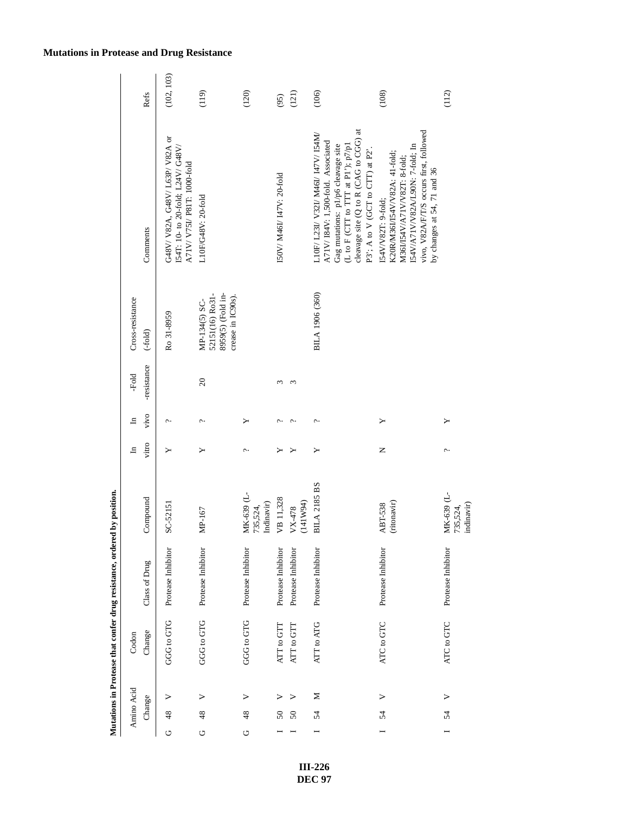|                  | Refs          | (102, 103)                                                                                       | (119)                                                                      | (120)                                | (95)                      | (121)                | (106)                                                                                                                                                                                                                              | (108)                                                                                                                                                                                            | (112)                    |
|------------------|---------------|--------------------------------------------------------------------------------------------------|----------------------------------------------------------------------------|--------------------------------------|---------------------------|----------------------|------------------------------------------------------------------------------------------------------------------------------------------------------------------------------------------------------------------------------------|--------------------------------------------------------------------------------------------------------------------------------------------------------------------------------------------------|--------------------------|
|                  | Comments      | G48V/V82A, G48V/L63P/V82A or<br>I54T: 10- to 20-fold; L24V/ G48V/<br>A71V/ V75I/ P81T: 1000-fold | L10F/G48V: 20-fold                                                         |                                      | ISOV/ M46I/ I47V: 20-fold |                      | cleavage site (Q to R (CAG to CGG) at<br>L10F/ L23I/ V32I/ M46I/ 147V/ I54M/<br>A71V/I84V: 1,500-fold. Associated<br>(L to F (CTT to TTT at P1'); $p7/p1$<br>Gag mutations: p1/p6 cleavage site<br>P3; A to V (GCT to CTT) at P2'. | vivo, V82A/F/T/S occurs first, followed<br>I54V/A71V/V82A/L90N: 7-fold; In<br>K20R/M36I/I54V/V82A: 41-fold;<br>M36I/I54V/A71V/V82T: 8-fold;<br>by changes at 54, 71 and 36<br>IS4V/V82T: 9-fold; |                          |
| Cross-resistance | $(-fold)$     | Ro 31-8959                                                                                       | 8959(5) (Fold in-<br>52151(16) Ro31-<br>crease in IC90s).<br>MP-134(5) SC- |                                      |                           |                      | BILA 1906 (360)                                                                                                                                                                                                                    |                                                                                                                                                                                                  |                          |
| -Fold            | -resistance   |                                                                                                  | $\infty$                                                                   |                                      | 3                         | S                    |                                                                                                                                                                                                                                    |                                                                                                                                                                                                  |                          |
| $\mathbf{H}$     | vivo          | c.                                                                                               | c.                                                                         | ≻                                    | ç.                        | ç.                   | ç.                                                                                                                                                                                                                                 | ≻                                                                                                                                                                                                | ≻                        |
| 모                | vitro         | ≻                                                                                                | ≻                                                                          | c.                                   |                           |                      | ≻                                                                                                                                                                                                                                  | Z                                                                                                                                                                                                | $\overline{\phantom{0}}$ |
|                  | Compound      | SC-52151                                                                                         | MP-167                                                                     | MK-639 (L-<br>Indinavir)<br>735,524, | VB 11,328                 | (141W94)<br>$VX-478$ | <b>BILA 2185 BS</b>                                                                                                                                                                                                                | (ritonavir)<br><b>ABT-538</b>                                                                                                                                                                    | MK-639 (L-<br>735,524,   |
|                  | Class of Drug | Protease Inhibitor                                                                               | Protease Inhibitor                                                         | Protease Inhibitor                   | Protease Inhibitor        | Protease Inhibitor   | Protease Inhibitor                                                                                                                                                                                                                 | Protease Inhibitor                                                                                                                                                                               | Protease Inhibitor       |
| Codon            | Change        | GGG to GTG                                                                                       | GGG to GTG                                                                 | GGG to GTG                           | ATT to GTT                | ATT to GTT           | ATT to ATG                                                                                                                                                                                                                         | ATC to GTC                                                                                                                                                                                       | ATC to GTC               |
|                  |               | ⋗                                                                                                | >                                                                          | ⋗                                    | ⋗                         |                      | Σ                                                                                                                                                                                                                                  | >                                                                                                                                                                                                | >                        |
| Amino Acid       | Change        | 48                                                                                               | 48                                                                         | 48                                   | 50                        | $50\,$               | 54                                                                                                                                                                                                                                 | 54                                                                                                                                                                                               | 54                       |
|                  |               | ゥ                                                                                                | U                                                                          | O                                    |                           |                      |                                                                                                                                                                                                                                    |                                                                                                                                                                                                  |                          |

### **Mutations in Protease and Drug Resistance**

**III-226 DEC 97**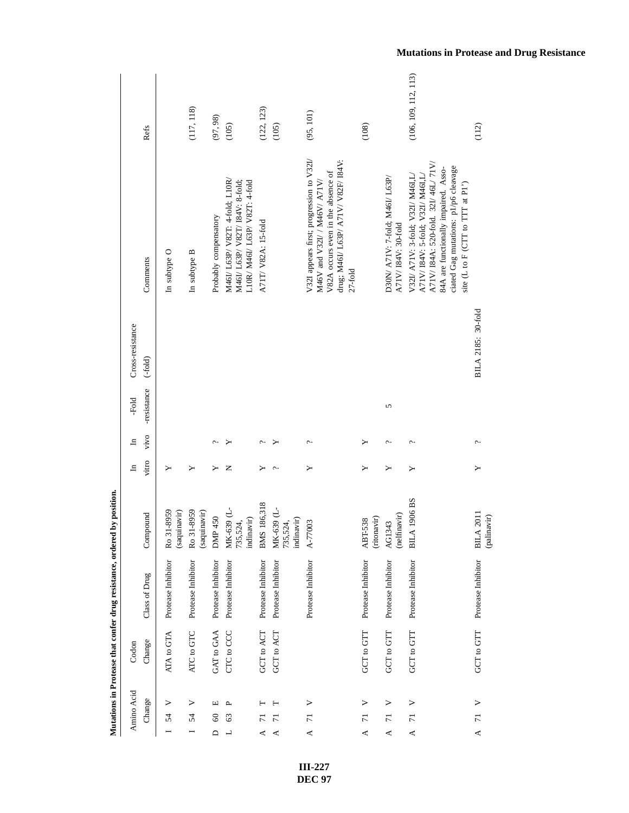| Amino Acid                | Codon      |                    |                                      | $\mathbf{H}$ | $\Xi$  | -Fold       | Cross-resistance   |                                                                                                                                                                                                                               |                      |
|---------------------------|------------|--------------------|--------------------------------------|--------------|--------|-------------|--------------------|-------------------------------------------------------------------------------------------------------------------------------------------------------------------------------------------------------------------------------|----------------------|
| Change                    | Change     | Class of Drug      | Compound                             | vitro        | vivo   | -resistance | $(-fold)$          | Comments                                                                                                                                                                                                                      | Refs                 |
| 54                        | ATA to GTA | Protease Inhibitor | Ro 31-8959<br>(saquinavir)           |              |        |             |                    | In subtype O                                                                                                                                                                                                                  |                      |
| ><br>54                   | ATC to GTC | Protease Inhibitor | Ro 31-8959<br>(saquinavir)           | ≻            |        |             |                    | In subtype B                                                                                                                                                                                                                  | (117, 118)           |
| 凹<br>$_{60}$<br>$\Box$    | GAT to GAA | Protease Inhibitor | DMP 450                              | ≻            |        |             |                    | Probably compensatory                                                                                                                                                                                                         | (97, 98)             |
| ρ.<br>63<br>┙             | CTC to CCC | Protease Inhibitor | MK-639 (L-<br>indinavir)<br>735,524, | z            |        |             |                    | M46I/ L63P/ V82T: 4-fold; L10R/<br>M46I/ L63P/ V82T/ I84V: 8-fold;<br>L10R/ M46I/ L63P/ V82T: 4-fold                                                                                                                          | (105)                |
| ⋖                         | GCT to ACT | Protease Inhibitor | BMS 186,318                          |              | c.,    |             |                    | A71T/ V82A: 15-fold                                                                                                                                                                                                           | (122, 123)           |
| ⋖                         | GCT to ACT | Protease Inhibitor | MK-639 (L-<br>indinavir)<br>735,524, |              |        |             |                    |                                                                                                                                                                                                                               | (105)                |
| ><br>$\overline{7}$<br>∢  |            | Protease Inhibitor | A-77003                              | ≻            | ç.     |             |                    | V32I appears first; progression to V32I/<br>drug; M46I/ L63P/ A71V/ V82F/ I84V:<br>V82A occurs even in the absence of<br>M46V and V32I/ / M46V/ A71V/<br>$27-fold$                                                            | (95, 101)            |
| ⋗<br>급<br>⋖               | GCT to GTT | Protease Inhibitor | (ritonavir)<br>ABT-538               |              | ≻      |             |                    |                                                                                                                                                                                                                               | (108)                |
| ><br>$\overline{7}$<br>≺  | GCT to GTT | Protease Inhibitor | (nelfinavir)<br>AG1343               | ≻            | $\sim$ | 5           |                    | D30N/ A71V: 7-fold: M46L/ L63P/<br>A71V/I84V: 30-fold                                                                                                                                                                         |                      |
| ><br>$\overline{7}$<br>≺  | GCT to GTT | Protease Inhibitor | A 1906 BS<br>ВL.                     | ≻            | c.     |             |                    | A71V/I84A: 520-fold. 32I/46L/71V/<br>ciated Gag mutations: p1/p6 cleavage<br>84A are functionally impaired. Asso-<br>A71V/I84V: 5-fold; V32I/M46I,L/<br>V32I/ A71V: 3-fold; V32I/ M46I,L/<br>site (L to F (CTT to TTT at P1') | (106, 109, 112, 113) |
| $\overline{7}$<br>$\prec$ | GCT to GTT | Protease Inhibitor | BILA 2011<br>(palinavir)             |              | ç.     |             | BILA 2185: 30-fold |                                                                                                                                                                                                                               | (112)                |

> **III-227 DEC 97**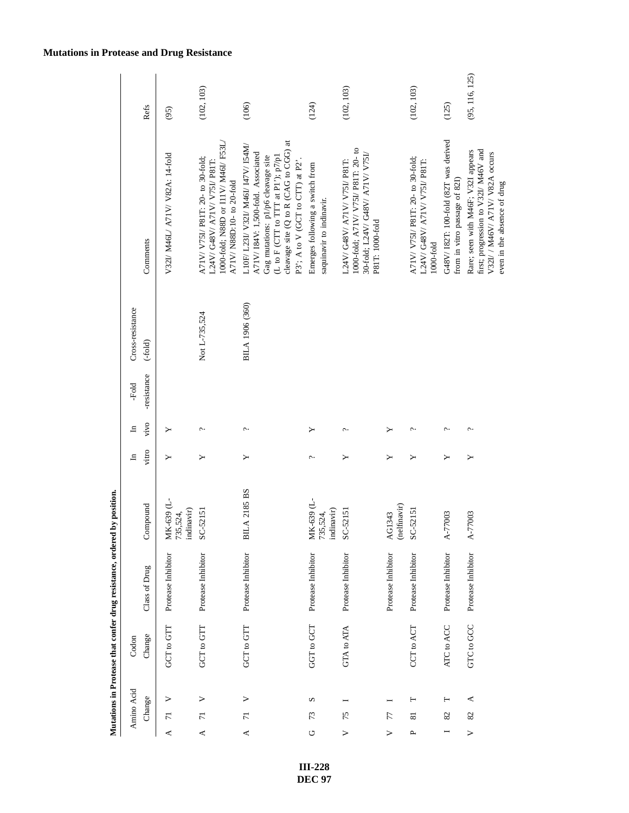|                  | Refs          | (95)                                 | (102, 103)                                                                                                                             | (106)                                                                                                                                                                                                                              | (124)                                                       | (102, 103)                                                                                                              |                        | (102, 103)                                                                         | (125)                                                                 | (95, 116, 125)                                                                                                                               |
|------------------|---------------|--------------------------------------|----------------------------------------------------------------------------------------------------------------------------------------|------------------------------------------------------------------------------------------------------------------------------------------------------------------------------------------------------------------------------------|-------------------------------------------------------------|-------------------------------------------------------------------------------------------------------------------------|------------------------|------------------------------------------------------------------------------------|-----------------------------------------------------------------------|----------------------------------------------------------------------------------------------------------------------------------------------|
|                  | Comments      | V32I/ M46L/ A71V/ V82A: 14-fold      | 1000-fold; N88D or I11V/ M46I/ F53L/<br>A71V/ V75I/ P81T: 20- to 30-fold:<br>L24V/ G48V/ A71V/ V75I/ P81T:<br>A71V/N88D:10- to 20-fold | cleavage site (Q to R (CAG to CGG) at<br>L10F/ L23I/ V32I/ M46I/ I47V/ I54M/<br>A71V/I84V: 1,500-fold. Associated<br>(L to F (CTT to TTT at P1'); $p7/p1$<br>Gag mutations: p1/p6 cleavage site<br>P3; A to V (GCT to CTT) at P2'. | Emerges following a switch from<br>saquinavir to indinavir. | 1000-fold; A71V/ V75I/ P81T: 20- to<br>30-fold; L24V/ G48V/ A71V/ V75I/<br>L24V/G48V/A71V/V75I/P81T:<br>P81T: 1000-fold |                        | A71V/ V75I/ P81T: 20- to 30-fold;<br>L24V/ G48V/ A71V/ V75I/ P81T:<br>$1000$ -fold | G48V/I82T: 100-fold (82T was derived<br>from in vitro passage of 821) | first; progression to V32I/ M46V and<br>Rare; seen with M46F; V32I appears<br>V32I/ / M46V/ A71V/ V82A occurs<br>even in the absence of drug |
| Cross-resistance | $(-fold)$     |                                      | Not L-735,524                                                                                                                          | BILA 1906 (360)                                                                                                                                                                                                                    |                                                             |                                                                                                                         |                        |                                                                                    |                                                                       |                                                                                                                                              |
| -Fold            | -resistance   |                                      |                                                                                                                                        |                                                                                                                                                                                                                                    |                                                             |                                                                                                                         |                        |                                                                                    |                                                                       |                                                                                                                                              |
| 크                | vivo          |                                      | c.                                                                                                                                     | c.                                                                                                                                                                                                                                 |                                                             | $\tilde{\phantom{a}}$                                                                                                   |                        |                                                                                    | ᠭ                                                                     |                                                                                                                                              |
| $\Xi$            | vitro         | ≻                                    | ≻                                                                                                                                      | ≻                                                                                                                                                                                                                                  | c.                                                          | ≻                                                                                                                       | ≻                      | ≻                                                                                  | ≻                                                                     | ≻                                                                                                                                            |
|                  | Compound      | MK-639 (L-<br>735,524,<br>indinavir) | SC-52151                                                                                                                               | <b>BILA 2185 BS</b>                                                                                                                                                                                                                | MK-639 (L-<br>735,524,<br>indinavir)                        | SC-52151                                                                                                                | (nelfinavir)<br>AG1343 | SC-52151                                                                           | A-77003                                                               | A-77003                                                                                                                                      |
|                  | Class of Drug | Protease Inhibitor                   | Protease Inhibitor                                                                                                                     | Protease Inhibitor                                                                                                                                                                                                                 | Protease Inhibitor                                          | Protease Inhibitor                                                                                                      | Protease Inhibitor     | Protease Inhibitor                                                                 | Protease Inhibitor                                                    | Protease Inhibitor                                                                                                                           |
| Codon            | Change        | GCT to GTT                           | GCT to GTT                                                                                                                             | GCT to GTT                                                                                                                                                                                                                         | GGT to GCT                                                  | GTA to ATA                                                                                                              |                        | CCT to ACT                                                                         | ATC to ACC                                                            | GTC to GCC                                                                                                                                   |
| Amino Acid       | Change        | $\overline{7}$<br>⋖                  | ⋗<br>$\overline{7}$<br>$\blacktriangleleft$                                                                                            | $\triangleright$<br>$\overline{7}$<br>$\prec$                                                                                                                                                                                      | S<br>73<br>U                                                | 75<br>>                                                                                                                 | 77<br>>                | н<br>ವ<br>д                                                                        | Н<br>82                                                               | ₹<br>82<br>$\geq$                                                                                                                            |

### **Mutations in Protease and Drug Resistance**

**III-228 DEC 97**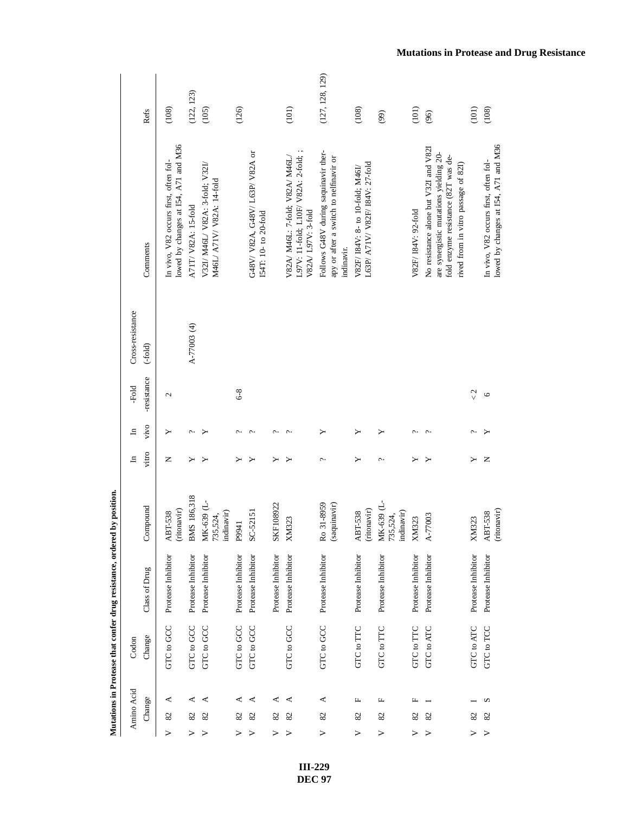|                  | Refs          | (108)                                                                         | (122, 123)          | (105)                                                        | (126)              |                                                         |                    | (101)                                                                                         | (127, 128, 129)                                                                              | (108)                                                               | (99)                                                                                                      | (101)               | (96)                                                                                                                                                          | (101)                     | (108)                                 |
|------------------|---------------|-------------------------------------------------------------------------------|---------------------|--------------------------------------------------------------|--------------------|---------------------------------------------------------|--------------------|-----------------------------------------------------------------------------------------------|----------------------------------------------------------------------------------------------|---------------------------------------------------------------------|-----------------------------------------------------------------------------------------------------------|---------------------|---------------------------------------------------------------------------------------------------------------------------------------------------------------|---------------------------|---------------------------------------|
|                  | Comments      | lowed by changes at I54, A71 and M36<br>In vivo, V82 occurs first, often fol- | A71T/ V82A: 15-fold | V32I/ M46L/ V82A: 3-fold; V32I/<br>M46L/ A71V/ V82A: 14-fold |                    | G48V/ V82A, G48V/ L63P/ V82A or<br>I54T: 10- to 20-fold |                    | L97V: 11-fold; L10F/ V82A: 2-fold; ;<br>V82A/ M46L: 7-fold; V82A/ M46L/<br>V82A/ L97V: 3-fold | Follows G48V during saquinavir ther-<br>apy or after a switch to nelfinavir or<br>indinavir. | L63P/ A71V/ V82F/ I84V: 27-fold<br>V82F/ I84V: 8- to 10-fold; M46I/ |                                                                                                           | V82F/ I84V: 92-fold | No resistance alone but V32I and V82I<br>are synergistic mutations yielding 20-<br>fold enzyme resistance (82T was de-<br>rived from in vitro passage of 821) |                           | In vivo, V82 occurs first, often fol- |
| Cross-resistance | $(-fold)$     |                                                                               | A-77003 (4)         |                                                              |                    |                                                         |                    |                                                                                               |                                                                                              |                                                                     |                                                                                                           |                     |                                                                                                                                                               |                           |                                       |
| -Fold            | -resistance   | 2                                                                             |                     |                                                              | $6 - 8$            |                                                         |                    |                                                                                               |                                                                                              |                                                                     |                                                                                                           |                     |                                                                                                                                                               | $\frac{2}{\sqrt{2}}$      | $\circ$                               |
| $\mathbf{H}$     | vivo          | ≻                                                                             | c.                  |                                                              | c.                 | $\sim$                                                  | ᠭ                  | ᠭ                                                                                             | ≻                                                                                            | ≻                                                                   | ≻                                                                                                         | c.                  | $\tilde{\phantom{a}}$                                                                                                                                         | $\widehat{\phantom{m}}$ . |                                       |
| $\mathbf{H}$     | vitro         | z                                                                             | ≻                   | ≻                                                            | ≻                  | ≻                                                       | ≻                  | ≻                                                                                             | ç.                                                                                           | ≻                                                                   | $\ddot{\phantom{0}}$                                                                                      | ≻                   | $\blacktriangleright$                                                                                                                                         | ≻                         | $\mathsf{z}$                          |
|                  | Compound      | (ritonavir)<br><b>ABT-538</b>                                                 | BMS 186,318         | MK-639 (L-<br>indinavir)<br>735,524,                         | P9941              | SC-52151                                                | SKF108922          | <b>XM323</b>                                                                                  | Ro 31-8959<br>(saquinavir)                                                                   | (ritonavir)<br>ABT-538                                              | $\begin{array}{l} {\rm MK}\mbox{-}639 \ (\rm L\mbox{-} \\ \mbox{735}, \rm 524, \end{array}$<br>indinavir) | XM323               | A-77003                                                                                                                                                       | XM323                     | ABT-538                               |
|                  | Class of Drug | Protease Inhibitor                                                            | Protease Inhibitor  | Protease Inhibitor                                           | Protease Inhibitor | Protease Inhibitor                                      | Protease Inhibitor | Protease Inhibitor                                                                            | Protease Inhibitor                                                                           | Protease Inhibitor                                                  | Protease Inhibitor                                                                                        | Protease Inhibitor  | Protease Inhibitor                                                                                                                                            | Protease Inhibitor        | Protease Inhibitor                    |
| Codon            | Change        | <b>GTC</b> to GCC                                                             | GTC to GCC          | <b>GTC</b> to GCC                                            | <b>GTC</b> to GCC  | <b>GTC to GCC</b>                                       |                    | <b>GTC</b> to GCC                                                                             | <b>GTC</b> to GCC                                                                            | GTC to TTC                                                          | GTC to TTC                                                                                                | GTC to TTC          | GTC to ATC                                                                                                                                                    | GTC to ATC                | <b>GTC</b> to TCC                     |
| Amino Acid       | Change        | ⋖                                                                             | ⋖                   | ⋖                                                            | ⋖                  | ⋖                                                       | ≺                  | ⋖                                                                                             | ≺                                                                                            | щ                                                                   | щ                                                                                                         | щ                   |                                                                                                                                                               |                           | S                                     |
|                  |               | 82                                                                            | 82                  | 82                                                           | 82                 | 82                                                      | 82                 | 82                                                                                            | $\boldsymbol{\mathcal{S}}$                                                                   | 82                                                                  | $\boldsymbol{\mathcal{Z}}$                                                                                | 82                  | 82                                                                                                                                                            | 82                        | 82                                    |
|                  |               | >                                                                             | ➢                   |                                                              |                    |                                                         | ➢                  |                                                                                               | >                                                                                            | >                                                                   | >                                                                                                         | ⋗                   | ⋗                                                                                                                                                             | ⋗                         | ⋗                                     |

> **III-229 DEC 97**

### **Mutations in Protease and Drug Resistance**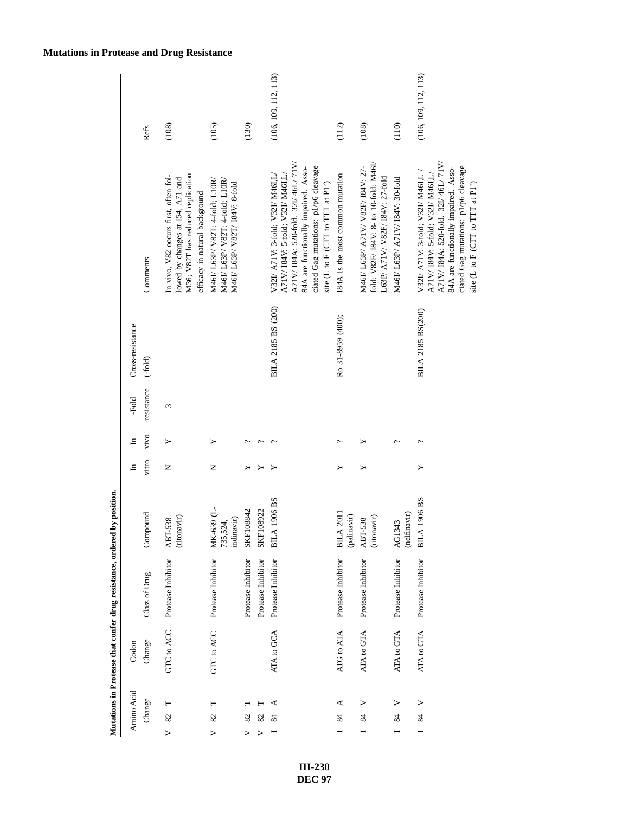| Refs                          | (108)                                                                                                                                            | (105)                                                                                                | (130)                  |                    | (106, 109, 112, 113)                                                                                                                                                                                                          | (112)                            | (108)                                                                                                         | (110)                           | (106, 109, 112, 113)                                                                                                                                                                                                          |
|-------------------------------|--------------------------------------------------------------------------------------------------------------------------------------------------|------------------------------------------------------------------------------------------------------|------------------------|--------------------|-------------------------------------------------------------------------------------------------------------------------------------------------------------------------------------------------------------------------------|----------------------------------|---------------------------------------------------------------------------------------------------------------|---------------------------------|-------------------------------------------------------------------------------------------------------------------------------------------------------------------------------------------------------------------------------|
| Comments                      | In vivo, V82 occurs first, often fol-<br>M36; V82T has reduced replication<br>lowed by changes at 154, A71 and<br>efficacy in natural background | M46I/ L63P/ V82T: 4-fold: L10R/<br>M46I/ L63P/ V82T: 4-fold; L10R/<br>M46I/ L63P/ V82T/ I84V: 8-fold |                        |                    | A71V/I84A: 520-fold. 32I/46L/71V/<br>ciated Gag mutations: p1/p6 cleavage<br>84A are functionally impaired. Asso-<br>A71V/184V: 5-fold; V32I/ M46I,L/<br>V321/ A71V: 3-fold; V321/ M46I,L<br>site (L to F (CTT to TTT at P1') | I84A is the most common mutation | fold; V82F/ I84V: 8- to 10-fold; M46L<br>M46I/ L63P/ A71V/ V82F/ I84V: 27-<br>L63P/ A71V/ V82F/ I84V: 27-fold | M46I/ L63P/ A71V/ I84V: 30-fold | A71V/I84A: 520-fold. 32I/46L/71V/<br>ciated Gag mutations: p1/p6 cleavage<br>84A are functionally impaired. Asso-<br>V32I/ A71V: 3-fold; V32I/ M46I,L<br>A71V/ I84V: 5-fold; V32I/ M46I,L<br>site (L to F (CTT to TTT at P1') |
| Cross-resistance<br>$(-fold)$ |                                                                                                                                                  |                                                                                                      |                        |                    | BILA 2185 BS (200)                                                                                                                                                                                                            | Ro 31-8959 (400);                |                                                                                                               |                                 | BILA 2185 BS(200)                                                                                                                                                                                                             |
| -resistance<br>-Fold          | 3                                                                                                                                                |                                                                                                      |                        |                    |                                                                                                                                                                                                                               |                                  |                                                                                                               |                                 |                                                                                                                                                                                                                               |
| vivo<br>크                     |                                                                                                                                                  |                                                                                                      |                        |                    |                                                                                                                                                                                                                               |                                  |                                                                                                               | ç.,                             |                                                                                                                                                                                                                               |
| vitro<br>$\Xi$                | Z                                                                                                                                                | Z                                                                                                    |                        |                    |                                                                                                                                                                                                                               | ≻                                | ≻                                                                                                             |                                 | ≻                                                                                                                                                                                                                             |
| Compound                      | (ritonavir)<br>ABT-538                                                                                                                           | MK-639 (L-<br>indinavir)<br>735,524,                                                                 | SKF108842              | SKF108922          | <b>BILA 1906 BS</b>                                                                                                                                                                                                           | <b>BILA 2011</b><br>(palinavir)  | (ritonavir)<br>ABT-538                                                                                        | (nelfinavir)<br>AG1343          | <b>BILA 1906 BS</b>                                                                                                                                                                                                           |
| Class of Drug                 | Protease Inhibitor                                                                                                                               | Protease Inhibitor                                                                                   | Protease Inhibitor     | Protease Inhibitor | Protease Inhibitor                                                                                                                                                                                                            | Protease Inhibitor               | Protease Inhibitor                                                                                            | Protease Inhibitor              | Protease Inhibitor                                                                                                                                                                                                            |
| Change<br>Codon               | GTC to ACC                                                                                                                                       | GTC to ACC                                                                                           |                        |                    | ATA to GCA                                                                                                                                                                                                                    | ATG to ATA                       | ATA to GTA                                                                                                    | ATA to GTA                      | ATA to GTA                                                                                                                                                                                                                    |
| Amino Acid<br>Change          | Н<br>82<br>$\triangleright$                                                                                                                      | Н<br>82<br>>                                                                                         | 82<br>$\triangleright$ | 82<br>⋗            | ⋖<br>$\approx$                                                                                                                                                                                                                | ≺<br>$\frac{8}{4}$               | ><br>24                                                                                                       | ><br>Z                          | $\triangleright$<br>\$<br>$\overline{a}$                                                                                                                                                                                      |

Mutations in Protease that confer drug resistance, ordered by position. **Mutations in Protease that confer drug resistance, ordered by position.**

### **Mutations in Protease and Drug Resistance**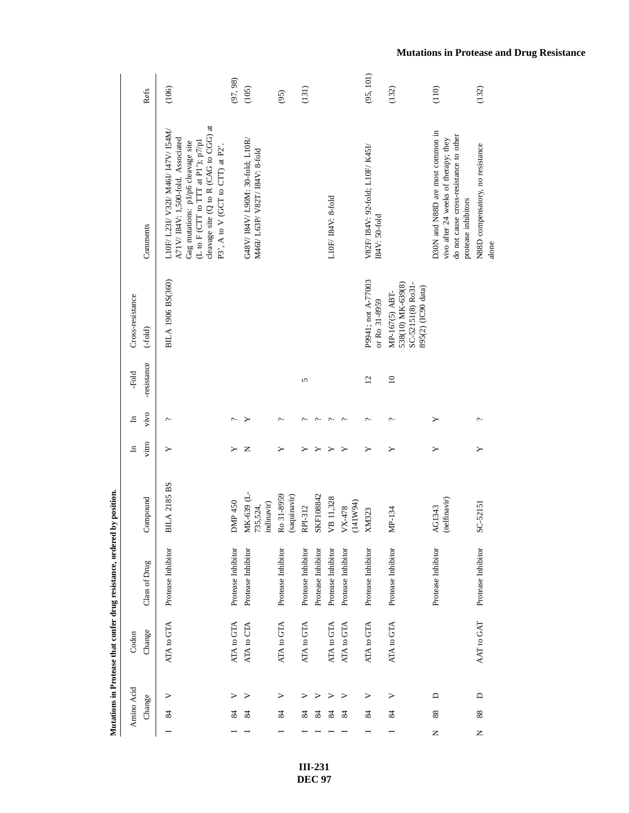|   |                |        |            | Mutations in Protease that confer drug resistance, ordered | by position.                         |              |                       |                 |                                                                                |                                                                                                                                                                                                                                     |           |
|---|----------------|--------|------------|------------------------------------------------------------|--------------------------------------|--------------|-----------------------|-----------------|--------------------------------------------------------------------------------|-------------------------------------------------------------------------------------------------------------------------------------------------------------------------------------------------------------------------------------|-----------|
|   | Amino Acid     |        | Codon      |                                                            |                                      | $\mathbf{H}$ | $\mathbf{H}$          | -Fold           | Cross-resistance                                                               |                                                                                                                                                                                                                                     |           |
|   | Change         |        | Change     | Class of Drug                                              | Compound                             | vitro        | vivo                  | -resistance     | $(-fold)$                                                                      | Comments                                                                                                                                                                                                                            | Refs      |
|   | 84             | >      | ATA to GTA | Protease Inhibitor                                         | <b>BILA 2185 BS</b>                  | ≻            | ç.                    |                 | BILA 1906 BS(360)                                                              | cleavage site (Q to R (CAG to CGG) at<br>L10F/ L23I/ V32I/ M46I/ I47V/ I54M/<br>A71V/I84V: 1,500-fold. Associated<br>Gag mutations: p1/p6 cleavage site<br>(L to F (CTT to TTT at P1'); $p7/p1$<br>P3', A to V (GCT to CTT) at P2'. | (106)     |
|   | 84             | ⋗      | ATA to GTA | Protease Inhibitor                                         | DMP 450                              | ≻            | ᠭ                     |                 |                                                                                |                                                                                                                                                                                                                                     | (97, 98)  |
|   | 84             | ⋗      | ATA to CTA | Protease Inhibitor                                         | MK-639 (L-<br>indinavir)<br>735,524, | z            |                       |                 |                                                                                | G48V/I84V/L90M: 30-fold; L10R/<br>M46I/ L63P/ V82T/ I84V: 8-fold                                                                                                                                                                    | (105)     |
|   | 84             | >      | ATA to GTA | Protease Inhibitor                                         | Ro 31-8959<br>(saquinavir)           | ≻            | c.,                   |                 |                                                                                |                                                                                                                                                                                                                                     | (95)      |
|   | $\frac{84}{3}$ | >      | ATA to GTA | Protease Inhibitor                                         | RPI-312                              |              | ᠭ                     | 5               |                                                                                |                                                                                                                                                                                                                                     | (131)     |
|   | 84             | ⋗      |            | Protease Inhibitor                                         | SKF108842                            |              | $\sim$                |                 |                                                                                |                                                                                                                                                                                                                                     |           |
|   | 84             | ⋗      | ATA to GTA | Protease Inhibitor                                         | VB 11,328                            |              | $\hat{c}$             |                 |                                                                                | L10F/I84V: 8-fold                                                                                                                                                                                                                   |           |
|   | 84             | ⋗      | ATA to GTA | Protease Inhibitor                                         | (141W94)<br>VX-478                   |              | ᠭ                     |                 |                                                                                |                                                                                                                                                                                                                                     |           |
|   | 84             | >      | ATA to GTA | Protease Inhibitor                                         | <b>XM323</b>                         | ≻            | ç.                    | $\overline{12}$ | P9941; not A-77003<br>or Ro 31-8959                                            | V82F/ I84V: 92-fold; L10F/ K45I/<br>$IA4V: 50-fold$                                                                                                                                                                                 | (95, 101) |
|   | 84             | >      | ATA to GTA | Protease Inhibitor                                         | MP-134                               | ≻            | ç.                    | $\approx$       | SC-52151(8) Ro31-<br>538(10) MK-639(8)<br>895(2) (IC90 data)<br>MP-167(5) ABT- |                                                                                                                                                                                                                                     | (132)     |
| z | 88             | ≏      |            | Protease Inhibitor                                         | (nelfinavir)<br>AG1343               | ≻            | ≻                     |                 |                                                                                | D30N and N88D are most common in<br>do not cause cross-resistance to other<br>vivo after 24 weeks of therapy; they<br>protease inhibitors                                                                                           | (110)     |
| Z | 88             | $\Box$ | AAT to GAT | Protease Inhibitor                                         | SC-52151                             | ≻            | $\tilde{\phantom{a}}$ |                 |                                                                                | N88D compensatory, no resistance<br>alone                                                                                                                                                                                           | (132)     |

### **Mutations in Protease and Drug Resistance**

**III-231 DEC 97**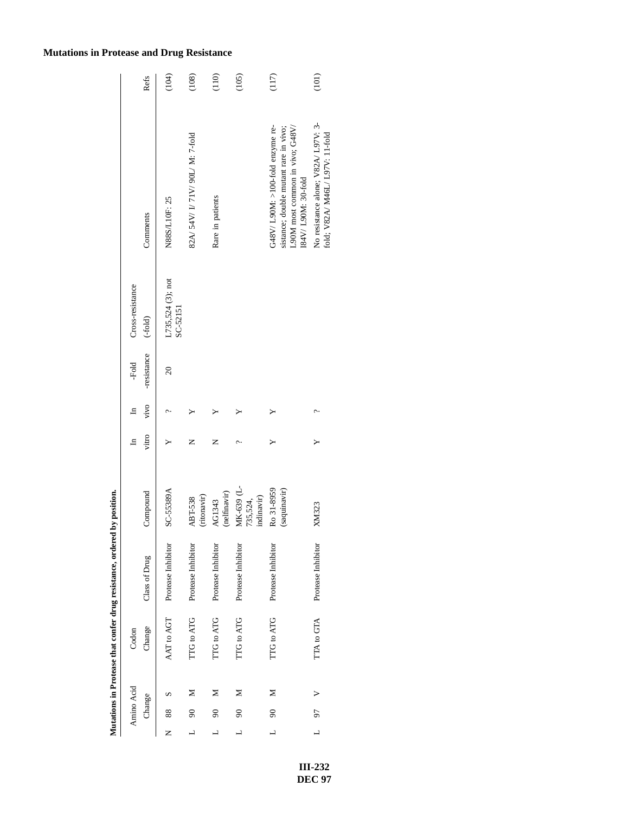|                          |            |   |            | Mutations in Protease that confer drug resistance, ordered | by position.                         |       |              |                 |                               |                                                                                                                                      |       |
|--------------------------|------------|---|------------|------------------------------------------------------------|--------------------------------------|-------|--------------|-----------------|-------------------------------|--------------------------------------------------------------------------------------------------------------------------------------|-------|
|                          | Amino Acid |   | Codon      |                                                            |                                      | ᆷ     | $\mathbf{H}$ | -Fold           | Cross-resistance              |                                                                                                                                      |       |
|                          | Change     |   | Change     | Class of Drug                                              | Compound                             | vitro | vivo         | -resistance     | $(-fold)$                     | Comments                                                                                                                             | Refs  |
| Z                        | 88         |   | AAT to AGT | Protease Inhibitor                                         | SC-55389A                            |       |              | $\overline{20}$ | L735,524 (3); not<br>SC-52151 | N88S/L10F: 25                                                                                                                        | (104) |
| ┙                        | $\infty$   | ⋝ | TTG to ATG | Protease Inhibitor                                         | (ritonavir)<br><b>ABT-538</b>        | z     |              |                 |                               | 82A/ 54V/ I/ 71V/ 90L/ M: 7-fold                                                                                                     | (108) |
|                          | $\infty$   | ⋝ | TTG to ATG | Protease Inhibitor                                         | (nelfinavir)<br>AG1343               | z     |              |                 |                               | Rare in patients                                                                                                                     | (110) |
| $\overline{\phantom{0}}$ | $\infty$   | Σ | TTG to ATG | Protease Inhibitor                                         | MK-639 (L-<br>indinavir)<br>735,524, |       |              |                 |                               |                                                                                                                                      | (105) |
| ┙                        | $\infty$   | ⋝ | TTG to ATG | Protease Inhibitor                                         | Ro 31-8959<br>(saquinavir)           |       |              |                 |                               | G48V/L90M: $>100$ -fold enzyme re-<br>L90M most common in vivo; G48V/<br>sistance; double mutant rare in vivo;<br>I84V/L90M: 30-fold | (117) |
| $\overline{a}$           | 56         |   | TTA to GTA | Protease Inhibitor                                         | <b>XM323</b>                         |       |              |                 |                               | No resistance alone; V82A/ L97V: 3-<br>fold; V82A/ M46L/ L97V: 11-fold                                                               | (101) |

**Mutations in Protease that confer drug resistance, ordered by position.**

### **Mutations in Protease and Drug Resistance**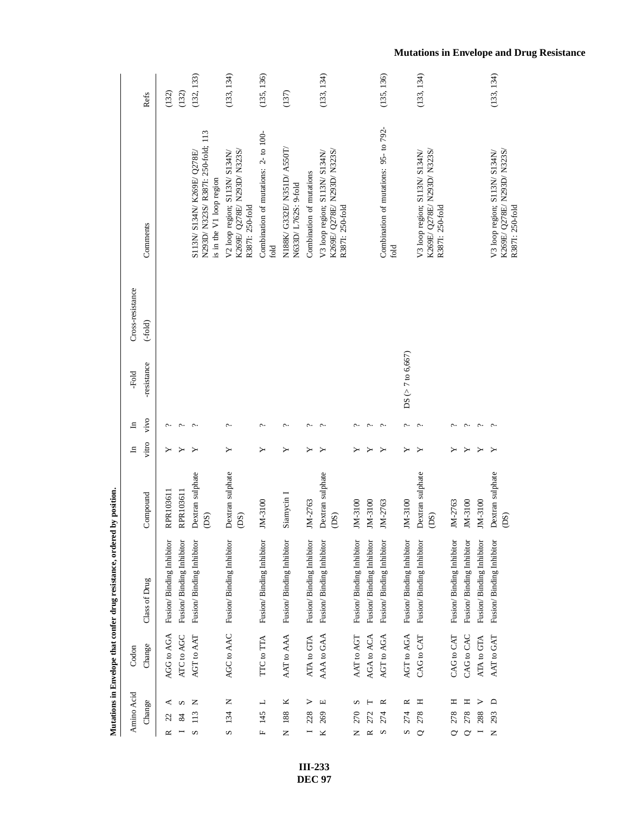| Amino Acid                          | Codon      |                          |                                    | $\Xi$ | ᆷ                     | -Fold               | Cross-resistance |                                                                                               |            |
|-------------------------------------|------------|--------------------------|------------------------------------|-------|-----------------------|---------------------|------------------|-----------------------------------------------------------------------------------------------|------------|
| Change                              | Change     | Class of Drug            | Compound                           | vitro | vivo                  | -resistance         | $(-fold)$        | Comments                                                                                      | Refs       |
| 22<br>≃                             | AGG to AGA | Fusion/Binding Inhibitor | RPR103611                          |       |                       |                     |                  |                                                                                               | (132)      |
| S                                   | ATC to AGC | Fusion/Binding Inhibitor | RPR103611                          |       | ᠭ                     |                     |                  |                                                                                               | (132)      |
| z<br>113<br>S                       | AGT to AAT | Fusion/Binding Inhibitor | Dextran sulphate<br>(DS)           |       | $\sim$                |                     |                  | N293D/ N323S/ R387I: 250-fold; 113<br>S113N/ S134N/ K269E/ Q278E/<br>is in the V1 loop region | (132, 133) |
| Z<br>134<br>S                       | AGC to AAC | Fusion/Binding Inhibitor | Dextran sulphate<br>(DS)           | ≻     | $\sim$                |                     |                  | K269E/ Q278E/ N293D/ N323S/<br>V2 loop region; S113N/ S134N/<br>R3871: 250-fold               | (133, 134) |
| ┙<br>145<br>щ                       | TTC to TTA | Fusion/Binding Inhibitor | JM-3100                            |       | ç.                    |                     |                  | Combination of mutations: 2- to 100-<br>fold                                                  | (135, 136) |
| ×<br>188<br>z                       | AAT to AAA | Fusion/Binding Inhibitor | Siamycin I                         |       | ç.                    |                     |                  | N188K/ G332E/ N351D/ A550T/<br>N633D/L762S: 9-fold                                            | (137)      |
| ><br>228                            | ATA to GTA | Fusion/Binding Inhibitor | JM-2763                            |       | ᠭ                     |                     |                  | Combination of mutations                                                                      |            |
| щ<br>269<br>$\overline{\mathbf{x}}$ | AAA to GAA | Fusion/Binding Inhibitor | Dextran sulphate<br>(DS)           |       | پ                     |                     |                  | K269E/ Q278E/ N293D/ N323S/<br>V3 loop region; S113N/ S134N/<br>R3871: 250-fold               | (133, 134) |
| S<br>270<br>Z                       | AAT to AGT | Fusion/Binding Inhibitor | JM-3100                            |       |                       |                     |                  |                                                                                               |            |
| 272<br>≃                            | AGA to ACA | Fusion/Binding Inhibitor | JM-3100                            |       | پ                     |                     |                  |                                                                                               |            |
| ≃<br>274<br>S                       | AGT to AGA | Fusion/Binding Inhibitor | JM-2763                            | ≻     | ç.                    |                     |                  | Combination of mutations: 95- to 792-<br>fold                                                 | (135, 136) |
| $\approx$<br>274<br>S               | AGT to AGA | Fusion/Binding Inhibitor | JM-3100                            | ≻     | c.                    | $DS (> 7$ to 6,667) |                  |                                                                                               |            |
| Ξ<br>278<br>$\circ$                 | CAG to CAT | Fusion/Binding Inhibitor | Dextran sulphate<br>(DS)           | ≻     | $\sim$                |                     |                  | K269E/ Q278E/ N293D/ N323S/<br>V3 loop region; S113N/ S134N/<br>R3871: 250-fold               | (133, 134) |
| Ξ<br>278<br>$\circ$                 | CAG to CAT | Fusion/Binding Inhibitor | JM-2763                            |       |                       |                     |                  |                                                                                               |            |
| н<br>278<br>$\circ$                 | CAG to CAC | Fusion/Binding Inhibitor | JM-3100                            |       | $\tilde{\phantom{0}}$ |                     |                  |                                                                                               |            |
| ⋗<br>288                            | ATA to GTA | Fusion/Binding Inhibitor | JM-3100                            |       | ç.                    |                     |                  |                                                                                               |            |
| $\Box$<br>293<br>Z                  | AAT to GAT | Fusion/Binding Inhibitor | Dextran sulphate<br>$\overline{c}$ | ≻     |                       |                     |                  | K269E/ Q278E/ N293D/ N323S/<br>V3 loop region; S113N/ S134N/<br>R3871: 250-fold               | (133, 134) |

> **III-233 DEC 97**

### **Mutations in Envelope and Drug Resistance**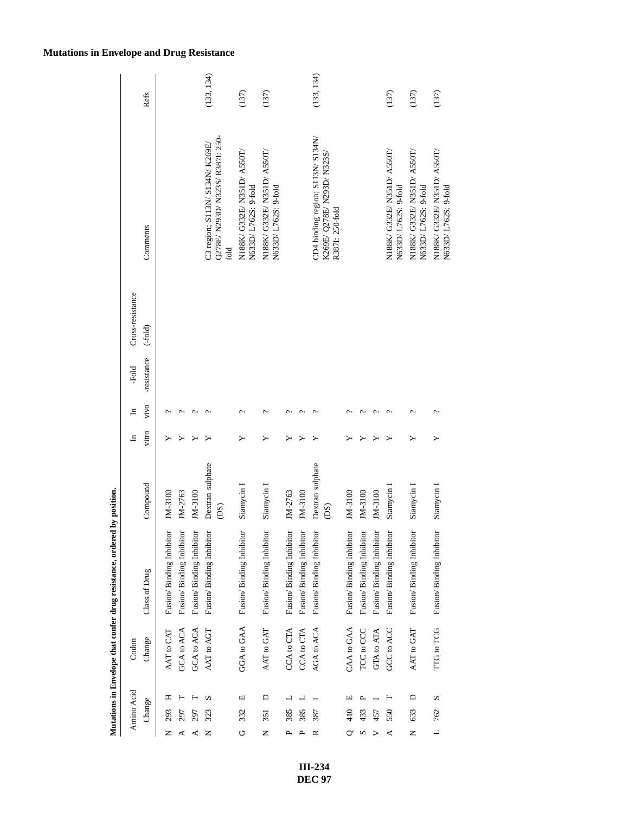| Amino Acid            |        | Codon      |                          |                          | $\Xi$ | ᆷ    | -Fold       | Cross-resistance |                                                                                     |            |
|-----------------------|--------|------------|--------------------------|--------------------------|-------|------|-------------|------------------|-------------------------------------------------------------------------------------|------------|
| Change                |        | Change     | Class of Drug            | Compound                 | vitro | vivo | -resistance | $(-fold)$        | Comments                                                                            | Refs       |
| 293<br>z              | Ξ      | AAT to CAT | Fusion/Binding Inhibitor | JM-3100                  |       |      |             |                  |                                                                                     |            |
| 797<br>⋖              |        | GCA to ACA | Fusion/Binding Inhibitor | JM-2763                  |       |      |             |                  |                                                                                     |            |
| 297<br>⋖              |        | GCA to ACA | Fusion/Binding Inhibitor | JM-3100                  |       |      |             |                  |                                                                                     |            |
| 323<br>Z              | S      | AAT to AGT | Fusion/Binding Inhibitor | Dextran sulphate<br>(DS) |       |      |             |                  | Q278E/ N293D/ N323S/ R3871: 250-<br>C3 region; S113N/ S134N/ K269E/<br>fold         | (133, 134) |
| 332<br>U              | Щ      | GGA to GAA | Fusion/Binding Inhibitor | Siamycin I               |       |      |             |                  | N188K/ G332E/ N351D/ A550T/<br>N633D/L762S: 9-fold                                  | (137)      |
| 351<br>z              | ≏      | AAT to GAT | Fusion/Binding Inhibitor | Siamycin I               |       | c    |             |                  | N188K/ G332E/ N351D/ A550T/<br>N633D/L762S: 9-fold                                  | (137)      |
| 385<br>ρ.             | ┙      | CCA to CTA | Fusion/Binding Inhibitor | JM-2763                  |       |      |             |                  |                                                                                     |            |
| 385                   | ┙      | CCA to CTA | Fusion/Binding Inhibitor | JM-3100                  |       |      |             |                  |                                                                                     |            |
| 387<br>≃              |        | AGA to ACA | Fusion/Binding Inhibitor | Dextran sulphate<br>(DS) |       |      |             |                  | CD4 binding region; S113N/ S134N/<br>K269E/ Q278E/ N293D/ N323S/<br>R3871: 250-fold | (133, 134) |
| 410                   | щ      | CAA to GAA | Fusion/Binding Inhibitor | JM-3100                  |       |      |             |                  |                                                                                     |            |
| 433<br>Ω              |        | TCC to CCC | Fusion/Binding Inhibitor | JM-3100                  |       |      |             |                  |                                                                                     |            |
| 457                   |        | GTA to ATA | Fusion/Binding Inhibitor | JM-3100                  |       |      |             |                  |                                                                                     |            |
| 550<br>⋖              | ⊢      | GCC to ACC | Fusion/Binding Inhibitor | Siamycin 1               |       |      |             |                  | N188K/ G332E/ N351D/ A550T/<br>N633D/L762S: 9-fold                                  | (137)      |
| 633<br>Z              | $\Box$ | AAT to GAT | Fusion/Binding Inhibitor | Siamycin I               |       |      |             |                  | N188K/ G332E/ N351D/ A550T/<br>N633D/ L762S: 9-fold                                 | (137)      |
| 762<br>$\overline{a}$ | S      | TTG to TCG | Fusion/Binding Inhibitor | Siamycin I               |       |      |             |                  | N188K/ G332E/ N351D/ A550T/<br>N633D/L762S: 9-fold                                  | (137)      |

### **Mutations in Envelope and Drug Resistance**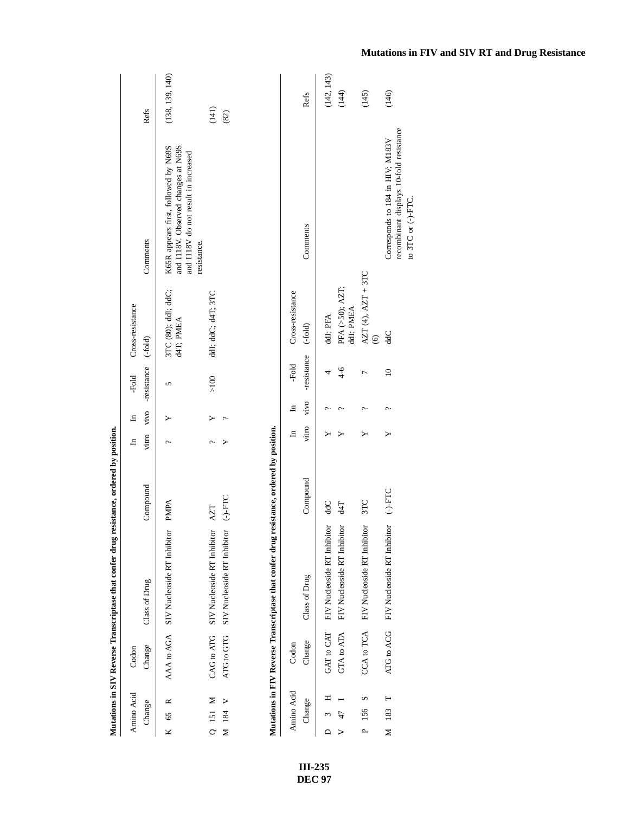|                                  |            | Mutations in SIV Reverse Transcriptase that confer drug resistance, ordered by position. |                                  |              |              |                 |                                               |                                                                                                                                    |                 |
|----------------------------------|------------|------------------------------------------------------------------------------------------|----------------------------------|--------------|--------------|-----------------|-----------------------------------------------|------------------------------------------------------------------------------------------------------------------------------------|-----------------|
| Amino Acid                       | Codon      |                                                                                          |                                  | $\mathbf{H}$ | $\mathbb{H}$ | -Fold           | Cross-resistance                              |                                                                                                                                    |                 |
| Change                           | Change     | Class of Drug                                                                            | Compound                         | vitro        | vivo         | -resistance     | $(-fold)$                                     | Comments                                                                                                                           | Refs            |
| ≃<br>65<br>ĸ                     | AAA to AGA | SIV Nucleoside RT Inhibitor                                                              | <b>PMPA</b>                      | ç.           |              | 5               | 3TC (80); ddI; ddC;<br>d4T; PMEA              | and I118V. Observed changes at N69S<br>K65R appears first, followed by N69S<br>and I118V do not result in increased<br>resistance. | (138, 139, 140) |
| Σ<br>$Q$ 151                     | CAG to ATG | SIV Nucleoside RT Inhibitor                                                              | AZT                              | ç.           |              | $>100$          | ddl; ddC; d4T; 3TC                            |                                                                                                                                    | (141)           |
| ⋗<br>M 184                       | ATG to GTG | SIV Nucleoside RT Inhibitor                                                              | $O-H-C$                          |              | ¢            |                 |                                               |                                                                                                                                    | (82)            |
|                                  |            | Mutations in FIV Reverse Transcriptase that confer drug                                  | resistance, ordered by position. |              |              |                 |                                               |                                                                                                                                    |                 |
| Amino Acid                       | Codon      |                                                                                          |                                  | $\mathbf{H}$ | $\Xi$        | -Fold           | Cross-resistance                              |                                                                                                                                    |                 |
| Change                           | Change     | Class of Drug                                                                            | Compound                         | vitro        | vivo         | -resistance     | $(-fold)$                                     | Comments                                                                                                                           | Refs            |
| ℶ                                | GAT to CAT | FIV Nucleoside RT Inhibitor                                                              | ddC                              |              |              | 4               | ddl; PFA                                      |                                                                                                                                    | (142, 143)      |
|                                  | GTA to ATA | FIV Nucleoside RT Inhibitor                                                              | 74                               |              | c.           | $4 - 6$         | PFA (>50); AZT;<br>ddi; PMEA                  |                                                                                                                                    | (144)           |
| S<br>156<br>$\sim$               |            | CCA to TCA FIV Nucleoside RT Inhibitor                                                   | 3TC                              | ≻            | $\sim$       | $\overline{ }$  | $ATT(4), AZT + 3TC$<br>$\widehat{\mathbf{6}}$ |                                                                                                                                    | (145)           |
| $\vdash$<br>$\frac{183}{2}$<br>Σ | ATG to ACG | FIV Nucleoside RT Inhibitor                                                              | $(-)$ -FTC                       | ≻            | c.           | $\overline{10}$ | <b>JPP</b>                                    | recombinant displays 10-fold resistance<br>Corresponds to 184 in HIV; M183V<br>to 3TC or (-)-FTC.                                  | (146)           |

**III-235 DEC 97**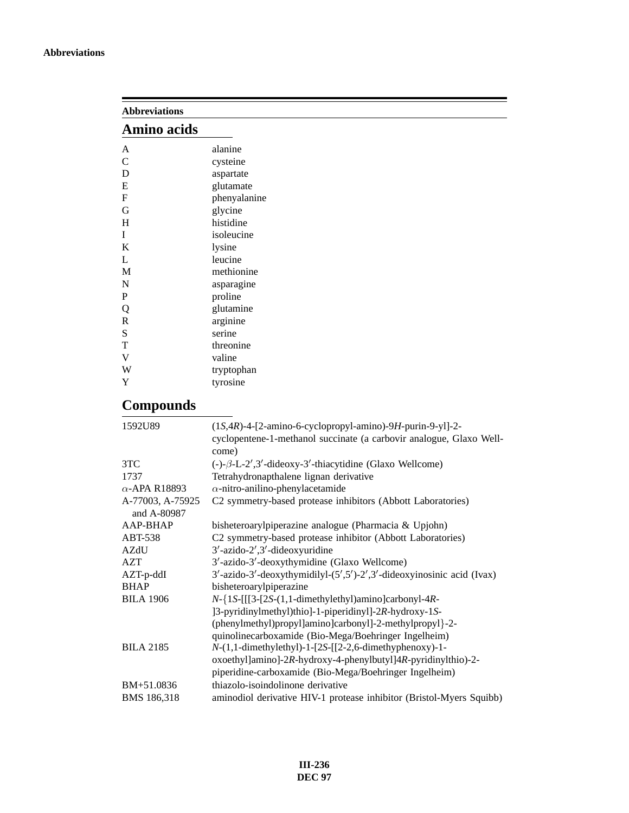| <b>Abbreviations</b>            |                                                                     |
|---------------------------------|---------------------------------------------------------------------|
| Amino acids                     |                                                                     |
| A                               | alanine                                                             |
| $\mathsf{C}$                    | cysteine                                                            |
| D                               | aspartate                                                           |
| E                               | glutamate                                                           |
| $\mathbf F$                     | phenyalanine                                                        |
| G                               | glycine                                                             |
| H                               | histidine                                                           |
| I                               | isoleucine                                                          |
| K                               | lysine                                                              |
| L                               | leucine                                                             |
| M                               | methionine                                                          |
| ${\bf N}$                       | asparagine                                                          |
| $\mathbf P$                     | proline                                                             |
| Q                               | glutamine                                                           |
| $\mathbb R$                     | arginine                                                            |
| S                               | serine                                                              |
| T                               | threonine                                                           |
| $\mathbf V$                     | valine                                                              |
| W                               | tryptophan                                                          |
| Y                               | tyrosine                                                            |
| <b>Compounds</b>                |                                                                     |
| 1592U89                         | $(1S,4R)$ -4-[2-amino-6-cyclopropyl-amino)-9H-purin-9-yl]-2-        |
|                                 | cyclopentene-1-methanol succinate (a carbovir analogue, Glaxo Well- |
|                                 | come)                                                               |
| 3TC                             | $(-)-\beta$ -L-2', 3'-dideoxy-3'-thiacytidine (Glaxo Wellcome)      |
| 1737                            | Tetrahydronapthalene lignan derivative                              |
| $\alpha$ -APA R18893            | $\alpha$ -nitro-anilino-phenylacetamide                             |
| A-77003, A-75925<br>and A-80987 | C2 symmetry-based protease inhibitors (Abbott Laboratories)         |
| AAP-BHAP                        | bisheteroarylpiperazine analogue (Pharmacia & Upjohn)               |
| ABT-538                         | C2 symmetry-based protease inhibitor (Abbott Laboratories)          |
| <b>AZdU</b>                     | $3'$ -azido- $2',3'$ -dideoxyuridine                                |

| AB 1-338           | C <sub>2</sub> symmetry-based protease inhibitor (Abbott Laboratories)        |
|--------------------|-------------------------------------------------------------------------------|
| AZdU               | $3'$ -azido-2', $3'$ -dideoxyuridine                                          |
| <b>AZT</b>         | 3'-azido-3'-deoxythymidine (Glaxo Wellcome)                                   |
| $AZT-p-ddI$        | $3'$ -azido-3'-deoxythymidilyl- $(5', 5')$ -2',3'-dideoxyinosinic acid (Ivax) |
| <b>BHAP</b>        | bisheteroarylpiperazine                                                       |
| <b>BILA 1906</b>   | $N-\{1S-[1]3-[2S-(1,1-dimethylethyl)amino] \text{carbonyl-4}$ .               |
|                    | [3-pyridinylmethyl)thio]-1-piperidinyl]-2R-hydroxy-1S-                        |
|                    | (phenylmethyl)propyl]amino]carbonyl]-2-methylpropyl}-2-                       |
|                    | quinolinecarboxamide (Bio-Mega/Boehringer Ingelheim)                          |
| <b>BILA 2185</b>   | $N-(1,1$ -dimethylethyl)-1-[2S-[[2-2,6-dimethyphenoxy)-1-                     |
|                    | oxoethyl]amino]-2R-hydroxy-4-phenylbutyl]4R-pyridinylthio)-2-                 |
|                    | piperidine-carboxamide (Bio-Mega/Boehringer Ingelheim)                        |
| BM+51.0836         | thiazolo-isoindolinone derivative                                             |
| <b>BMS 186.318</b> | aminodiol derivative HIV-1 protease inhibitor (Bristol-Myers Squibb)          |
|                    |                                                                               |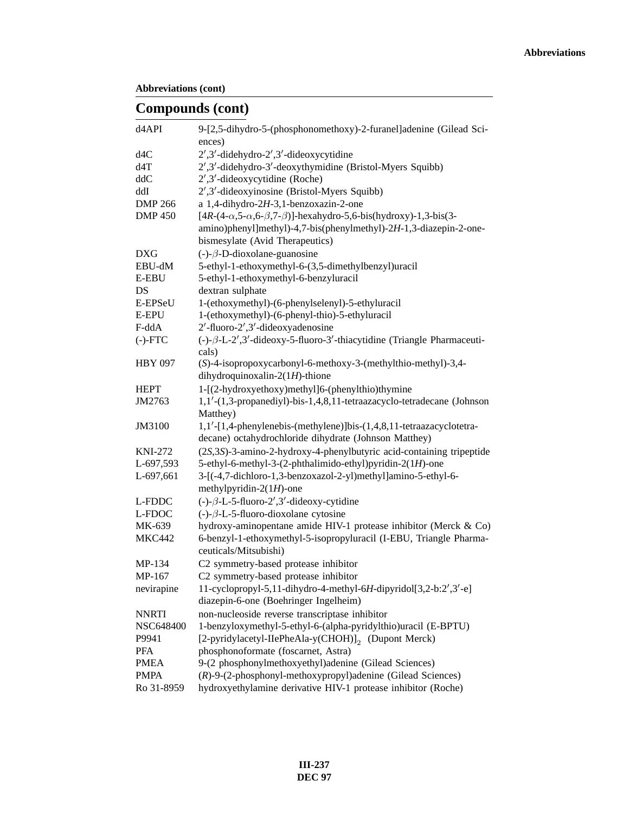### **Compounds (cont)**

| d4API            | 9-[2,5-dihydro-5-(phosphonomethoxy)-2-furanel]adenine (Gilead Sci-<br>ences)                              |
|------------------|-----------------------------------------------------------------------------------------------------------|
| d4C              | 2',3'-didehydro-2',3'-dideoxycytidine                                                                     |
| d4T              | 2',3'-didehydro-3'-deoxythymidine (Bristol-Myers Squibb)                                                  |
| ddC              | $2',3'$ -dideoxycytidine (Roche)                                                                          |
| ddI              | 2',3'-dideoxyinosine (Bristol-Myers Squibb)                                                               |
| <b>DMP 266</b>   | a 1,4-dihydro-2H-3,1-benzoxazin-2-one                                                                     |
| <b>DMP 450</b>   | $[4R-(4-\alpha, 5-\alpha, 6-\beta, 7-\beta)]$ -hexahydro-5,6-bis(hydroxy)-1,3-bis(3-                      |
|                  | amino)phenyl]methyl)-4,7-bis(phenylmethyl)-2H-1,3-diazepin-2-one-                                         |
|                  | bismesylate (Avid Therapeutics)                                                                           |
| <b>DXG</b>       | $(-)$ - $\beta$ -D-dioxolane-guanosine                                                                    |
| EBU-dM           | 5-ethyl-1-ethoxymethyl-6-(3,5-dimethylbenzyl)uracil                                                       |
| <b>E-EBU</b>     | 5-ethyl-1-ethoxymethyl-6-benzyluracil                                                                     |
| DS               | dextran sulphate                                                                                          |
| E-EPSeU          | 1-(ethoxymethyl)-(6-phenylselenyl)-5-ethyluracil                                                          |
| <b>E-EPU</b>     | 1-(ethoxymethyl)-(6-phenyl-thio)-5-ethyluracil                                                            |
| F-ddA            | 2'-fluoro-2',3'-dideoxyadenosine                                                                          |
| $(-)$ - $FTC$    | $(-)-\beta$ -L-2',3'-dideoxy-5-fluoro-3'-thiacytidine (Triangle Pharmaceuti-                              |
|                  | cals)                                                                                                     |
| <b>HBY 097</b>   | (S)-4-isopropoxycarbonyl-6-methoxy-3-(methylthio-methyl)-3,4-                                             |
|                  | dihydroquinoxalin-2(1H)-thione                                                                            |
| <b>HEPT</b>      | 1-[(2-hydroxyethoxy)methyl]6-(phenylthio)thymine                                                          |
| JM2763           | 1,1'-(1,3-propanediyl)-bis-1,4,8,11-tetraazacyclo-tetradecane (Johnson                                    |
|                  | Matthey)                                                                                                  |
| JM3100           | 1,1'-[1,4-phenylenebis-(methylene)]bis-(1,4,8,11-tetraazacyclotetra-                                      |
|                  | decane) octahydrochloride dihydrate (Johnson Matthey)                                                     |
| <b>KNI-272</b>   | (2S,3S)-3-amino-2-hydroxy-4-phenylbutyric acid-containing tripeptide                                      |
| L-697,593        | 5-ethyl-6-methyl-3-(2-phthalimido-ethyl)pyridin-2(1H)-one                                                 |
| L-697,661        | 3-[(-4,7-dichloro-1,3-benzoxazol-2-yl)methyl]amino-5-ethyl-6-                                             |
|                  | methylpyridin-2 $(1H)$ -one                                                                               |
| L-FDDC           | $(-)-\beta$ -L-5-fluoro-2',3'-dideoxy-cytidine                                                            |
| L-FDOC           | $(-)-\beta$ -L-5-fluoro-dioxolane cytosine                                                                |
| MK-639           | hydroxy-aminopentane amide HIV-1 protease inhibitor (Merck & Co)                                          |
| <b>MKC442</b>    | 6-benzyl-1-ethoxymethyl-5-isopropyluracil (I-EBU, Triangle Pharma-                                        |
|                  | ceuticals/Mitsubishi)                                                                                     |
| MP-134           | C2 symmetry-based protease inhibitor                                                                      |
| MP-167           | C2 symmetry-based protease inhibitor                                                                      |
| nevirapine       | 11-cyclopropyl-5,11-dihydro-4-methyl-6H-dipyridol[3,2-b:2',3'-e]<br>diazepin-6-one (Boehringer Ingelheim) |
| <b>NNRTI</b>     | non-nucleoside reverse transcriptase inhibitor                                                            |
| <b>NSC648400</b> | 1-benzyloxymethyl-5-ethyl-6-(alpha-pyridylthio)uracil (E-BPTU)                                            |
| P9941            | [2-pyridylacetyl-IIePheAla-y(CHOH)] <sub>2</sub> (Dupont Merck)                                           |
| PFA              | phosphonoformate (foscarnet, Astra)                                                                       |
| <b>PMEA</b>      | 9-(2 phosphonylmethoxyethyl)adenine (Gilead Sciences)                                                     |
| <b>PMPA</b>      | (R)-9-(2-phosphonyl-methoxypropyl)adenine (Gilead Sciences)                                               |
| Ro 31-8959       | hydroxyethylamine derivative HIV-1 protease inhibitor (Roche)                                             |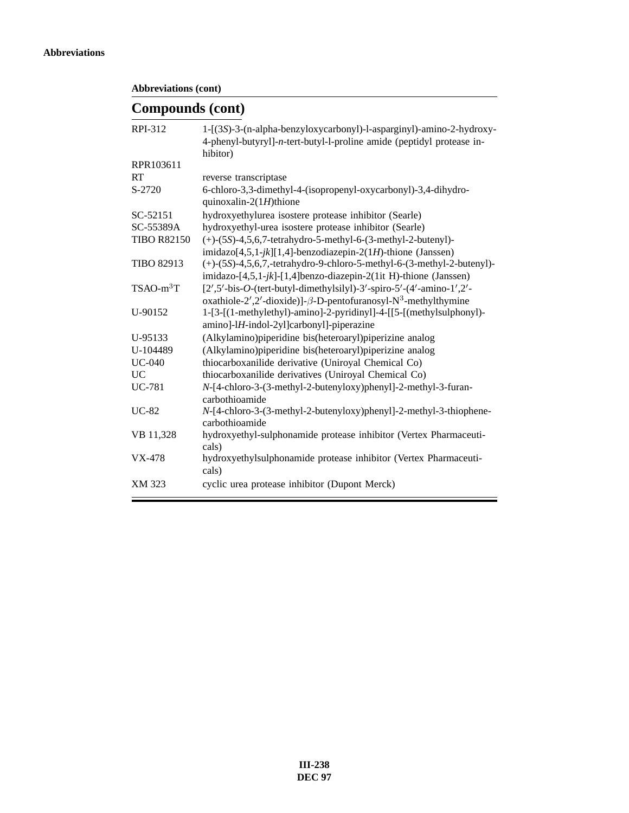```
Abbreviations (cont)
```
### **Compounds (cont)**

| 1-[(3S)-3-(n-alpha-benzyloxycarbonyl)-l-asparginyl)-amino-2-hydroxy-                         |
|----------------------------------------------------------------------------------------------|
| 4-phenyl-butyryl]-n-tert-butyl-l-proline amide (peptidyl protease in-<br>hibitor)            |
|                                                                                              |
| reverse transcriptase                                                                        |
| 6-chloro-3,3-dimethyl-4-(isopropenyl-oxycarbonyl)-3,4-dihydro-<br>quinoxalin- $2(1H)$ thione |
| hydroxyethylurea isostere protease inhibitor (Searle)                                        |
| hydroxyethyl-urea isostere protease inhibitor (Searle)                                       |
| $(+)$ - $(5S)$ -4,5,6,7-tetrahydro-5-methyl-6- $(3$ -methyl-2-butenyl)-                      |
| imidazo $[4,5,1-jk][1,4]$ -benzodiazepin-2(1H)-thione (Janssen)                              |
| $(+)$ -(5S)-4,5,6,7,-tetrahydro-9-chloro-5-methyl-6-(3-methyl-2-butenyl)-                    |
| imidazo-[4,5,1-jk]-[1,4]benzo-diazepin-2(1it H)-thione (Janssen)                             |
| $[2', 5'$ -bis-O-(tert-butyl-dimethylsilyl)-3'-spiro-5'-(4'-amino-1',2'-                     |
| oxathiole-2',2'-dioxide)]- $\beta$ -D-pentofuranosyl-N <sup>3</sup> -methylthymine           |
| 1-[3-[(1-methylethyl)-amino]-2-pyridinyl]-4-[[5-[(methylsulphonyl)-                          |
| amino]-lH-indol-2yl]carbonyl]-piperazine                                                     |
| (Alkylamino) piperidine bis (heteroaryl) piperizine analog                                   |
| (Alkylamino) piperidine bis (heteroaryl) piperizine analog                                   |
| thiocarboxanilide derivative (Uniroyal Chemical Co)                                          |
| thiocarboxanilide derivatives (Uniroyal Chemical Co)                                         |
| N-[4-chloro-3-(3-methyl-2-butenyloxy)phenyl]-2-methyl-3-furan-                               |
| carbothioamide                                                                               |
| N-[4-chloro-3-(3-methyl-2-butenyloxy)phenyl]-2-methyl-3-thiophene-<br>carbothioamide         |
| hydroxyethyl-sulphonamide protease inhibitor (Vertex Pharmaceuti-<br>cals)                   |
| hydroxyethylsulphonamide protease inhibitor (Vertex Pharmaceuti-<br>cals)                    |
| cyclic urea protease inhibitor (Dupont Merck)                                                |
|                                                                                              |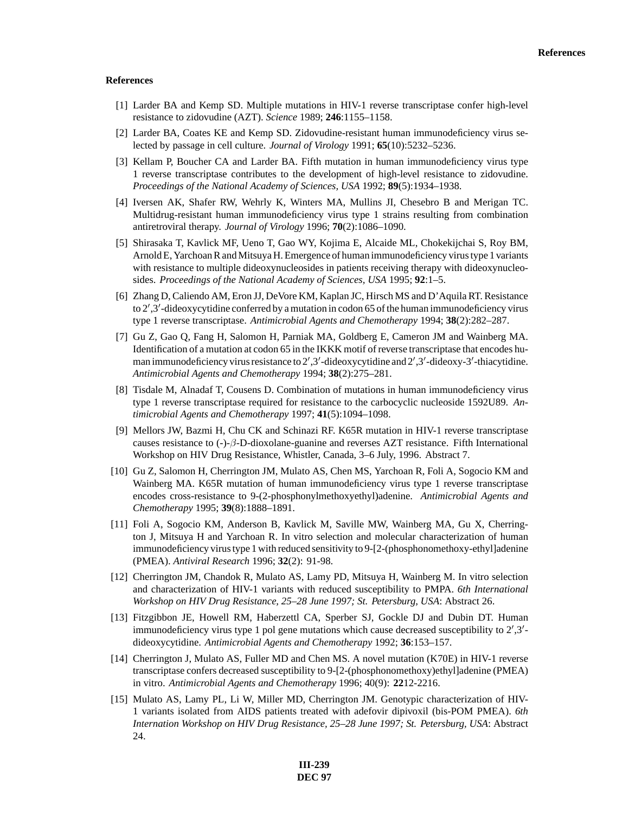#### **References**

- [1] Larder BA and Kemp SD. Multiple mutations in HIV-1 reverse transcriptase confer high-level resistance to zidovudine (AZT). *Science* 1989; **246**:1155–1158.
- [2] Larder BA, Coates KE and Kemp SD. Zidovudine-resistant human immunodeficiency virus selected by passage in cell culture. *Journal of Virology* 1991; **65**(10):5232–5236.
- [3] Kellam P, Boucher CA and Larder BA. Fifth mutation in human immunodeficiency virus type 1 reverse transcriptase contributes to the development of high-level resistance to zidovudine. *Proceedings of the National Academy of Sciences, USA* 1992; **89**(5):1934–1938.
- [4] Iversen AK, Shafer RW, Wehrly K, Winters MA, Mullins JI, Chesebro B and Merigan TC. Multidrug-resistant human immunodeficiency virus type 1 strains resulting from combination antiretroviral therapy. *Journal of Virology* 1996; **70**(2):1086–1090.
- [5] Shirasaka T, Kavlick MF, Ueno T, Gao WY, Kojima E, Alcaide ML, Chokekijchai S, Roy BM, Arnold E, Yarchoan R and Mitsuya H. Emergence of human immunodeficiency virus type 1 variants with resistance to multiple dideoxynucleosides in patients receiving therapy with dideoxynucleosides. *Proceedings of the National Academy of Sciences, USA* 1995; **92**:1–5.
- [6] Zhang D, Caliendo AM, Eron JJ, DeVore KM, Kaplan JC, Hirsch MS and D'Aquila RT. Resistance to 2',3'-dideoxycytidine conferred by a mutation in codon 65 of the human immunodeficiency virus type 1 reverse transcriptase. *Antimicrobial Agents and Chemotherapy* 1994; **38**(2):282–287.
- [7] Gu Z, Gao Q, Fang H, Salomon H, Parniak MA, Goldberg E, Cameron JM and Wainberg MA. Identification of a mutation at codon 65 in the IKKK motif of reverse transcriptase that encodes human immunodeficiency virus resistance to 2',3'-dideoxycytidine and 2',3'-dideoxy-3'-thiacytidine. *Antimicrobial Agents and Chemotherapy* 1994; **38**(2):275–281.
- [8] Tisdale M, Alnadaf T, Cousens D. Combination of mutations in human immunodeficiency virus type 1 reverse transcriptase required for resistance to the carbocyclic nucleoside 1592U89. *Antimicrobial Agents and Chemotherapy* 1997; **41**(5):1094–1098.
- [9] Mellors JW, Bazmi H, Chu CK and Schinazi RF. K65R mutation in HIV-1 reverse transcriptase causes resistance to  $(-)$ - $\beta$ -D-dioxolane-guanine and reverses AZT resistance. Fifth International Workshop on HIV Drug Resistance, Whistler, Canada, 3–6 July, 1996. Abstract 7.
- [10] Gu Z, Salomon H, Cherrington JM, Mulato AS, Chen MS, Yarchoan R, Foli A, Sogocio KM and Wainberg MA. K65R mutation of human immunodeficiency virus type 1 reverse transcriptase encodes cross-resistance to 9-(2-phosphonylmethoxyethyl)adenine. *Antimicrobial Agents and Chemotherapy* 1995; **39**(8):1888–1891.
- [11] Foli A, Sogocio KM, Anderson B, Kavlick M, Saville MW, Wainberg MA, Gu X, Cherrington J, Mitsuya H and Yarchoan R. In vitro selection and molecular characterization of human immunodeficiency virus type 1 with reduced sensitivity to 9-[2-(phosphonomethoxy-ethyl]adenine (PMEA). *Antiviral Research* 1996; **32**(2): 91-98.
- [12] Cherrington JM, Chandok R, Mulato AS, Lamy PD, Mitsuya H, Wainberg M. In vitro selection and characterization of HIV-1 variants with reduced susceptibility to PMPA. *6th International Workshop on HIV Drug Resistance, 25–28 June 1997; St. Petersburg, USA*: Abstract 26.
- [13] Fitzgibbon JE, Howell RM, Haberzettl CA, Sperber SJ, Gockle DJ and Dubin DT. Human immunodeficiency virus type 1 pol gene mutations which cause decreased susceptibility to  $2^{\prime},3^{\prime}$ dideoxycytidine. *Antimicrobial Agents and Chemotherapy* 1992; **36**:153–157.
- [14] Cherrington J, Mulato AS, Fuller MD and Chen MS. A novel mutation (K70E) in HIV-1 reverse transcriptase confers decreased susceptibility to 9-[2-(phosphonomethoxy)ethyl]adenine (PMEA) in vitro. *Antimicrobial Agents and Chemotherapy* 1996; 40(9): **22**12-2216.
- [15] Mulato AS, Lamy PL, Li W, Miller MD, Cherrington JM. Genotypic characterization of HIV-1 variants isolated from AIDS patients treated with adefovir dipivoxil (bis-POM PMEA). *6th Internation Workshop on HIV Drug Resistance, 25–28 June 1997; St. Petersburg, USA*: Abstract 24.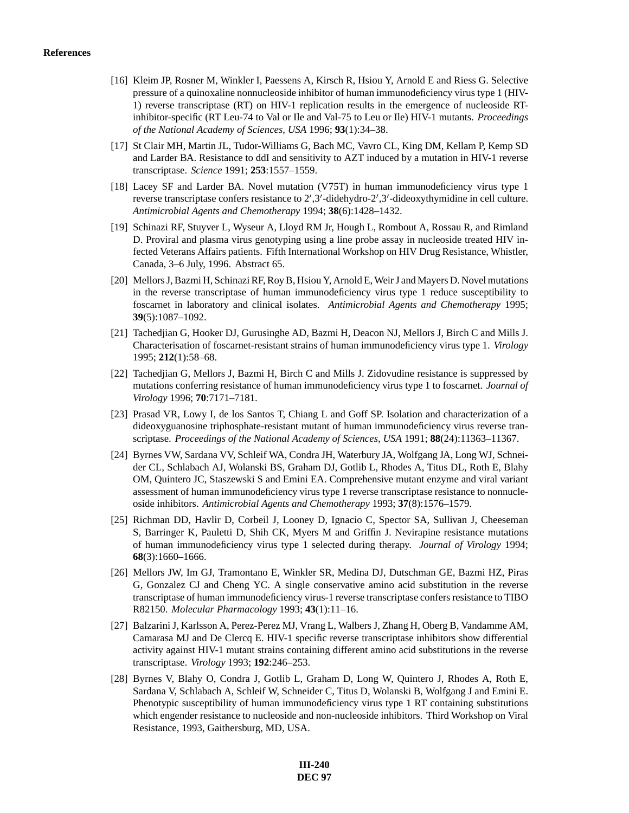- [16] Kleim JP, Rosner M, Winkler I, Paessens A, Kirsch R, Hsiou Y, Arnold E and Riess G. Selective pressure of a quinoxaline nonnucleoside inhibitor of human immunodeficiency virus type 1 (HIV-1) reverse transcriptase (RT) on HIV-1 replication results in the emergence of nucleoside RTinhibitor-specific (RT Leu-74 to Val or Ile and Val-75 to Leu or Ile) HIV-1 mutants. *Proceedings of the National Academy of Sciences, USA* 1996; **93**(1):34–38.
- [17] St Clair MH, Martin JL, Tudor-Williams G, Bach MC, Vavro CL, King DM, Kellam P, Kemp SD and Larder BA. Resistance to ddI and sensitivity to AZT induced by a mutation in HIV-1 reverse transcriptase. *Science* 1991; **253**:1557–1559.
- [18] Lacey SF and Larder BA. Novel mutation (V75T) in human immunodeficiency virus type 1 reverse transcriptase confers resistance to  $2^{\prime}$ ,  $3^{\prime}$ -didehydro- $2^{\prime}$ ,  $3^{\prime}$ -dideoxythymidine in cell culture. *Antimicrobial Agents and Chemotherapy* 1994; **38**(6):1428–1432.
- [19] Schinazi RF, Stuyver L, Wyseur A, Lloyd RM Jr, Hough L, Rombout A, Rossau R, and Rimland D. Proviral and plasma virus genotyping using a line probe assay in nucleoside treated HIV infected Veterans Affairs patients. Fifth International Workshop on HIV Drug Resistance, Whistler, Canada, 3–6 July, 1996. Abstract 65.
- [20] Mellors J, Bazmi H, Schinazi RF, Roy B, Hsiou Y, Arnold E, Weir J and Mayers D. Novel mutations in the reverse transcriptase of human immunodeficiency virus type 1 reduce susceptibility to foscarnet in laboratory and clinical isolates. *Antimicrobial Agents and Chemotherapy* 1995; **39**(5):1087–1092.
- [21] Tachedjian G, Hooker DJ, Gurusinghe AD, Bazmi H, Deacon NJ, Mellors J, Birch C and Mills J. Characterisation of foscarnet-resistant strains of human immunodeficiency virus type 1. *Virology* 1995; **212**(1):58–68.
- [22] Tachedjian G, Mellors J, Bazmi H, Birch C and Mills J. Zidovudine resistance is suppressed by mutations conferring resistance of human immunodeficiency virus type 1 to foscarnet. *Journal of Virology* 1996; **70**:7171–7181.
- [23] Prasad VR, Lowy I, de los Santos T, Chiang L and Goff SP. Isolation and characterization of a dideoxyguanosine triphosphate-resistant mutant of human immunodeficiency virus reverse transcriptase. *Proceedings of the National Academy of Sciences, USA* 1991; **88**(24):11363–11367.
- [24] Byrnes VW, Sardana VV, Schleif WA, Condra JH, Waterbury JA, Wolfgang JA, Long WJ, Schneider CL, Schlabach AJ, Wolanski BS, Graham DJ, Gotlib L, Rhodes A, Titus DL, Roth E, Blahy OM, Quintero JC, Staszewski S and Emini EA. Comprehensive mutant enzyme and viral variant assessment of human immunodeficiency virus type 1 reverse transcriptase resistance to nonnucleoside inhibitors. *Antimicrobial Agents and Chemotherapy* 1993; **37**(8):1576–1579.
- [25] Richman DD, Havlir D, Corbeil J, Looney D, Ignacio C, Spector SA, Sullivan J, Cheeseman S, Barringer K, Pauletti D, Shih CK, Myers M and Griffin J. Nevirapine resistance mutations of human immunodeficiency virus type 1 selected during therapy. *Journal of Virology* 1994; **68**(3):1660–1666.
- [26] Mellors JW, Im GJ, Tramontano E, Winkler SR, Medina DJ, Dutschman GE, Bazmi HZ, Piras G, Gonzalez CJ and Cheng YC. A single conservative amino acid substitution in the reverse transcriptase of human immunodeficiency virus-1 reverse transcriptase confers resistance to TIBO R82150. *Molecular Pharmacology* 1993; **43**(1):11–16.
- [27] Balzarini J, Karlsson A, Perez-Perez MJ, Vrang L, Walbers J, Zhang H, Oberg B, Vandamme AM, Camarasa MJ and De Clercq E. HIV-1 specific reverse transcriptase inhibitors show differential activity against HIV-1 mutant strains containing different amino acid substitutions in the reverse transcriptase. *Virology* 1993; **192**:246–253.
- [28] Byrnes V, Blahy O, Condra J, Gotlib L, Graham D, Long W, Quintero J, Rhodes A, Roth E, Sardana V, Schlabach A, Schleif W, Schneider C, Titus D, Wolanski B, Wolfgang J and Emini E. Phenotypic susceptibility of human immunodeficiency virus type 1 RT containing substitutions which engender resistance to nucleoside and non-nucleoside inhibitors. Third Workshop on Viral Resistance, 1993, Gaithersburg, MD, USA.

**III-240 DEC 97**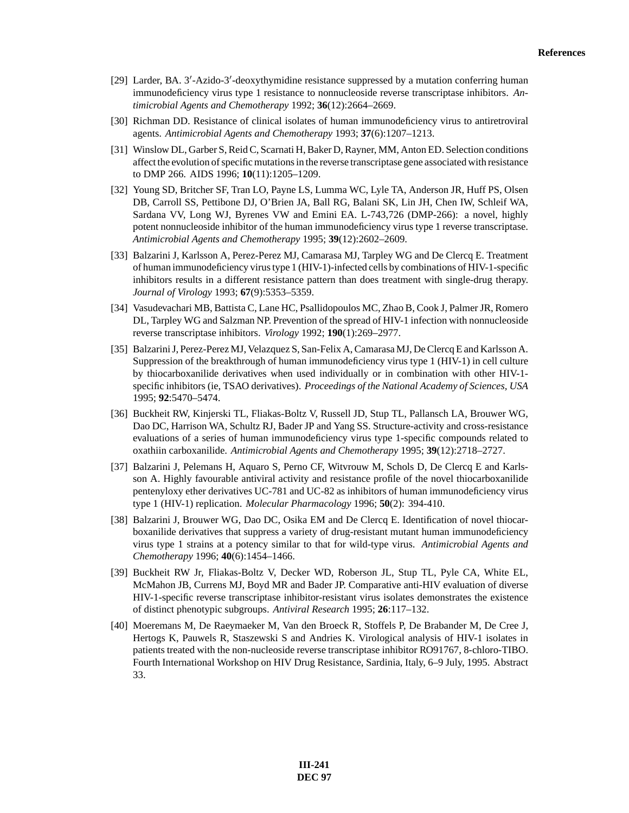- [29] Larder, BA. 3'-Azido-3'-deoxythymidine resistance suppressed by a mutation conferring human immunodeficiency virus type 1 resistance to nonnucleoside reverse transcriptase inhibitors. *Antimicrobial Agents and Chemotherapy* 1992; **36**(12):2664–2669.
- [30] Richman DD. Resistance of clinical isolates of human immunodeficiency virus to antiretroviral agents. *Antimicrobial Agents and Chemotherapy* 1993; **37**(6):1207–1213.
- [31] Winslow DL, Garber S, Reid C, Scarnati H, Baker D, Rayner, MM, Anton ED. Selection conditions affect the evolution of specific mutations in the reverse transcriptase gene associated with resistance to DMP 266. AIDS 1996; **10**(11):1205–1209.
- [32] Young SD, Britcher SF, Tran LO, Payne LS, Lumma WC, Lyle TA, Anderson JR, Huff PS, Olsen DB, Carroll SS, Pettibone DJ, O'Brien JA, Ball RG, Balani SK, Lin JH, Chen IW, Schleif WA, Sardana VV, Long WJ, Byrenes VW and Emini EA. L-743,726 (DMP-266): a novel, highly potent nonnucleoside inhibitor of the human immunodeficiency virus type 1 reverse transcriptase. *Antimicrobial Agents and Chemotherapy* 1995; **39**(12):2602–2609.
- [33] Balzarini J, Karlsson A, Perez-Perez MJ, Camarasa MJ, Tarpley WG and De Clercq E. Treatment of human immunodeficiency virus type 1 (HIV-1)-infected cells by combinations of HIV-1-specific inhibitors results in a different resistance pattern than does treatment with single-drug therapy. *Journal of Virology* 1993; **67**(9):5353–5359.
- [34] Vasudevachari MB, Battista C, Lane HC, Psallidopoulos MC, Zhao B, Cook J, Palmer JR, Romero DL, Tarpley WG and Salzman NP. Prevention of the spread of HIV-1 infection with nonnucleoside reverse transcriptase inhibitors. *Virology* 1992; **190**(1):269–2977.
- [35] Balzarini J, Perez-Perez MJ, Velazquez S, San-Felix A, Camarasa MJ, De Clercq E and Karlsson A. Suppression of the breakthrough of human immunodeficiency virus type 1 (HIV-1) in cell culture by thiocarboxanilide derivatives when used individually or in combination with other HIV-1 specific inhibitors (ie, TSAO derivatives). *Proceedings of the National Academy of Sciences, USA* 1995; **92**:5470–5474.
- [36] Buckheit RW, Kinjerski TL, Fliakas-Boltz V, Russell JD, Stup TL, Pallansch LA, Brouwer WG, Dao DC, Harrison WA, Schultz RJ, Bader JP and Yang SS. Structure-activity and cross-resistance evaluations of a series of human immunodeficiency virus type 1-specific compounds related to oxathiin carboxanilide. *Antimicrobial Agents and Chemotherapy* 1995; **39**(12):2718–2727.
- [37] Balzarini J, Pelemans H, Aquaro S, Perno CF, Witvrouw M, Schols D, De Clercq E and Karlsson A. Highly favourable antiviral activity and resistance profile of the novel thiocarboxanilide pentenyloxy ether derivatives UC-781 and UC-82 as inhibitors of human immunodeficiency virus type 1 (HIV-1) replication. *Molecular Pharmacology* 1996; **50**(2): 394-410.
- [38] Balzarini J, Brouwer WG, Dao DC, Osika EM and De Clercq E. Identification of novel thiocarboxanilide derivatives that suppress a variety of drug-resistant mutant human immunodeficiency virus type 1 strains at a potency similar to that for wild-type virus. *Antimicrobial Agents and Chemotherapy* 1996; **40**(6):1454–1466.
- [39] Buckheit RW Jr, Fliakas-Boltz V, Decker WD, Roberson JL, Stup TL, Pyle CA, White EL, McMahon JB, Currens MJ, Boyd MR and Bader JP. Comparative anti-HIV evaluation of diverse HIV-1-specific reverse transcriptase inhibitor-resistant virus isolates demonstrates the existence of distinct phenotypic subgroups. *Antiviral Research* 1995; **26**:117–132.
- [40] Moeremans M, De Raeymaeker M, Van den Broeck R, Stoffels P, De Brabander M, De Cree J, Hertogs K, Pauwels R, Staszewski S and Andries K. Virological analysis of HIV-1 isolates in patients treated with the non-nucleoside reverse transcriptase inhibitor RO91767, 8-chloro-TIBO. Fourth International Workshop on HIV Drug Resistance, Sardinia, Italy, 6–9 July, 1995. Abstract 33.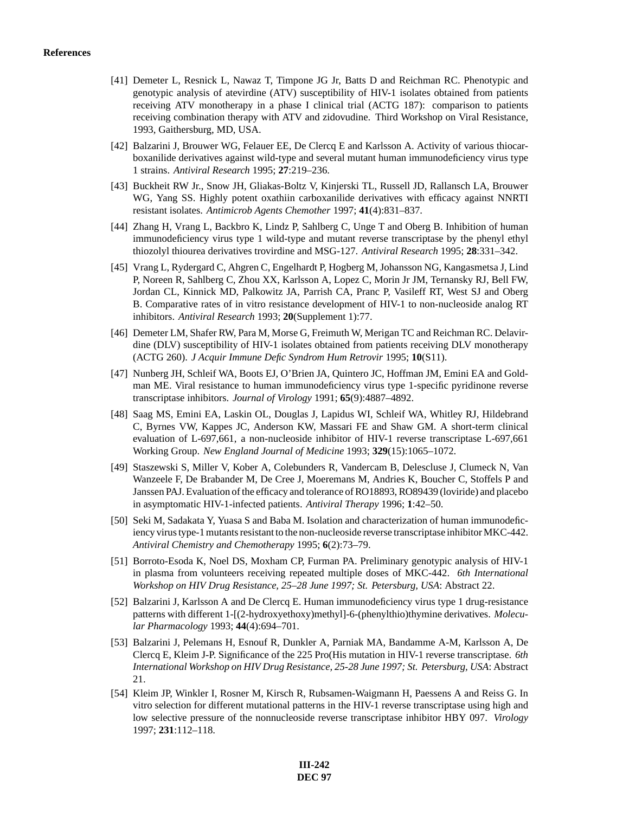- [41] Demeter L, Resnick L, Nawaz T, Timpone JG Jr, Batts D and Reichman RC. Phenotypic and genotypic analysis of atevirdine (ATV) susceptibility of HIV-1 isolates obtained from patients receiving ATV monotherapy in a phase I clinical trial (ACTG 187): comparison to patients receiving combination therapy with ATV and zidovudine. Third Workshop on Viral Resistance, 1993, Gaithersburg, MD, USA.
- [42] Balzarini J, Brouwer WG, Felauer EE, De Clercq E and Karlsson A. Activity of various thiocarboxanilide derivatives against wild-type and several mutant human immunodeficiency virus type 1 strains. *Antiviral Research* 1995; **27**:219–236.
- [43] Buckheit RW Jr., Snow JH, Gliakas-Boltz V, Kinjerski TL, Russell JD, Rallansch LA, Brouwer WG, Yang SS. Highly potent oxathiin carboxanilide derivatives with efficacy against NNRTI resistant isolates. *Antimicrob Agents Chemother* 1997; **41**(4):831–837.
- [44] Zhang H, Vrang L, Backbro K, Lindz P, Sahlberg C, Unge T and Oberg B. Inhibition of human immunodeficiency virus type 1 wild-type and mutant reverse transcriptase by the phenyl ethyl thiozolyl thiourea derivatives trovirdine and MSG-127. *Antiviral Research* 1995; **28**:331–342.
- [45] Vrang L, Rydergard C, Ahgren C, Engelhardt P, Hogberg M, Johansson NG, Kangasmetsa J, Lind P, Noreen R, Sahlberg C, Zhou XX, Karlsson A, Lopez C, Morin Jr JM, Ternansky RJ, Bell FW, Jordan CL, Kinnick MD, Palkowitz JA, Parrish CA, Pranc P, Vasileff RT, West SJ and Oberg B. Comparative rates of in vitro resistance development of HIV-1 to non-nucleoside analog RT inhibitors. *Antiviral Research* 1993; **20**(Supplement 1):77.
- [46] Demeter LM, Shafer RW, Para M, Morse G, Freimuth W, Merigan TC and Reichman RC. Delavirdine (DLV) susceptibility of HIV-1 isolates obtained from patients receiving DLV monotherapy (ACTG 260). *J Acquir Immune Defic Syndrom Hum Retrovir* 1995; **10**(S11).
- [47] Nunberg JH, Schleif WA, Boots EJ, O'Brien JA, Quintero JC, Hoffman JM, Emini EA and Goldman ME. Viral resistance to human immunodeficiency virus type 1-specific pyridinone reverse transcriptase inhibitors. *Journal of Virology* 1991; **65**(9):4887–4892.
- [48] Saag MS, Emini EA, Laskin OL, Douglas J, Lapidus WI, Schleif WA, Whitley RJ, Hildebrand C, Byrnes VW, Kappes JC, Anderson KW, Massari FE and Shaw GM. A short-term clinical evaluation of L-697,661, a non-nucleoside inhibitor of HIV-1 reverse transcriptase L-697,661 Working Group. *New England Journal of Medicine* 1993; **329**(15):1065–1072.
- [49] Staszewski S, Miller V, Kober A, Colebunders R, Vandercam B, Delescluse J, Clumeck N, Van Wanzeele F, De Brabander M, De Cree J, Moeremans M, Andries K, Boucher C, Stoffels P and Janssen PAJ. Evaluation of the efficacy and tolerance of RO18893, RO89439 (loviride) and placebo in asymptomatic HIV-1-infected patients. *Antiviral Therapy* 1996; **1**:42–50.
- [50] Seki M, Sadakata Y, Yuasa S and Baba M. Isolation and characterization of human immunodeficiency virus type-1 mutants resistant to the non-nucleoside reverse transcriptase inhibitor MKC-442. *Antiviral Chemistry and Chemotherapy* 1995; **6**(2):73–79.
- [51] Borroto-Esoda K, Noel DS, Moxham CP, Furman PA. Preliminary genotypic analysis of HIV-1 in plasma from volunteers receiving repeated multiple doses of MKC-442. *6th International Workshop on HIV Drug Resistance, 25–28 June 1997; St. Petersburg, USA*: Abstract 22.
- [52] Balzarini J, Karlsson A and De Clercq E. Human immunodeficiency virus type 1 drug-resistance patterns with different 1-[(2-hydroxyethoxy)methyl]-6-(phenylthio)thymine derivatives. *Molecular Pharmacology* 1993; **44**(4):694–701.
- [53] Balzarini J, Pelemans H, Esnouf R, Dunkler A, Parniak MA, Bandamme A-M, Karlsson A, De Clercq E, Kleim J-P. Significance of the 225 Pro(His mutation in HIV-1 reverse transcriptase. *6th International Workshop on HIV Drug Resistance, 25-28 June 1997; St. Petersburg, USA*: Abstract 21.
- [54] Kleim JP, Winkler I, Rosner M, Kirsch R, Rubsamen-Waigmann H, Paessens A and Reiss G. In vitro selection for different mutational patterns in the HIV-1 reverse transcriptase using high and low selective pressure of the nonnucleoside reverse transcriptase inhibitor HBY 097. *Virology* 1997; **231**:112–118.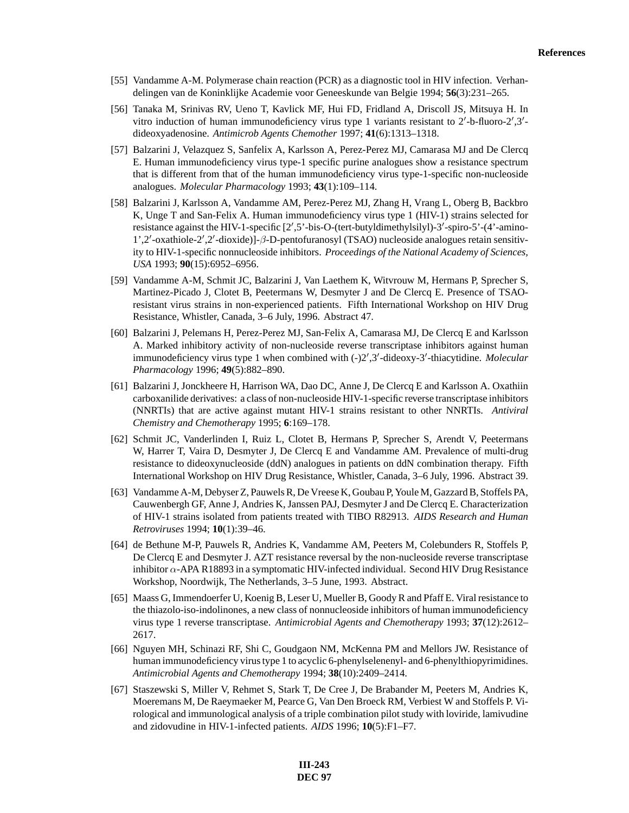- [55] Vandamme A-M. Polymerase chain reaction (PCR) as a diagnostic tool in HIV infection. Verhandelingen van de Koninklijke Academie voor Geneeskunde van Belgie 1994; **56**(3):231–265.
- [56] Tanaka M, Srinivas RV, Ueno T, Kavlick MF, Hui FD, Fridland A, Driscoll JS, Mitsuya H. In vitro induction of human immunodeficiency virus type 1 variants resistant to  $2'$ -b-fluoro- $2',3'$ dideoxyadenosine. *Antimicrob Agents Chemother* 1997; **41**(6):1313–1318.
- [57] Balzarini J, Velazquez S, Sanfelix A, Karlsson A, Perez-Perez MJ, Camarasa MJ and De Clercq E. Human immunodeficiency virus type-1 specific purine analogues show a resistance spectrum that is different from that of the human immunodeficiency virus type-1-specific non-nucleoside analogues. *Molecular Pharmacology* 1993; **43**(1):109–114.
- [58] Balzarini J, Karlsson A, Vandamme AM, Perez-Perez MJ, Zhang H, Vrang L, Oberg B, Backbro K, Unge T and San-Felix A. Human immunodeficiency virus type 1 (HIV-1) strains selected for resistance against the HIV-1-specific  $[2', 5'$ -bis-O-(tert-butyldimethylsilyl)-3'-spiro-5'-(4'-amino-1',2'-oxathiole-2',2'-dioxide)]-β-D-pentofuranosyl (TSAO) nucleoside analogues retain sensitivity to HIV-1-specific nonnucleoside inhibitors. *Proceedings of the National Academy of Sciences, USA* 1993; **90**(15):6952–6956.
- [59] Vandamme A-M, Schmit JC, Balzarini J, Van Laethem K, Witvrouw M, Hermans P, Sprecher S, Martinez-Picado J, Clotet B, Peetermans W, Desmyter J and De Clercq E. Presence of TSAOresistant virus strains in non-experienced patients. Fifth International Workshop on HIV Drug Resistance, Whistler, Canada, 3–6 July, 1996. Abstract 47.
- [60] Balzarini J, Pelemans H, Perez-Perez MJ, San-Felix A, Camarasa MJ, De Clercq E and Karlsson A. Marked inhibitory activity of non-nucleoside reverse transcriptase inhibitors against human immunodeficiency virus type 1 when combined with  $(-)2^{\prime}, 3^{\prime}$ -dideoxy-3'-thiacytidine. *Molecular Pharmacology* 1996; **49**(5):882–890.
- [61] Balzarini J, Jonckheere H, Harrison WA, Dao DC, Anne J, De Clercq E and Karlsson A. Oxathiin carboxanilide derivatives: a class of non-nucleoside HIV-1-specific reverse transcriptase inhibitors (NNRTIs) that are active against mutant HIV-1 strains resistant to other NNRTIs. *Antiviral Chemistry and Chemotherapy* 1995; **6**:169–178.
- [62] Schmit JC, Vanderlinden I, Ruiz L, Clotet B, Hermans P, Sprecher S, Arendt V, Peetermans W, Harrer T, Vaira D, Desmyter J, De Clercq E and Vandamme AM. Prevalence of multi-drug resistance to dideoxynucleoside (ddN) analogues in patients on ddN combination therapy. Fifth International Workshop on HIV Drug Resistance, Whistler, Canada, 3–6 July, 1996. Abstract 39.
- [63] Vandamme A-M, Debyser Z, Pauwels R, De Vreese K, Goubau P, Youle M, Gazzard B, Stoffels PA, Cauwenbergh GF, Anne J, Andries K, Janssen PAJ, Desmyter J and De Clercq E. Characterization of HIV-1 strains isolated from patients treated with TIBO R82913. *AIDS Research and Human Retroviruses* 1994; **10**(1):39–46.
- [64] de Bethune M-P, Pauwels R, Andries K, Vandamme AM, Peeters M, Colebunders R, Stoffels P, De Clercq E and Desmyter J. AZT resistance reversal by the non-nucleoside reverse transcriptase inhibitor α-APA R18893 in a symptomatic HIV-infected individual. Second HIV Drug Resistance Workshop, Noordwijk, The Netherlands, 3–5 June, 1993. Abstract.
- [65] Maass G, Immendoerfer U, Koenig B, Leser U, Mueller B, Goody R and Pfaff E. Viral resistance to the thiazolo-iso-indolinones, a new class of nonnucleoside inhibitors of human immunodeficiency virus type 1 reverse transcriptase. *Antimicrobial Agents and Chemotherapy* 1993; **37**(12):2612– 2617.
- [66] Nguyen MH, Schinazi RF, Shi C, Goudgaon NM, McKenna PM and Mellors JW. Resistance of human immunodeficiency virus type 1 to acyclic 6-phenylselenenyl- and 6-phenylthiopyrimidines. *Antimicrobial Agents and Chemotherapy* 1994; **38**(10):2409–2414.
- [67] Staszewski S, Miller V, Rehmet S, Stark T, De Cree J, De Brabander M, Peeters M, Andries K, Moeremans M, De Raeymaeker M, Pearce G, Van Den Broeck RM, Verbiest W and Stoffels P. Virological and immunological analysis of a triple combination pilot study with loviride, lamivudine and zidovudine in HIV-1-infected patients. *AIDS* 1996; **10**(5):F1–F7.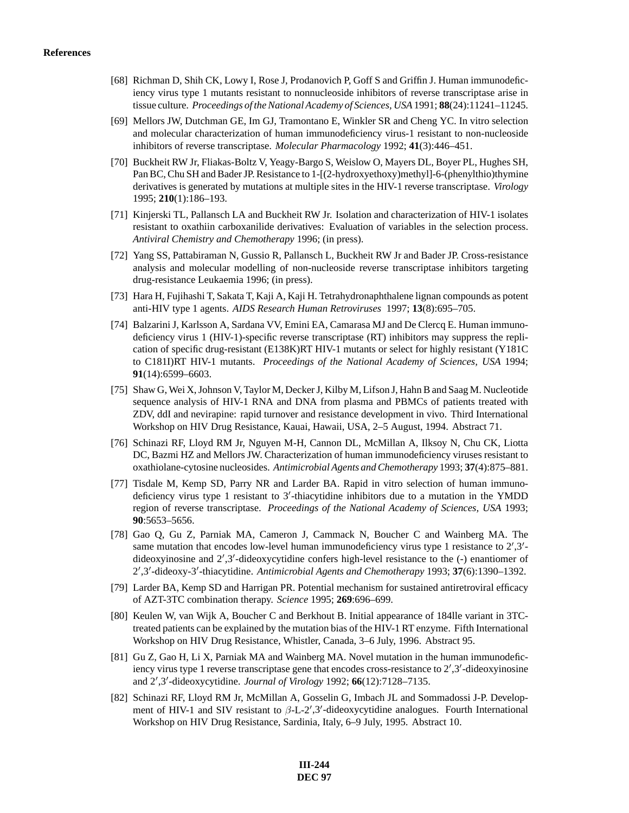- [68] Richman D, Shih CK, Lowy I, Rose J, Prodanovich P, Goff S and Griffin J. Human immunodeficiency virus type 1 mutants resistant to nonnucleoside inhibitors of reverse transcriptase arise in tissue culture. *Proceedings of the National Academy of Sciences, USA*1991; **88**(24):11241–11245.
- [69] Mellors JW, Dutchman GE, Im GJ, Tramontano E, Winkler SR and Cheng YC. In vitro selection and molecular characterization of human immunodeficiency virus-1 resistant to non-nucleoside inhibitors of reverse transcriptase. *Molecular Pharmacology* 1992; **41**(3):446–451.
- [70] Buckheit RW Jr, Fliakas-Boltz V, Yeagy-Bargo S, Weislow O, Mayers DL, Boyer PL, Hughes SH, Pan BC, Chu SH and Bader JP. Resistance to 1-[(2-hydroxyethoxy)methyl]-6-(phenylthio)thymine derivatives is generated by mutations at multiple sites in the HIV-1 reverse transcriptase. *Virology* 1995; **210**(1):186–193.
- [71] Kinjerski TL, Pallansch LA and Buckheit RW Jr. Isolation and characterization of HIV-1 isolates resistant to oxathiin carboxanilide derivatives: Evaluation of variables in the selection process. *Antiviral Chemistry and Chemotherapy* 1996; (in press).
- [72] Yang SS, Pattabiraman N, Gussio R, Pallansch L, Buckheit RW Jr and Bader JP. Cross-resistance analysis and molecular modelling of non-nucleoside reverse transcriptase inhibitors targeting drug-resistance Leukaemia 1996; (in press).
- [73] Hara H, Fujihashi T, Sakata T, Kaji A, Kaji H. Tetrahydronaphthalene lignan compounds as potent anti-HIV type 1 agents. *AIDS Research Human Retroviruses* 1997; **13**(8):695–705.
- [74] Balzarini J, Karlsson A, Sardana VV, Emini EA, Camarasa MJ and De Clercq E. Human immunodeficiency virus 1 (HIV-1)-specific reverse transcriptase (RT) inhibitors may suppress the replication of specific drug-resistant (E138K)RT HIV-1 mutants or select for highly resistant (Y181C to C181I)RT HIV-1 mutants. *Proceedings of the National Academy of Sciences, USA* 1994; **91**(14):6599–6603.
- [75] Shaw G, Wei X, Johnson V, Taylor M, Decker J, Kilby M, Lifson J, Hahn B and Saag M. Nucleotide sequence analysis of HIV-1 RNA and DNA from plasma and PBMCs of patients treated with ZDV, ddI and nevirapine: rapid turnover and resistance development in vivo. Third International Workshop on HIV Drug Resistance, Kauai, Hawaii, USA, 2–5 August, 1994. Abstract 71.
- [76] Schinazi RF, Lloyd RM Jr, Nguyen M-H, Cannon DL, McMillan A, Ilksoy N, Chu CK, Liotta DC, Bazmi HZ and Mellors JW. Characterization of human immunodeficiency viruses resistant to oxathiolane-cytosine nucleosides. *Antimicrobial Agents and Chemotherapy* 1993; **37**(4):875–881.
- [77] Tisdale M, Kemp SD, Parry NR and Larder BA. Rapid in vitro selection of human immunodeficiency virus type 1 resistant to  $3'$ -thiacytidine inhibitors due to a mutation in the YMDD region of reverse transcriptase. *Proceedings of the National Academy of Sciences, USA* 1993; **90**:5653–5656.
- [78] Gao Q, Gu Z, Parniak MA, Cameron J, Cammack N, Boucher C and Wainberg MA. The same mutation that encodes low-level human immunodeficiency virus type 1 resistance to  $2^{\prime},3^{\prime}$ dideoxyinosine and  $2^{\prime}, 3^{\prime}$ -dideoxycytidine confers high-level resistance to the (-) enantiomer of 2',3'-dideoxy-3'-thiacytidine. *Antimicrobial Agents and Chemotherapy* 1993; 37(6):1390–1392.
- [79] Larder BA, Kemp SD and Harrigan PR. Potential mechanism for sustained antiretroviral efficacy of AZT-3TC combination therapy. *Science* 1995; **269**:696–699.
- [80] Keulen W, van Wijk A, Boucher C and Berkhout B. Initial appearance of 184lle variant in 3TCtreated patients can be explained by the mutation bias of the HIV-1 RT enzyme. Fifth International Workshop on HIV Drug Resistance, Whistler, Canada, 3–6 July, 1996. Abstract 95.
- [81] Gu Z, Gao H, Li X, Parniak MA and Wainberg MA. Novel mutation in the human immunodeficiency virus type 1 reverse transcriptase gene that encodes cross-resistance to 2',3'-dideoxyinosine and 2',3'-dideoxycytidine. *Journal of Virology* 1992; **66**(12):7128–7135.
- [82] Schinazi RF, Lloyd RM Jr, McMillan A, Gosselin G, Imbach JL and Sommadossi J-P. Development of HIV-1 and SIV resistant to  $\beta$ -L-2',3'-dideoxycytidine analogues. Fourth International Workshop on HIV Drug Resistance, Sardinia, Italy, 6–9 July, 1995. Abstract 10.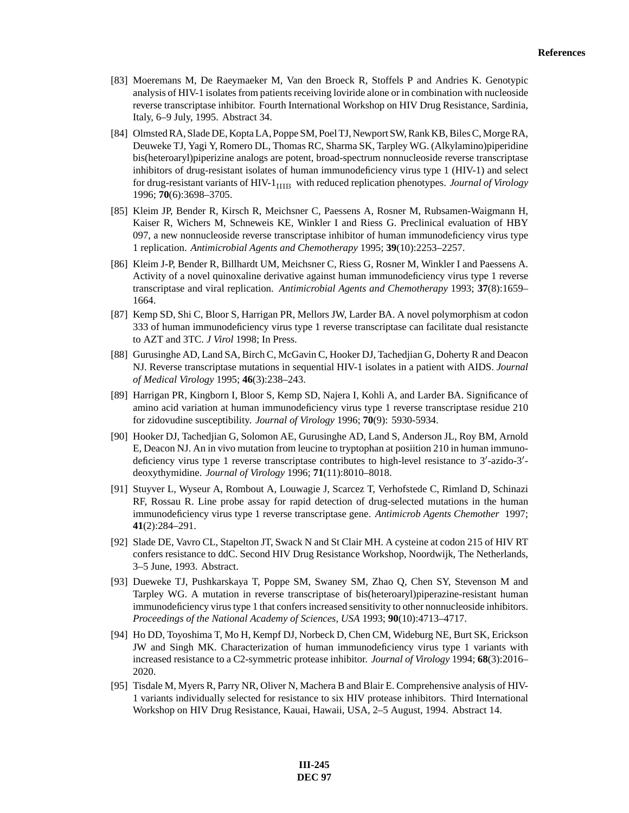- [83] Moeremans M, De Raeymaeker M, Van den Broeck R, Stoffels P and Andries K. Genotypic analysis of HIV-1 isolates from patients receiving loviride alone or in combination with nucleoside reverse transcriptase inhibitor. Fourth International Workshop on HIV Drug Resistance, Sardinia, Italy, 6–9 July, 1995. Abstract 34.
- [84] Olmsted RA, Slade DE, Kopta LA, Poppe SM, Poel TJ, Newport SW, Rank KB, Biles C, Morge RA, Deuweke TJ, Yagi Y, Romero DL, Thomas RC, Sharma SK, Tarpley WG. (Alkylamino)piperidine bis(heteroaryl)piperizine analogs are potent, broad-spectrum nonnucleoside reverse transcriptase inhibitors of drug-resistant isolates of human immunodeficiency virus type 1 (HIV-1) and select for drug-resistant variants of HIV-1<sub>IIIB</sub> with reduced replication phenotypes. *Journal of Virology* 1996; **70**(6):3698–3705.
- [85] Kleim JP, Bender R, Kirsch R, Meichsner C, Paessens A, Rosner M, Rubsamen-Waigmann H, Kaiser R, Wichers M, Schneweis KE, Winkler I and Riess G. Preclinical evaluation of HBY 097, a new nonnucleoside reverse transcriptase inhibitor of human immunodeficiency virus type 1 replication. *Antimicrobial Agents and Chemotherapy* 1995; **39**(10):2253–2257.
- [86] Kleim J-P, Bender R, Billhardt UM, Meichsner C, Riess G, Rosner M, Winkler I and Paessens A. Activity of a novel quinoxaline derivative against human immunodeficiency virus type 1 reverse transcriptase and viral replication. *Antimicrobial Agents and Chemotherapy* 1993; **37**(8):1659– 1664.
- [87] Kemp SD, Shi C, Bloor S, Harrigan PR, Mellors JW, Larder BA. A novel polymorphism at codon 333 of human immunodeficiency virus type 1 reverse transcriptase can facilitate dual resistancte to AZT and 3TC. *J Virol* 1998; In Press.
- [88] Gurusinghe AD, Land SA, Birch C, McGavin C, Hooker DJ, Tachedjian G, Doherty R and Deacon NJ. Reverse transcriptase mutations in sequential HIV-1 isolates in a patient with AIDS. *Journal of Medical Virology* 1995; **46**(3):238–243.
- [89] Harrigan PR, Kingborn I, Bloor S, Kemp SD, Najera I, Kohli A, and Larder BA. Significance of amino acid variation at human immunodeficiency virus type 1 reverse transcriptase residue 210 for zidovudine susceptibility. *Journal of Virology* 1996; **70**(9): 5930-5934.
- [90] Hooker DJ, Tachedjian G, Solomon AE, Gurusinghe AD, Land S, Anderson JL, Roy BM, Arnold E, Deacon NJ. An in vivo mutation from leucine to tryptophan at posiition 210 in human immunodeficiency virus type 1 reverse transcriptase contributes to high-level resistance to  $3'$ -azido- $3'$ deoxythymidine. *Journal of Virology* 1996; **71**(11):8010–8018.
- [91] Stuyver L, Wyseur A, Rombout A, Louwagie J, Scarcez T, Verhofstede C, Rimland D, Schinazi RF, Rossau R. Line probe assay for rapid detection of drug-selected mutations in the human immunodeficiency virus type 1 reverse transcriptase gene. *Antimicrob Agents Chemother* 1997; **41**(2):284–291.
- [92] Slade DE, Vavro CL, Stapelton JT, Swack N and St Clair MH. A cysteine at codon 215 of HIV RT confers resistance to ddC. Second HIV Drug Resistance Workshop, Noordwijk, The Netherlands, 3–5 June, 1993. Abstract.
- [93] Dueweke TJ, Pushkarskaya T, Poppe SM, Swaney SM, Zhao Q, Chen SY, Stevenson M and Tarpley WG. A mutation in reverse transcriptase of bis(heteroaryl)piperazine-resistant human immunodeficiency virus type 1 that confers increased sensitivity to other nonnucleoside inhibitors. *Proceedings of the National Academy of Sciences, USA* 1993; **90**(10):4713–4717.
- [94] Ho DD, Toyoshima T, Mo H, Kempf DJ, Norbeck D, Chen CM, Wideburg NE, Burt SK, Erickson JW and Singh MK. Characterization of human immunodeficiency virus type 1 variants with increased resistance to a C2-symmetric protease inhibitor. *Journal of Virology* 1994; **68**(3):2016– 2020.
- [95] Tisdale M, Myers R, Parry NR, Oliver N, Machera B and Blair E. Comprehensive analysis of HIV-1 variants individually selected for resistance to six HIV protease inhibitors. Third International Workshop on HIV Drug Resistance, Kauai, Hawaii, USA, 2–5 August, 1994. Abstract 14.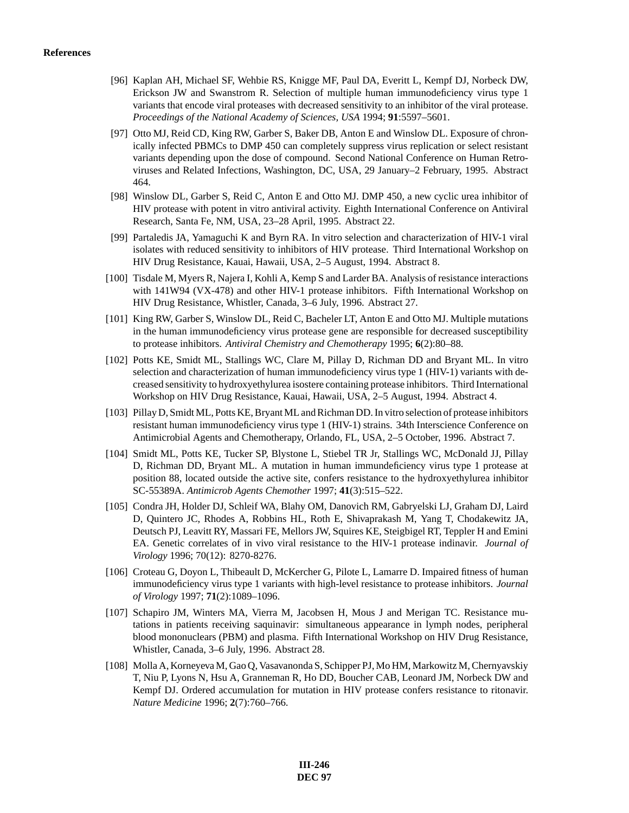- [96] Kaplan AH, Michael SF, Wehbie RS, Knigge MF, Paul DA, Everitt L, Kempf DJ, Norbeck DW, Erickson JW and Swanstrom R. Selection of multiple human immunodeficiency virus type 1 variants that encode viral proteases with decreased sensitivity to an inhibitor of the viral protease. *Proceedings of the National Academy of Sciences, USA* 1994; **91**:5597–5601.
- [97] Otto MJ, Reid CD, King RW, Garber S, Baker DB, Anton E and Winslow DL. Exposure of chronically infected PBMCs to DMP 450 can completely suppress virus replication or select resistant variants depending upon the dose of compound. Second National Conference on Human Retroviruses and Related Infections, Washington, DC, USA, 29 January–2 February, 1995. Abstract 464.
- [98] Winslow DL, Garber S, Reid C, Anton E and Otto MJ. DMP 450, a new cyclic urea inhibitor of HIV protease with potent in vitro antiviral activity. Eighth International Conference on Antiviral Research, Santa Fe, NM, USA, 23–28 April, 1995. Abstract 22.
- [99] Partaledis JA, Yamaguchi K and Byrn RA. In vitro selection and characterization of HIV-1 viral isolates with reduced sensitivity to inhibitors of HIV protease. Third International Workshop on HIV Drug Resistance, Kauai, Hawaii, USA, 2–5 August, 1994. Abstract 8.
- [100] Tisdale M, Myers R, Najera I, Kohli A, Kemp S and Larder BA. Analysis of resistance interactions with 141W94 (VX-478) and other HIV-1 protease inhibitors. Fifth International Workshop on HIV Drug Resistance, Whistler, Canada, 3–6 July, 1996. Abstract 27.
- [101] King RW, Garber S, Winslow DL, Reid C, Bacheler LT, Anton E and Otto MJ. Multiple mutations in the human immunodeficiency virus protease gene are responsible for decreased susceptibility to protease inhibitors. *Antiviral Chemistry and Chemotherapy* 1995; **6**(2):80–88.
- [102] Potts KE, Smidt ML, Stallings WC, Clare M, Pillay D, Richman DD and Bryant ML. In vitro selection and characterization of human immunodeficiency virus type 1 (HIV-1) variants with decreased sensitivity to hydroxyethylurea isostere containing protease inhibitors. Third International Workshop on HIV Drug Resistance, Kauai, Hawaii, USA, 2–5 August, 1994. Abstract 4.
- [103] Pillay D, Smidt ML, Potts KE, Bryant ML and Richman DD. In vitro selection of protease inhibitors resistant human immunodeficiency virus type 1 (HIV-1) strains. 34th Interscience Conference on Antimicrobial Agents and Chemotherapy, Orlando, FL, USA, 2–5 October, 1996. Abstract 7.
- [104] Smidt ML, Potts KE, Tucker SP, Blystone L, Stiebel TR Jr, Stallings WC, McDonald JJ, Pillay D, Richman DD, Bryant ML. A mutation in human immundeficiency virus type 1 protease at position 88, located outside the active site, confers resistance to the hydroxyethylurea inhibitor SC-55389A. *Antimicrob Agents Chemother* 1997; **41**(3):515–522.
- [105] Condra JH, Holder DJ, Schleif WA, Blahy OM, Danovich RM, Gabryelski LJ, Graham DJ, Laird D, Quintero JC, Rhodes A, Robbins HL, Roth E, Shivaprakash M, Yang T, Chodakewitz JA, Deutsch PJ, Leavitt RY, Massari FE, Mellors JW, Squires KE, Steigbigel RT, Teppler H and Emini EA. Genetic correlates of in vivo viral resistance to the HIV-1 protease indinavir. *Journal of Virology* 1996; 70(12): 8270-8276.
- [106] Croteau G, Doyon L, Thibeault D, McKercher G, Pilote L, Lamarre D. Impaired fitness of human immunodeficiency virus type 1 variants with high-level resistance to protease inhibitors. *Journal of Virology* 1997; **71**(2):1089–1096.
- [107] Schapiro JM, Winters MA, Vierra M, Jacobsen H, Mous J and Merigan TC. Resistance mutations in patients receiving saquinavir: simultaneous appearance in lymph nodes, peripheral blood mononuclears (PBM) and plasma. Fifth International Workshop on HIV Drug Resistance, Whistler, Canada, 3–6 July, 1996. Abstract 28.
- [108] Molla A, Korneyeva M, Gao Q, Vasavanonda S, Schipper PJ, Mo HM, Markowitz M, Chernyavskiy T, Niu P, Lyons N, Hsu A, Granneman R, Ho DD, Boucher CAB, Leonard JM, Norbeck DW and Kempf DJ. Ordered accumulation for mutation in HIV protease confers resistance to ritonavir. *Nature Medicine* 1996; **2**(7):760–766.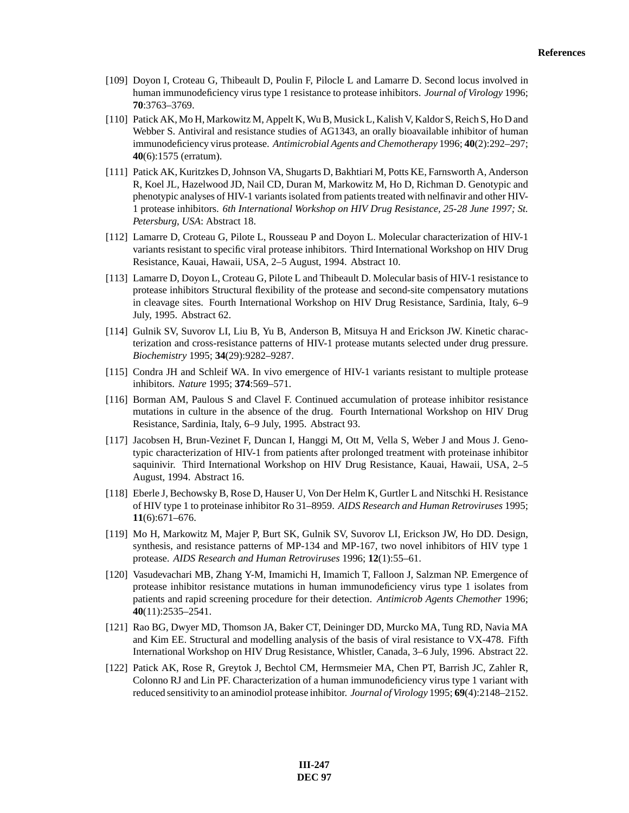- [109] Doyon I, Croteau G, Thibeault D, Poulin F, Pilocle L and Lamarre D. Second locus involved in human immunodeficiency virus type 1 resistance to protease inhibitors. *Journal of Virology* 1996; **70**:3763–3769.
- [110] Patick AK, Mo H, Markowitz M, Appelt K, Wu B, Musick L, Kalish V, Kaldor S, Reich S, Ho D and Webber S. Antiviral and resistance studies of AG1343, an orally bioavailable inhibitor of human immunodeficiency virus protease. *Antimicrobial Agents and Chemotherapy* 1996; **40**(2):292–297; **40**(6):1575 (erratum).
- [111] Patick AK, Kuritzkes D, Johnson VA, Shugarts D, Bakhtiari M, Potts KE, Farnsworth A, Anderson R, Koel JL, Hazelwood JD, Nail CD, Duran M, Markowitz M, Ho D, Richman D. Genotypic and phenotypic analyses of HIV-1 variants isolated from patients treated with nelfinavir and other HIV-1 protease inhibitors. *6th International Workshop on HIV Drug Resistance, 25-28 June 1997; St. Petersburg, USA*: Abstract 18.
- [112] Lamarre D, Croteau G, Pilote L, Rousseau P and Doyon L. Molecular characterization of HIV-1 variants resistant to specific viral protease inhibitors. Third International Workshop on HIV Drug Resistance, Kauai, Hawaii, USA, 2–5 August, 1994. Abstract 10.
- [113] Lamarre D, Doyon L, Croteau G, Pilote L and Thibeault D. Molecular basis of HIV-1 resistance to protease inhibitors Structural flexibility of the protease and second-site compensatory mutations in cleavage sites. Fourth International Workshop on HIV Drug Resistance, Sardinia, Italy, 6–9 July, 1995. Abstract 62.
- [114] Gulnik SV, Suvorov LI, Liu B, Yu B, Anderson B, Mitsuya H and Erickson JW. Kinetic characterization and cross-resistance patterns of HIV-1 protease mutants selected under drug pressure. *Biochemistry* 1995; **34**(29):9282–9287.
- [115] Condra JH and Schleif WA. In vivo emergence of HIV-1 variants resistant to multiple protease inhibitors. *Nature* 1995; **374**:569–571.
- [116] Borman AM, Paulous S and Clavel F. Continued accumulation of protease inhibitor resistance mutations in culture in the absence of the drug. Fourth International Workshop on HIV Drug Resistance, Sardinia, Italy, 6–9 July, 1995. Abstract 93.
- [117] Jacobsen H, Brun-Vezinet F, Duncan I, Hanggi M, Ott M, Vella S, Weber J and Mous J. Genotypic characterization of HIV-1 from patients after prolonged treatment with proteinase inhibitor saquinivir. Third International Workshop on HIV Drug Resistance, Kauai, Hawaii, USA, 2–5 August, 1994. Abstract 16.
- [118] Eberle J, Bechowsky B, Rose D, Hauser U, Von Der Helm K, Gurtler L and Nitschki H. Resistance of HIV type 1 to proteinase inhibitor Ro 31–8959. *AIDS Research and Human Retroviruses* 1995; **11**(6):671–676.
- [119] Mo H, Markowitz M, Majer P, Burt SK, Gulnik SV, Suvorov LI, Erickson JW, Ho DD. Design, synthesis, and resistance patterns of MP-134 and MP-167, two novel inhibitors of HIV type 1 protease. *AIDS Research and Human Retroviruses* 1996; **12**(1):55–61.
- [120] Vasudevachari MB, Zhang Y-M, Imamichi H, Imamich T, Falloon J, Salzman NP. Emergence of protease inhibitor resistance mutations in human immunodeficiency virus type 1 isolates from patients and rapid screening procedure for their detection. *Antimicrob Agents Chemother* 1996; **40**(11):2535–2541.
- [121] Rao BG, Dwyer MD, Thomson JA, Baker CT, Deininger DD, Murcko MA, Tung RD, Navia MA and Kim EE. Structural and modelling analysis of the basis of viral resistance to VX-478. Fifth International Workshop on HIV Drug Resistance, Whistler, Canada, 3–6 July, 1996. Abstract 22.
- [122] Patick AK, Rose R, Greytok J, Bechtol CM, Hermsmeier MA, Chen PT, Barrish JC, Zahler R, Colonno RJ and Lin PF. Characterization of a human immunodeficiency virus type 1 variant with reduced sensitivity to an aminodiol protease inhibitor. *Journal of Virology* 1995; **69**(4):2148–2152.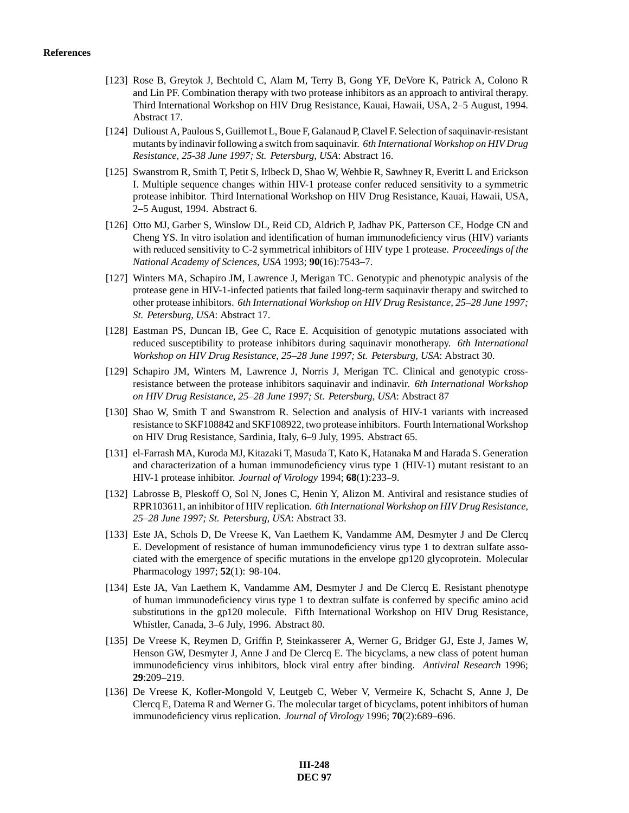- [123] Rose B, Greytok J, Bechtold C, Alam M, Terry B, Gong YF, DeVore K, Patrick A, Colono R and Lin PF. Combination therapy with two protease inhibitors as an approach to antiviral therapy. Third International Workshop on HIV Drug Resistance, Kauai, Hawaii, USA, 2–5 August, 1994. Abstract 17.
- [124] Dulioust A, Paulous S, Guillemot L, Boue F, Galanaud P, Clavel F. Selection of saquinavir-resistant mutants by indinavir following a switch from saquinavir. *6th International Workshop on HIV Drug Resistance, 25-38 June 1997; St. Petersburg, USA*: Abstract 16.
- [125] Swanstrom R, Smith T, Petit S, Irlbeck D, Shao W, Wehbie R, Sawhney R, Everitt L and Erickson I. Multiple sequence changes within HIV-1 protease confer reduced sensitivity to a symmetric protease inhibitor. Third International Workshop on HIV Drug Resistance, Kauai, Hawaii, USA, 2–5 August, 1994. Abstract 6.
- [126] Otto MJ, Garber S, Winslow DL, Reid CD, Aldrich P, Jadhav PK, Patterson CE, Hodge CN and Cheng YS. In vitro isolation and identification of human immunodeficiency virus (HIV) variants with reduced sensitivity to C-2 symmetrical inhibitors of HIV type 1 protease. *Proceedings of the National Academy of Sciences, USA* 1993; **90**(16):7543–7.
- [127] Winters MA, Schapiro JM, Lawrence J, Merigan TC. Genotypic and phenotypic analysis of the protease gene in HIV-1-infected patients that failed long-term saquinavir therapy and switched to other protease inhibitors. *6th International Workshop on HIV Drug Resistance, 25–28 June 1997; St. Petersburg, USA*: Abstract 17.
- [128] Eastman PS, Duncan IB, Gee C, Race E. Acquisition of genotypic mutations associated with reduced susceptibility to protease inhibitors during saquinavir monotherapy. *6th International Workshop on HIV Drug Resistance, 25–28 June 1997; St. Petersburg, USA*: Abstract 30.
- [129] Schapiro JM, Winters M, Lawrence J, Norris J, Merigan TC. Clinical and genotypic crossresistance between the protease inhibitors saquinavir and indinavir. *6th International Workshop on HIV Drug Resistance, 25–28 June 1997; St. Petersburg, USA*: Abstract 87
- [130] Shao W, Smith T and Swanstrom R. Selection and analysis of HIV-1 variants with increased resistance to SKF108842 and SKF108922, two protease inhibitors. Fourth International Workshop on HIV Drug Resistance, Sardinia, Italy, 6–9 July, 1995. Abstract 65.
- [131] el-Farrash MA, Kuroda MJ, Kitazaki T, Masuda T, Kato K, Hatanaka M and Harada S. Generation and characterization of a human immunodeficiency virus type 1 (HIV-1) mutant resistant to an HIV-1 protease inhibitor. *Journal of Virology* 1994; **68**(1):233–9.
- [132] Labrosse B, Pleskoff O, Sol N, Jones C, Henin Y, Alizon M. Antiviral and resistance studies of RPR103611, an inhibitor of HIV replication. *6th International Workshop on HIV Drug Resistance, 25–28 June 1997; St. Petersburg, USA*: Abstract 33.
- [133] Este JA, Schols D, De Vreese K, Van Laethem K, Vandamme AM, Desmyter J and De Clercq E. Development of resistance of human immunodeficiency virus type 1 to dextran sulfate associated with the emergence of specific mutations in the envelope gp120 glycoprotein. Molecular Pharmacology 1997; **52**(1): 98-104.
- [134] Este JA, Van Laethem K, Vandamme AM, Desmyter J and De Clercq E. Resistant phenotype of human immunodeficiency virus type 1 to dextran sulfate is conferred by specific amino acid substitutions in the gp120 molecule. Fifth International Workshop on HIV Drug Resistance, Whistler, Canada, 3–6 July, 1996. Abstract 80.
- [135] De Vreese K, Reymen D, Griffin P, Steinkasserer A, Werner G, Bridger GJ, Este J, James W, Henson GW, Desmyter J, Anne J and De Clercq E. The bicyclams, a new class of potent human immunodeficiency virus inhibitors, block viral entry after binding. *Antiviral Research* 1996; **29**:209–219.
- [136] De Vreese K, Kofler-Mongold V, Leutgeb C, Weber V, Vermeire K, Schacht S, Anne J, De Clercq E, Datema R and Werner G. The molecular target of bicyclams, potent inhibitors of human immunodeficiency virus replication. *Journal of Virology* 1996; **70**(2):689–696.